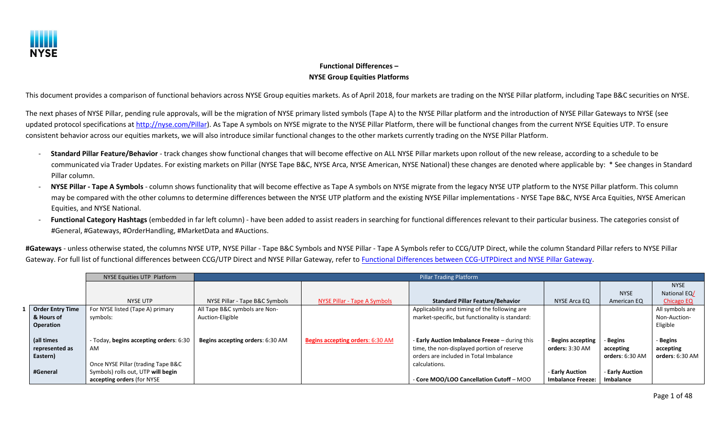

## **Functional Differences – NYSE Group Equities Platforms**

This document provides a comparison of functional behaviors across NYSE Group equities markets. As of April 2018, four markets are trading on the NYSE Pillar platform, including Tape B&C securities on NYSE.

The next phases of NYSE Pillar, pending rule approvals, will be the migration of NYSE primary listed symbols (Tape A) to the NYSE Pillar platform and the introduction of NYSE Pillar Gateways to NYSE (see updated protocol specifications at [http://nyse.com/Pillar\)](http://nyse.com/Pillar). As Tape A symbols on NYSE migrate to the NYSE Pillar Platform, there will be functional changes from the current NYSE Equities UTP. To ensure consistent behavior across our equities markets, we will also introduce similar functional changes to the other markets currently trading on the NYSE Pillar Platform.

- **Standard Pillar Feature/Behavior** track changes show functional changes that will become effective on ALL NYSE Pillar markets upon rollout of the new release, according to a schedule to be communicated via Trader Updates. For existing markets on Pillar (NYSE Tape B&C, NYSE Arca, NYSE American, NYSE National) these changes are denoted where applicable by: \* See changes in Standard Pillar column.
- **NYSE Pillar Tape A Symbols** column shows functionality that will become effective as Tape A symbols on NYSE migrate from the legacy NYSE UTP platform to the NYSE Pillar platform. This column may be compared with the other columns to determine differences between the NYSE UTP platform and the existing NYSE Pillar implementations - NYSE Tape B&C, NYSE Arca Equities, NYSE American Equities, and NYSE National.
- Functional Category Hashtags (embedded in far left column) have been added to assist readers in searching for functional differences relevant to their particular business. The categories consist of #General, #Gateways, #OrderHandling, #MarketData and #Auctions.

**#Gateways** - unless otherwise stated, the columns NYSE UTP, NYSE Pillar - Tape B&C Symbols and NYSE Pillar - Tape A Symbols refer to CCG/UTP Direct, while the column Standard Pillar refers to NYSE Pillar Gateway. For full list of functional differences between CCG/UTP Direct and NYSE Pillar Gateway, refer t[o Functional Differences between CCG-UTPDirect and NYSE Pillar Gateway.](https://www.nyse.com/publicdocs/nyse/markets/nyse/Functional_Differences_CCG-UTPDirect_vs_Pillar_Gateway.pdf)

|                         | NYSE Equities UTP Platform             |                                  |                                         | <b>Pillar Trading Platform</b>                  |                          |                 |                 |
|-------------------------|----------------------------------------|----------------------------------|-----------------------------------------|-------------------------------------------------|--------------------------|-----------------|-----------------|
|                         |                                        |                                  |                                         |                                                 |                          |                 | <b>NYSE</b>     |
|                         |                                        |                                  |                                         |                                                 |                          | <b>NYSE</b>     | National EQ/    |
|                         | NYSE UTP                               | NYSE Pillar - Tape B&C Symbols   | NYSE Pillar - Tape A Symbols            | <b>Standard Pillar Feature/Behavior</b>         | NYSE Arca EQ             | American EQ     | Chicago EQ      |
| <b>Order Entry Time</b> | For NYSE listed (Tape A) primary       | All Tape B&C symbols are Non-    |                                         | Applicability and timing of the following are   |                          |                 | All symbols are |
| & Hours of              | symbols:                               | Auction-Eligible                 |                                         | market-specific, but functionality is standard: |                          |                 | Non-Auction-    |
| Operation               |                                        |                                  |                                         |                                                 |                          |                 | Eligible        |
|                         |                                        |                                  |                                         |                                                 |                          |                 |                 |
| (all times              | - Today, begins accepting orders: 6:30 | Begins accepting orders: 6:30 AM | <b>Begins accepting orders: 6:30 AM</b> | - Early Auction Imbalance Freeze - during this  | <b>Begins accepting</b>  | <b>Begins</b>   | - Begins        |
| represented as          | AM                                     |                                  |                                         | time, the non-displayed portion of reserve      | orders: 3:30 AM          | accepting       | accepting       |
| Eastern)                |                                        |                                  |                                         | orders are included in Total Imbalance          |                          | orders: 6:30 AM | orders: 6:30 AM |
|                         | Once NYSE Pillar (trading Tape B&C     |                                  |                                         | calculations.                                   |                          |                 |                 |
| #General                | Symbols) rolls out, UTP will begin     |                                  |                                         |                                                 | - Early Auction          | - Early Auction |                 |
|                         | accepting orders (for NYSE             |                                  |                                         | - Core MOO/LOO Cancellation Cutoff - MOO        | <b>Imbalance Freeze:</b> | Imbalance       |                 |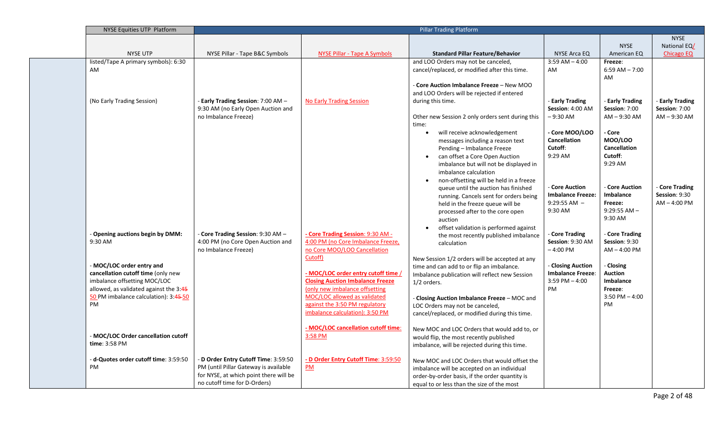| NYSE Equities UTP Platform                 |                                        |                                         | <b>Pillar Trading Platform</b>                                                              |                          |                               |                   |
|--------------------------------------------|----------------------------------------|-----------------------------------------|---------------------------------------------------------------------------------------------|--------------------------|-------------------------------|-------------------|
|                                            |                                        |                                         |                                                                                             |                          |                               | <b>NYSE</b>       |
|                                            |                                        |                                         |                                                                                             |                          | <b>NYSE</b>                   | National EQ/      |
| <b>NYSE UTP</b>                            | NYSE Pillar - Tape B&C Symbols         | <b>NYSE Pillar - Tape A Symbols</b>     | <b>Standard Pillar Feature/Behavior</b>                                                     | NYSE Arca EQ             | American EQ                   | <b>Chicago EQ</b> |
| listed/Tape A primary symbols): 6:30<br>AM |                                        |                                         | and LOO Orders may not be canceled,<br>cancel/replaced, or modified after this time.        | $3:59$ AM $- 4:00$<br>AM | Freeze:<br>$6:59$ AM $- 7:00$ |                   |
|                                            |                                        |                                         |                                                                                             |                          | AM                            |                   |
|                                            |                                        |                                         | Core Auction Imbalance Freeze - New MOO                                                     |                          |                               |                   |
|                                            |                                        |                                         | and LOO Orders will be rejected if entered                                                  |                          |                               |                   |
| (No Early Trading Session)                 | - Early Trading Session: 7:00 AM -     | <b>No Early Trading Session</b>         | during this time.                                                                           | - Early Trading          | - Early Trading               | - Early Trading   |
|                                            | 9:30 AM (no Early Open Auction and     |                                         |                                                                                             | Session: 4:00 AM         | Session: 7:00                 | Session: 7:00     |
|                                            | no Imbalance Freeze)                   |                                         | Other new Session 2 only orders sent during this<br>time:                                   | $-9:30$ AM               | $AM - 9:30 AM$                | $AM - 9:30 AM$    |
|                                            |                                        |                                         | will receive acknowledgement                                                                | - Core MOO/LOO           | - Core                        |                   |
|                                            |                                        |                                         | messages including a reason text                                                            | <b>Cancellation</b>      | <b>MOO/LOO</b>                |                   |
|                                            |                                        |                                         | Pending - Imbalance Freeze                                                                  | Cutoff:                  | <b>Cancellation</b>           |                   |
|                                            |                                        |                                         | can offset a Core Open Auction                                                              | 9:29 AM                  | Cutoff:                       |                   |
|                                            |                                        |                                         | imbalance but will not be displayed in                                                      |                          | 9:29 AM                       |                   |
|                                            |                                        |                                         | imbalance calculation                                                                       |                          |                               |                   |
|                                            |                                        |                                         | non-offsetting will be held in a freeze                                                     | - Core Auction           | - Core Auction                | - Core Trading    |
|                                            |                                        |                                         | queue until the auction has finished<br>running. Cancels sent for orders being              | <b>Imbalance Freeze:</b> | Imbalance                     | Session: 9:30     |
|                                            |                                        |                                         | held in the freeze queue will be                                                            | $9:29:55$ AM $-$         | Freeze:                       | $AM - 4:00 PM$    |
|                                            |                                        |                                         | processed after to the core open                                                            | 9:30 AM                  | $9:29:55$ AM $-$              |                   |
|                                            |                                        |                                         | auction                                                                                     |                          | 9:30 AM                       |                   |
|                                            |                                        |                                         | offset validation is performed against                                                      |                          |                               |                   |
| Opening auctions begin by DMM:             | Core Trading Session: 9:30 AM -        | - Core Trading Session: 9:30 AM -       | the most recently published imbalance                                                       | Core Trading             | Core Trading                  |                   |
| 9:30 AM                                    | 4:00 PM (no Core Open Auction and      | 4:00 PM (no Core Imbalance Freeze,      | calculation                                                                                 | Session: 9:30 AM         | Session: 9:30                 |                   |
|                                            | no Imbalance Freeze)                   | no Core MOO/LOO Cancellation<br>Cutoff) |                                                                                             | $-4:00$ PM               | $AM - 4:00 PM$                |                   |
| - MOC/LOC order entry and                  |                                        |                                         | New Session 1/2 orders will be accepted at any<br>time and can add to or flip an imbalance. | - Closing Auction        | - Closing                     |                   |
| cancellation cutoff time (only new         |                                        | - MOC/LOC order entry cutoff time       | Imbalance publication will reflect new Session                                              | <b>Imbalance Freeze:</b> | <b>Auction</b>                |                   |
| imbalance offsetting MOC/LOC               |                                        | <b>Closing Auction Imbalance Freeze</b> | $1/2$ orders.                                                                               | $3:59$ PM $- 4:00$       | <b>Imbalance</b>              |                   |
| allowed, as validated against the 3:45     |                                        | (only new imbalance offsetting          |                                                                                             | PM                       | Freeze:                       |                   |
| 50 PM imbalance calculation): 3:45-50      |                                        | MOC/LOC allowed as validated            | Closing Auction Imbalance Freeze - MOC and                                                  |                          | $3:50$ PM $- 4:00$            |                   |
| PM                                         |                                        | against the 3:50 PM regulatory          | LOC Orders may not be canceled,                                                             |                          | PM                            |                   |
|                                            |                                        | imbalance calculation): 3:50 PM         | cancel/replaced, or modified during this time.                                              |                          |                               |                   |
|                                            |                                        | - MOC/LOC cancellation cutoff time:     | New MOC and LOC Orders that would add to, or                                                |                          |                               |                   |
| - MOC/LOC Order cancellation cutoff        |                                        | 3:58 PM                                 | would flip, the most recently published                                                     |                          |                               |                   |
| time: 3:58 PM                              |                                        |                                         | imbalance, will be rejected during this time.                                               |                          |                               |                   |
| - d-Quotes order cutoff time: 3:59:50      | - D Order Entry Cutoff Time: 3:59:50   | - D Order Entry Cutoff Time: 3:59:50    | New MOC and LOC Orders that would offset the                                                |                          |                               |                   |
| PM                                         | PM (until Pillar Gateway is available  | $\underline{PM}$                        | imbalance will be accepted on an individual                                                 |                          |                               |                   |
|                                            | for NYSE, at which point there will be |                                         | order-by-order basis, if the order quantity is                                              |                          |                               |                   |
|                                            | no cutoff time for D-Orders)           |                                         | equal to or less than the size of the most                                                  |                          |                               |                   |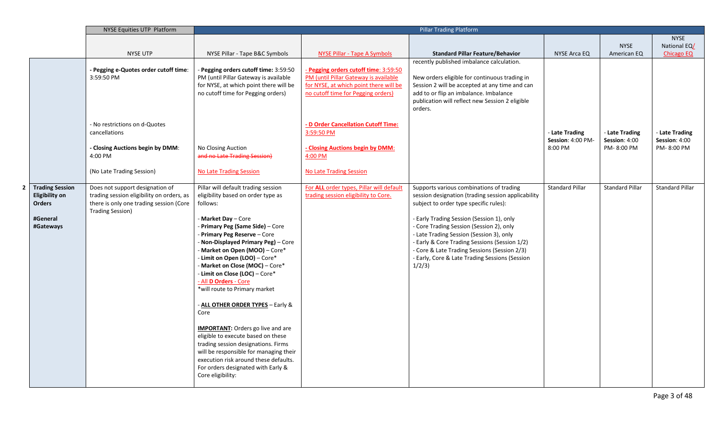|                                                                                      | NYSE Equities UTP Platform                                                                                                                                                        |                                                                                                                                                                                                                                                                                                                                                                                                                                                                                                                                                                                                                                                                                                                                           | <b>Pillar Trading Platform</b>                                                                                                                                                                                                                                                                     |                                                                                                                                                                                                                                                                                                                                                                                                                                           |                                                |                                               |                                             |
|--------------------------------------------------------------------------------------|-----------------------------------------------------------------------------------------------------------------------------------------------------------------------------------|-------------------------------------------------------------------------------------------------------------------------------------------------------------------------------------------------------------------------------------------------------------------------------------------------------------------------------------------------------------------------------------------------------------------------------------------------------------------------------------------------------------------------------------------------------------------------------------------------------------------------------------------------------------------------------------------------------------------------------------------|----------------------------------------------------------------------------------------------------------------------------------------------------------------------------------------------------------------------------------------------------------------------------------------------------|-------------------------------------------------------------------------------------------------------------------------------------------------------------------------------------------------------------------------------------------------------------------------------------------------------------------------------------------------------------------------------------------------------------------------------------------|------------------------------------------------|-----------------------------------------------|---------------------------------------------|
|                                                                                      |                                                                                                                                                                                   |                                                                                                                                                                                                                                                                                                                                                                                                                                                                                                                                                                                                                                                                                                                                           |                                                                                                                                                                                                                                                                                                    |                                                                                                                                                                                                                                                                                                                                                                                                                                           |                                                |                                               | <b>NYSE</b>                                 |
|                                                                                      |                                                                                                                                                                                   |                                                                                                                                                                                                                                                                                                                                                                                                                                                                                                                                                                                                                                                                                                                                           |                                                                                                                                                                                                                                                                                                    |                                                                                                                                                                                                                                                                                                                                                                                                                                           |                                                | <b>NYSE</b>                                   | National EQ/                                |
|                                                                                      | <b>NYSE UTP</b>                                                                                                                                                                   | NYSE Pillar - Tape B&C Symbols                                                                                                                                                                                                                                                                                                                                                                                                                                                                                                                                                                                                                                                                                                            | <b>NYSE Pillar - Tape A Symbols</b>                                                                                                                                                                                                                                                                | <b>Standard Pillar Feature/Behavior</b>                                                                                                                                                                                                                                                                                                                                                                                                   | NYSE Arca EQ                                   | American EQ                                   | <b>Chicago EQ</b>                           |
|                                                                                      | - Pegging e-Quotes order cutoff time:<br>3:59:50 PM<br>- No restrictions on d-Quotes<br>cancellations<br>- Closing Auctions begin by DMM:<br>4:00 PM<br>(No Late Trading Session) | Pegging orders cutoff time: 3:59:50<br>PM (until Pillar Gateway is available<br>for NYSE, at which point there will be<br>no cutoff time for Pegging orders)<br>No Closing Auction<br>and no Late Trading Session)<br><b>No Late Trading Session</b>                                                                                                                                                                                                                                                                                                                                                                                                                                                                                      | Pegging orders cutoff time: 3:59:50<br>PM (until Pillar Gateway is available<br>for NYSE, at which point there will be<br>no cutoff time for Pegging orders)<br>- D Order Cancellation Cutoff Time:<br>3:59:50 PM<br>- Closing Auctions begin by DMM:<br>4:00 PM<br><b>No Late Trading Session</b> | recently published imbalance calculation.<br>New orders eligible for continuous trading in<br>Session 2 will be accepted at any time and can<br>add to or flip an imbalance. Imbalance<br>publication will reflect new Session 2 eligible<br>orders.                                                                                                                                                                                      | - Late Trading<br>Session: 4:00 PM-<br>8:00 PM | - Late Trading<br>Session: 4:00<br>PM-8:00 PM | Late Trading<br>Session: 4:00<br>PM-8:00 PM |
| 2 Trading Session<br><b>Eligibility on</b><br><b>Orders</b><br>#General<br>#Gateways | Does not support designation of<br>trading session eligibility on orders, as<br>there is only one trading session (Core<br><b>Trading Session)</b>                                | Pillar will default trading session<br>eligibility based on order type as<br>follows:<br>- Market Day - Core<br>Primary Peg (Same Side) - Core<br>- Primary Peg Reserve - Core<br>Non-Displayed Primary Peg) - Core<br>- Market on Open (MOO) - Core*<br>- Limit on Open (LOO) – Core*<br>- Market on Close (MOC) - Core*<br>- Limit on Close (LOC) - Core*<br>- All D Orders - Core<br>*will route to Primary market<br>- ALL OTHER ORDER TYPES - Early &<br>Core<br><b>IMPORTANT:</b> Orders go live and are<br>eligible to execute based on these<br>trading session designations. Firms<br>will be responsible for managing their<br>execution risk around these defaults.<br>For orders designated with Early &<br>Core eligibility: | For ALL order types, Pillar will default<br>trading session eligibility to Core.                                                                                                                                                                                                                   | Supports various combinations of trading<br>session designation (trading session applicability<br>subject to order type specific rules):<br>- Early Trading Session (Session 1), only<br>- Core Trading Session (Session 2), only<br>- Late Trading Session (Session 3), only<br>- Early & Core Trading Sessions (Session 1/2)<br>- Core & Late Trading Sessions (Session 2/3)<br>- Early, Core & Late Trading Sessions (Session<br>1/2/3 | <b>Standard Pillar</b>                         | <b>Standard Pillar</b>                        | <b>Standard Pillar</b>                      |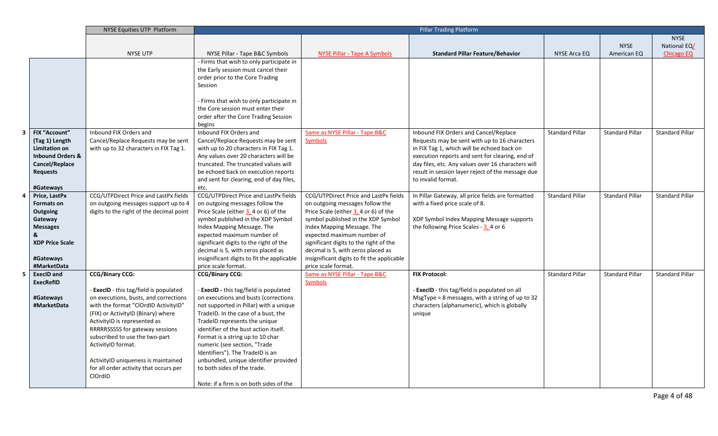|                         |                             | NYSE Equities UTP Platform               |                                                                   |                                                                                  | <b>Pillar Trading Platform</b>                     |                        |                        |                        |
|-------------------------|-----------------------------|------------------------------------------|-------------------------------------------------------------------|----------------------------------------------------------------------------------|----------------------------------------------------|------------------------|------------------------|------------------------|
|                         |                             |                                          |                                                                   |                                                                                  |                                                    |                        |                        | <b>NYSE</b>            |
|                         |                             |                                          |                                                                   |                                                                                  |                                                    |                        | <b>NYSE</b>            | National EQ/           |
|                         |                             | <b>NYSE UTP</b>                          | NYSE Pillar - Tape B&C Symbols                                    | NYSE Pillar - Tape A Symbols                                                     | <b>Standard Pillar Feature/Behavior</b>            | NYSE Arca EQ           | American EQ            | <b>Chicago EQ</b>      |
|                         |                             |                                          | - Firms that wish to only participate in                          |                                                                                  |                                                    |                        |                        |                        |
|                         |                             |                                          | the Early session must cancel their                               |                                                                                  |                                                    |                        |                        |                        |
|                         |                             |                                          | order prior to the Core Trading                                   |                                                                                  |                                                    |                        |                        |                        |
|                         |                             |                                          | Session                                                           |                                                                                  |                                                    |                        |                        |                        |
|                         |                             |                                          |                                                                   |                                                                                  |                                                    |                        |                        |                        |
|                         |                             |                                          | - Firms that wish to only participate in                          |                                                                                  |                                                    |                        |                        |                        |
|                         |                             |                                          | the Core session must enter their                                 |                                                                                  |                                                    |                        |                        |                        |
|                         |                             |                                          | order after the Core Trading Session                              |                                                                                  |                                                    |                        |                        |                        |
|                         |                             |                                          | begins                                                            |                                                                                  |                                                    |                        |                        |                        |
| $\overline{\mathbf{3}}$ | <b>FIX "Account"</b>        | Inbound FIX Orders and                   | Inbound FIX Orders and                                            | Same as NYSE Pillar - Tape B&C                                                   | Inbound FIX Orders and Cancel/Replace              | <b>Standard Pillar</b> | <b>Standard Pillar</b> | <b>Standard Pillar</b> |
|                         | (Tag 1) Length              | Cancel/Replace Requests may be sent      | Cancel/Replace Requests may be sent                               | <b>Symbols</b>                                                                   | Requests may be sent with up to 16 characters      |                        |                        |                        |
|                         | <b>Limitation on</b>        | with up to 32 characters in FIX Tag 1.   | with up to 20 characters in FIX Tag 1.                            |                                                                                  | in FIX Tag 1, which will be echoed back on         |                        |                        |                        |
|                         | <b>Inbound Orders &amp;</b> |                                          | Any values over 20 characters will be                             |                                                                                  | execution reports and sent for clearing, end of    |                        |                        |                        |
|                         | Cancel/Replace              |                                          | truncated. The truncated values will                              |                                                                                  | day files, etc. Any values over 16 characters will |                        |                        |                        |
|                         | <b>Requests</b>             |                                          | be echoed back on execution reports                               |                                                                                  | result in session layer reject of the message due  |                        |                        |                        |
|                         |                             |                                          | and sent for clearing, end of day files,                          |                                                                                  | to invalid format.                                 |                        |                        |                        |
|                         | #Gateways                   |                                          | etc.                                                              |                                                                                  |                                                    |                        |                        |                        |
| 4                       | Price, LastPx               | CCG/UTPDirect Price and LastPx fields    | CCG/UTPDirect Price and LastPx fields                             | CCG/UTPDirect Price and LastPx fields                                            | In Pillar Gateway, all price fields are formatted  | <b>Standard Pillar</b> | <b>Standard Pillar</b> | <b>Standard Pillar</b> |
|                         | <b>Formats on</b>           | on outgoing messages support up to 4     | on outgoing messages follow the                                   | on outgoing messages follow the                                                  | with a fixed price scale of 8.                     |                        |                        |                        |
|                         | Outgoing                    | digits to the right of the decimal point | Price Scale (either 3, 4 or 6) of the                             | Price Scale (either 3, 4 or 6) of the                                            |                                                    |                        |                        |                        |
|                         | Gateway                     |                                          | symbol published in the XDP Symbol                                | symbol published in the XDP Symbol                                               | XDP Symbol Index Mapping Message supports          |                        |                        |                        |
|                         | <b>Messages</b>             |                                          | Index Mapping Message. The                                        | Index Mapping Message. The                                                       | the following Price Scales - $3, 4$ or 6           |                        |                        |                        |
|                         |                             |                                          | expected maximum number of                                        | expected maximum number of                                                       |                                                    |                        |                        |                        |
|                         | <b>XDP Price Scale</b>      |                                          | significant digits to the right of the                            | significant digits to the right of the                                           |                                                    |                        |                        |                        |
|                         |                             |                                          | decimal is 5, with zeros placed as                                | decimal is 5, with zeros placed as<br>insignificant digits to fit the applicable |                                                    |                        |                        |                        |
|                         | #Gateways<br>#MarketData    |                                          | insignificant digits to fit the applicable<br>price scale format. | price scale format.                                                              |                                                    |                        |                        |                        |
| 5                       | <b>ExecID and</b>           | <b>CCG/Binary CCG:</b>                   | <b>CCG/Binary CCG:</b>                                            | Same as NYSE Pillar - Tape B&C                                                   | <b>FIX Protocol:</b>                               | <b>Standard Pillar</b> | <b>Standard Pillar</b> | <b>Standard Pillar</b> |
|                         | <b>ExecRefID</b>            |                                          |                                                                   | <b>Symbols</b>                                                                   |                                                    |                        |                        |                        |
|                         |                             | - ExecID - this tag/field is populated   | - ExecID - this tag/field is populated                            |                                                                                  | - ExecID - this tag/field is populated on all      |                        |                        |                        |
|                         | #Gateways                   | on executions, busts, and corrections    | on executions and busts (corrections                              |                                                                                  | MsgType = 8 messages, with a string of up to 32    |                        |                        |                        |
|                         | #MarketData                 | with the format "ClOrdID ActivityID"     | not supported in Pillar) with a unique                            |                                                                                  | characters (alphanumeric), which is globally       |                        |                        |                        |
|                         |                             | (FIX) or ActivityID (Binary) where       | TradeID. In the case of a bust, the                               |                                                                                  | unique                                             |                        |                        |                        |
|                         |                             | ActivityID is represented as             | TradeID represents the unique                                     |                                                                                  |                                                    |                        |                        |                        |
|                         |                             | RRRRRSSSSS for gateway sessions          | identifier of the bust action itself.                             |                                                                                  |                                                    |                        |                        |                        |
|                         |                             | subscribed to use the two-part           | Format is a string up to 10 char                                  |                                                                                  |                                                    |                        |                        |                        |
|                         |                             | ActivityID format.                       | numeric (see section, "Trade                                      |                                                                                  |                                                    |                        |                        |                        |
|                         |                             |                                          | Identifiers"). The TradeID is an                                  |                                                                                  |                                                    |                        |                        |                        |
|                         |                             | ActivityID uniqueness is maintained      | unbundled, unique identifier provided                             |                                                                                  |                                                    |                        |                        |                        |
|                         |                             | for all order activity that occurs per   | to both sides of the trade.                                       |                                                                                  |                                                    |                        |                        |                        |
|                         |                             | ClOrdID                                  |                                                                   |                                                                                  |                                                    |                        |                        |                        |
|                         |                             |                                          | Note: if a firm is on both sides of the                           |                                                                                  |                                                    |                        |                        |                        |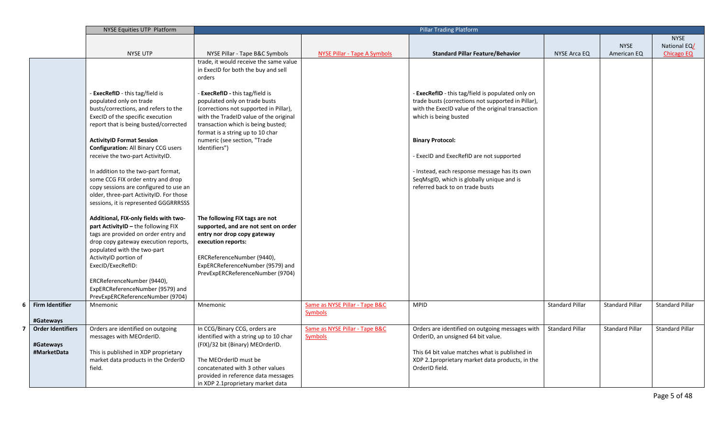|                          | <b>Pillar Trading Platform</b><br><b>NYSE Equities UTP Platform</b> |                                                                          |                                |                                                                   |                        |                        |                        |
|--------------------------|---------------------------------------------------------------------|--------------------------------------------------------------------------|--------------------------------|-------------------------------------------------------------------|------------------------|------------------------|------------------------|
|                          |                                                                     |                                                                          |                                |                                                                   |                        |                        | <b>NYSE</b>            |
|                          |                                                                     |                                                                          |                                |                                                                   |                        | <b>NYSE</b>            | National EQ/           |
|                          | <b>NYSE UTP</b>                                                     | NYSE Pillar - Tape B&C Symbols                                           | NYSE Pillar - Tape A Symbols   | <b>Standard Pillar Feature/Behavior</b>                           | <b>NYSE Arca EQ</b>    | American EQ            | Chicago EQ             |
|                          |                                                                     | trade, it would receive the same value                                   |                                |                                                                   |                        |                        |                        |
|                          |                                                                     | in ExecID for both the buy and sell                                      |                                |                                                                   |                        |                        |                        |
|                          |                                                                     | orders                                                                   |                                |                                                                   |                        |                        |                        |
|                          | - ExecRefID - this tag/field is                                     | - <b>ExecRefID</b> - this tag/field is                                   |                                | - ExecRefID - this tag/field is populated only on                 |                        |                        |                        |
|                          | populated only on trade                                             | populated only on trade busts                                            |                                | trade busts (corrections not supported in Pillar),                |                        |                        |                        |
|                          | busts/corrections, and refers to the                                | (corrections not supported in Pillar),                                   |                                | with the ExecID value of the original transaction                 |                        |                        |                        |
|                          | ExecID of the specific execution                                    | with the TradeID value of the original                                   |                                | which is being busted                                             |                        |                        |                        |
|                          | report that is being busted/corrected                               | transaction which is being busted;                                       |                                |                                                                   |                        |                        |                        |
|                          |                                                                     | format is a string up to 10 char                                         |                                |                                                                   |                        |                        |                        |
|                          | <b>ActivityID Format Session</b>                                    | numeric (see section, "Trade                                             |                                | <b>Binary Protocol:</b>                                           |                        |                        |                        |
|                          | <b>Configuration: All Binary CCG users</b>                          | Identifiers")                                                            |                                |                                                                   |                        |                        |                        |
|                          | receive the two-part ActivityID.                                    |                                                                          |                                | - ExecID and ExecRefID are not supported                          |                        |                        |                        |
|                          |                                                                     |                                                                          |                                |                                                                   |                        |                        |                        |
|                          | In addition to the two-part format,                                 |                                                                          |                                | - Instead, each response message has its own                      |                        |                        |                        |
|                          | some CCG FIX order entry and drop                                   |                                                                          |                                | SeqMsgID, which is globally unique and is                         |                        |                        |                        |
|                          | copy sessions are configured to use an                              |                                                                          |                                | referred back to on trade busts                                   |                        |                        |                        |
|                          | older, three-part ActivityID. For those                             |                                                                          |                                |                                                                   |                        |                        |                        |
|                          | sessions, it is represented GGGRRRSSS                               |                                                                          |                                |                                                                   |                        |                        |                        |
|                          |                                                                     |                                                                          |                                |                                                                   |                        |                        |                        |
|                          | Additional, FIX-only fields with two-                               | The following FIX tags are not                                           |                                |                                                                   |                        |                        |                        |
|                          | part ActivityID - the following FIX                                 | supported, and are not sent on order                                     |                                |                                                                   |                        |                        |                        |
|                          | tags are provided on order entry and                                | entry nor drop copy gateway                                              |                                |                                                                   |                        |                        |                        |
|                          | drop copy gateway execution reports,<br>populated with the two-part | execution reports:                                                       |                                |                                                                   |                        |                        |                        |
|                          | ActivityID portion of                                               | ERCReferenceNumber (9440),                                               |                                |                                                                   |                        |                        |                        |
|                          | ExecID/ExecRefID:                                                   | ExpERCReferenceNumber (9579) and                                         |                                |                                                                   |                        |                        |                        |
|                          |                                                                     | PrevExpERCReferenceNumber (9704)                                         |                                |                                                                   |                        |                        |                        |
|                          | ERCReferenceNumber (9440),                                          |                                                                          |                                |                                                                   |                        |                        |                        |
|                          | ExpERCReferenceNumber (9579) and                                    |                                                                          |                                |                                                                   |                        |                        |                        |
|                          | PrevExpERCReferenceNumber (9704)                                    |                                                                          |                                |                                                                   |                        |                        |                        |
| <b>Firm Identifier</b>   | Mnemonic                                                            | Mnemonic                                                                 | Same as NYSE Pillar - Tape B&C | <b>MPID</b>                                                       | <b>Standard Pillar</b> | <b>Standard Pillar</b> | <b>Standard Pillar</b> |
|                          |                                                                     |                                                                          | <b>Symbols</b>                 |                                                                   |                        |                        |                        |
| #Gateways                |                                                                     |                                                                          |                                |                                                                   |                        |                        |                        |
| <b>Order Identifiers</b> | Orders are identified on outgoing                                   | In CCG/Binary CCG, orders are                                            | Same as NYSE Pillar - Tape B&C | Orders are identified on outgoing messages with                   | <b>Standard Pillar</b> | <b>Standard Pillar</b> | <b>Standard Pillar</b> |
|                          | messages with MEOrderID.                                            | identified with a string up to 10 char                                   | <b>Symbols</b>                 | OrderID, an unsigned 64 bit value.                                |                        |                        |                        |
| #Gateways                |                                                                     | (FIX)/32 bit (Binary) MEOrderID.                                         |                                |                                                                   |                        |                        |                        |
| #MarketData              | This is published in XDP proprietary                                |                                                                          |                                | This 64 bit value matches what is published in                    |                        |                        |                        |
|                          | market data products in the OrderID<br>field.                       | The MEOrderID must be                                                    |                                | XDP 2.1proprietary market data products, in the<br>OrderID field. |                        |                        |                        |
|                          |                                                                     | concatenated with 3 other values                                         |                                |                                                                   |                        |                        |                        |
|                          |                                                                     | provided in reference data messages<br>in XDP 2.1proprietary market data |                                |                                                                   |                        |                        |                        |
|                          |                                                                     |                                                                          |                                |                                                                   |                        |                        |                        |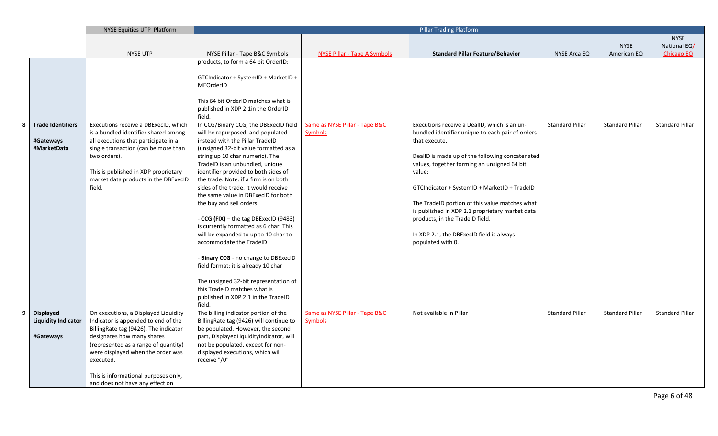|                                                      | NYSE Equities UTP Platform                                                                                                                                                                                                                                                                                              |                                                                                                                                                                                                                                                                                                           | <b>Pillar Trading Platform</b>                   |                                                  |                        |                        |                        |
|------------------------------------------------------|-------------------------------------------------------------------------------------------------------------------------------------------------------------------------------------------------------------------------------------------------------------------------------------------------------------------------|-----------------------------------------------------------------------------------------------------------------------------------------------------------------------------------------------------------------------------------------------------------------------------------------------------------|--------------------------------------------------|--------------------------------------------------|------------------------|------------------------|------------------------|
|                                                      |                                                                                                                                                                                                                                                                                                                         |                                                                                                                                                                                                                                                                                                           |                                                  |                                                  |                        |                        | <b>NYSE</b>            |
|                                                      |                                                                                                                                                                                                                                                                                                                         |                                                                                                                                                                                                                                                                                                           |                                                  |                                                  |                        | <b>NYSE</b>            | National EQ/           |
|                                                      | <b>NYSE UTP</b>                                                                                                                                                                                                                                                                                                         | NYSE Pillar - Tape B&C Symbols                                                                                                                                                                                                                                                                            | <b>NYSE Pillar - Tape A Symbols</b>              | <b>Standard Pillar Feature/Behavior</b>          | NYSE Arca EQ           | American EQ            | <b>Chicago EQ</b>      |
|                                                      |                                                                                                                                                                                                                                                                                                                         | products, to form a 64 bit OrderID:                                                                                                                                                                                                                                                                       |                                                  |                                                  |                        |                        |                        |
|                                                      |                                                                                                                                                                                                                                                                                                                         |                                                                                                                                                                                                                                                                                                           |                                                  |                                                  |                        |                        |                        |
|                                                      |                                                                                                                                                                                                                                                                                                                         | GTCIndicator + SystemID + MarketID +                                                                                                                                                                                                                                                                      |                                                  |                                                  |                        |                        |                        |
|                                                      |                                                                                                                                                                                                                                                                                                                         | MEOrderID                                                                                                                                                                                                                                                                                                 |                                                  |                                                  |                        |                        |                        |
|                                                      |                                                                                                                                                                                                                                                                                                                         |                                                                                                                                                                                                                                                                                                           |                                                  |                                                  |                        |                        |                        |
|                                                      |                                                                                                                                                                                                                                                                                                                         | This 64 bit OrderID matches what is                                                                                                                                                                                                                                                                       |                                                  |                                                  |                        |                        |                        |
|                                                      |                                                                                                                                                                                                                                                                                                                         | published in XDP 2.1in the OrderID                                                                                                                                                                                                                                                                        |                                                  |                                                  |                        |                        |                        |
|                                                      |                                                                                                                                                                                                                                                                                                                         | field.                                                                                                                                                                                                                                                                                                    |                                                  |                                                  |                        |                        |                        |
| <b>Trade Identifiers</b>                             | Executions receive a DBExecID, which                                                                                                                                                                                                                                                                                    | In CCG/Binary CCG, the DBExecID field                                                                                                                                                                                                                                                                     | Same as NYSE Pillar - Tape B&C                   | Executions receive a DealID, which is an un-     | <b>Standard Pillar</b> | <b>Standard Pillar</b> | <b>Standard Pillar</b> |
|                                                      | is a bundled identifier shared among                                                                                                                                                                                                                                                                                    | will be repurposed, and populated                                                                                                                                                                                                                                                                         | <b>Symbols</b>                                   | bundled identifier unique to each pair of orders |                        |                        |                        |
| #Gateways                                            | all executions that participate in a                                                                                                                                                                                                                                                                                    | instead with the Pillar TradeID                                                                                                                                                                                                                                                                           |                                                  | that execute.                                    |                        |                        |                        |
| #MarketData                                          | single transaction (can be more than                                                                                                                                                                                                                                                                                    | (unsigned 32-bit value formatted as a                                                                                                                                                                                                                                                                     |                                                  |                                                  |                        |                        |                        |
|                                                      | two orders).                                                                                                                                                                                                                                                                                                            | string up 10 char numeric). The                                                                                                                                                                                                                                                                           |                                                  | DealID is made up of the following concatenated  |                        |                        |                        |
|                                                      |                                                                                                                                                                                                                                                                                                                         | TradeID is an unbundled, unique                                                                                                                                                                                                                                                                           |                                                  | values, together forming an unsigned 64 bit      |                        |                        |                        |
|                                                      | This is published in XDP proprietary                                                                                                                                                                                                                                                                                    | identifier provided to both sides of                                                                                                                                                                                                                                                                      |                                                  | value:                                           |                        |                        |                        |
|                                                      | market data products in the DBExecID                                                                                                                                                                                                                                                                                    | the trade. Note: if a firm is on both                                                                                                                                                                                                                                                                     |                                                  |                                                  |                        |                        |                        |
|                                                      | field.                                                                                                                                                                                                                                                                                                                  | sides of the trade, it would receive                                                                                                                                                                                                                                                                      |                                                  | GTCIndicator + SystemID + MarketID + TradeID     |                        |                        |                        |
|                                                      |                                                                                                                                                                                                                                                                                                                         | the same value in DBExecID for both                                                                                                                                                                                                                                                                       |                                                  |                                                  |                        |                        |                        |
|                                                      |                                                                                                                                                                                                                                                                                                                         | the buy and sell orders                                                                                                                                                                                                                                                                                   |                                                  | The TradeID portion of this value matches what   |                        |                        |                        |
|                                                      |                                                                                                                                                                                                                                                                                                                         |                                                                                                                                                                                                                                                                                                           |                                                  | is published in XDP 2.1 proprietary market data  |                        |                        |                        |
|                                                      |                                                                                                                                                                                                                                                                                                                         | - CCG (FIX) - the tag DBExecID (9483)                                                                                                                                                                                                                                                                     |                                                  | products, in the TradelD field.                  |                        |                        |                        |
|                                                      |                                                                                                                                                                                                                                                                                                                         | is currently formatted as 6 char. This                                                                                                                                                                                                                                                                    |                                                  |                                                  |                        |                        |                        |
|                                                      |                                                                                                                                                                                                                                                                                                                         | will be expanded to up to 10 char to                                                                                                                                                                                                                                                                      |                                                  | In XDP 2.1, the DBExecID field is always         |                        |                        |                        |
|                                                      |                                                                                                                                                                                                                                                                                                                         | accommodate the TradeID                                                                                                                                                                                                                                                                                   |                                                  | populated with 0.                                |                        |                        |                        |
|                                                      |                                                                                                                                                                                                                                                                                                                         |                                                                                                                                                                                                                                                                                                           |                                                  |                                                  |                        |                        |                        |
|                                                      |                                                                                                                                                                                                                                                                                                                         | Binary CCG - no change to DBExecID                                                                                                                                                                                                                                                                        |                                                  |                                                  |                        |                        |                        |
|                                                      |                                                                                                                                                                                                                                                                                                                         | field format; it is already 10 char                                                                                                                                                                                                                                                                       |                                                  |                                                  |                        |                        |                        |
|                                                      |                                                                                                                                                                                                                                                                                                                         |                                                                                                                                                                                                                                                                                                           |                                                  |                                                  |                        |                        |                        |
|                                                      |                                                                                                                                                                                                                                                                                                                         | The unsigned 32-bit representation of                                                                                                                                                                                                                                                                     |                                                  |                                                  |                        |                        |                        |
|                                                      |                                                                                                                                                                                                                                                                                                                         | this TradeID matches what is                                                                                                                                                                                                                                                                              |                                                  |                                                  |                        |                        |                        |
|                                                      |                                                                                                                                                                                                                                                                                                                         |                                                                                                                                                                                                                                                                                                           |                                                  |                                                  |                        |                        |                        |
|                                                      |                                                                                                                                                                                                                                                                                                                         |                                                                                                                                                                                                                                                                                                           |                                                  |                                                  |                        |                        |                        |
|                                                      |                                                                                                                                                                                                                                                                                                                         |                                                                                                                                                                                                                                                                                                           |                                                  |                                                  |                        |                        |                        |
|                                                      |                                                                                                                                                                                                                                                                                                                         |                                                                                                                                                                                                                                                                                                           |                                                  |                                                  |                        |                        |                        |
|                                                      |                                                                                                                                                                                                                                                                                                                         |                                                                                                                                                                                                                                                                                                           |                                                  |                                                  |                        |                        |                        |
|                                                      |                                                                                                                                                                                                                                                                                                                         |                                                                                                                                                                                                                                                                                                           |                                                  |                                                  |                        |                        |                        |
|                                                      |                                                                                                                                                                                                                                                                                                                         |                                                                                                                                                                                                                                                                                                           |                                                  |                                                  |                        |                        |                        |
|                                                      |                                                                                                                                                                                                                                                                                                                         |                                                                                                                                                                                                                                                                                                           |                                                  |                                                  |                        |                        |                        |
|                                                      |                                                                                                                                                                                                                                                                                                                         |                                                                                                                                                                                                                                                                                                           |                                                  |                                                  |                        |                        |                        |
|                                                      |                                                                                                                                                                                                                                                                                                                         |                                                                                                                                                                                                                                                                                                           |                                                  |                                                  |                        |                        |                        |
|                                                      |                                                                                                                                                                                                                                                                                                                         |                                                                                                                                                                                                                                                                                                           |                                                  |                                                  |                        |                        |                        |
| Displayed<br><b>Liquidity Indicator</b><br>#Gateways | On executions, a Displayed Liquidity<br>Indicator is appended to end of the<br>BillingRate tag (9426). The indicator<br>designates how many shares<br>(represented as a range of quantity)<br>were displayed when the order was<br>executed.<br>This is informational purposes only,<br>and does not have any effect on | published in XDP 2.1 in the TradelD<br>field.<br>The billing indicator portion of the<br>BillingRate tag (9426) will continue to<br>be populated. However, the second<br>part, DisplayedLiquidityIndicator, will<br>not be populated, except for non-<br>displayed executions, which will<br>receive "/0" | Same as NYSE Pillar - Tape B&C<br><b>Symbols</b> | Not available in Pillar                          | <b>Standard Pillar</b> | <b>Standard Pillar</b> | <b>Standard Pillar</b> |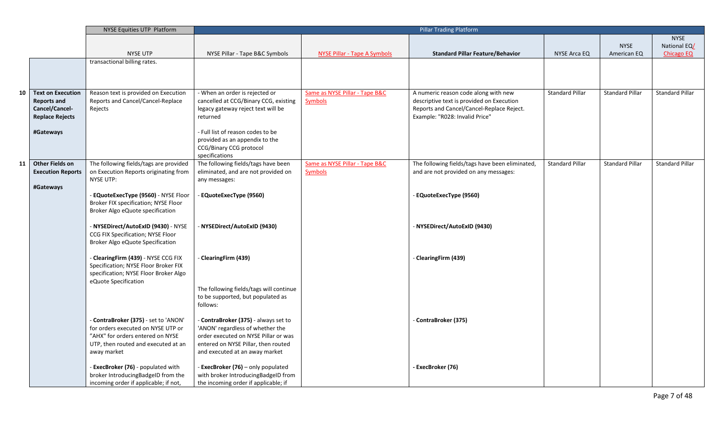|    |                          | NYSE Equities UTP Platform             |                                           | <b>Pillar Trading Platform</b>      |                                                 |                        |                        |                        |
|----|--------------------------|----------------------------------------|-------------------------------------------|-------------------------------------|-------------------------------------------------|------------------------|------------------------|------------------------|
|    |                          |                                        |                                           |                                     |                                                 |                        |                        | <b>NYSE</b>            |
|    |                          |                                        |                                           |                                     |                                                 |                        | <b>NYSE</b>            | National EQ/           |
|    |                          | <b>NYSE UTP</b>                        | NYSE Pillar - Tape B&C Symbols            | <b>NYSE Pillar - Tape A Symbols</b> | <b>Standard Pillar Feature/Behavior</b>         | NYSE Arca EQ           | American EQ            | <b>Chicago EQ</b>      |
|    |                          | transactional billing rates.           |                                           |                                     |                                                 |                        |                        |                        |
|    |                          |                                        |                                           |                                     |                                                 |                        |                        |                        |
|    |                          |                                        |                                           |                                     |                                                 |                        |                        |                        |
|    |                          |                                        |                                           |                                     |                                                 |                        |                        |                        |
| 10 | <b>Text on Execution</b> | Reason text is provided on Execution   | - When an order is rejected or            | Same as NYSE Pillar - Tape B&C      | A numeric reason code along with new            | <b>Standard Pillar</b> | <b>Standard Pillar</b> | Standard Pillar        |
|    | <b>Reports and</b>       | Reports and Cancel/Cancel-Replace      | cancelled at CCG/Binary CCG, existing     | <b>Symbols</b>                      | descriptive text is provided on Execution       |                        |                        |                        |
|    | Cancel/Cancel-           | Rejects                                | legacy gateway reject text will be        |                                     | Reports and Cancel/Cancel-Replace Reject.       |                        |                        |                        |
|    | <b>Replace Rejects</b>   |                                        | returned                                  |                                     | Example: "R028: Invalid Price"                  |                        |                        |                        |
|    |                          |                                        |                                           |                                     |                                                 |                        |                        |                        |
|    | #Gateways                |                                        | - Full list of reason codes to be         |                                     |                                                 |                        |                        |                        |
|    |                          |                                        | provided as an appendix to the            |                                     |                                                 |                        |                        |                        |
|    |                          |                                        | CCG/Binary CCG protocol<br>specifications |                                     |                                                 |                        |                        |                        |
| 11 | Other Fields on          | The following fields/tags are provided | The following fields/tags have been       | Same as NYSE Pillar - Tape B&C      | The following fields/tags have been eliminated, | <b>Standard Pillar</b> | <b>Standard Pillar</b> | <b>Standard Pillar</b> |
|    | <b>Execution Reports</b> | on Execution Reports originating from  | eliminated, and are not provided on       | <b>Symbols</b>                      | and are not provided on any messages:           |                        |                        |                        |
|    |                          | NYSE UTP:                              | any messages:                             |                                     |                                                 |                        |                        |                        |
|    | #Gateways                |                                        |                                           |                                     |                                                 |                        |                        |                        |
|    |                          | - EQuoteExecType (9560) - NYSE Floor   | EQuoteExecType (9560)                     |                                     | - EQuoteExecType (9560)                         |                        |                        |                        |
|    |                          | Broker FIX specification; NYSE Floor   |                                           |                                     |                                                 |                        |                        |                        |
|    |                          | Broker Algo eQuote specification       |                                           |                                     |                                                 |                        |                        |                        |
|    |                          |                                        |                                           |                                     |                                                 |                        |                        |                        |
|    |                          | - NYSEDirect/AutoExID (9430) - NYSE    | - NYSEDirect/AutoExID (9430)              |                                     | NYSEDirect/AutoExID (9430)                      |                        |                        |                        |
|    |                          | CCG FIX Specification; NYSE Floor      |                                           |                                     |                                                 |                        |                        |                        |
|    |                          | Broker Algo eQuote Specification       |                                           |                                     |                                                 |                        |                        |                        |
|    |                          |                                        |                                           |                                     |                                                 |                        |                        |                        |
|    |                          | - ClearingFirm (439) - NYSE CCG FIX    | ClearingFirm (439)                        |                                     | - ClearingFirm (439)                            |                        |                        |                        |
|    |                          | Specification; NYSE Floor Broker FIX   |                                           |                                     |                                                 |                        |                        |                        |
|    |                          | specification; NYSE Floor Broker Algo  |                                           |                                     |                                                 |                        |                        |                        |
|    |                          | eQuote Specification                   | The following fields/tags will continue   |                                     |                                                 |                        |                        |                        |
|    |                          |                                        | to be supported, but populated as         |                                     |                                                 |                        |                        |                        |
|    |                          |                                        | follows:                                  |                                     |                                                 |                        |                        |                        |
|    |                          |                                        |                                           |                                     |                                                 |                        |                        |                        |
|    |                          | - ContraBroker (375) - set to 'ANON'   | - ContraBroker (375) - always set to      |                                     | - ContraBroker (375)                            |                        |                        |                        |
|    |                          | for orders executed on NYSE UTP or     | 'ANON' regardless of whether the          |                                     |                                                 |                        |                        |                        |
|    |                          | "AHX" for orders entered on NYSE       | order executed on NYSE Pillar or was      |                                     |                                                 |                        |                        |                        |
|    |                          | UTP, then routed and executed at an    | entered on NYSE Pillar, then routed       |                                     |                                                 |                        |                        |                        |
|    |                          | away market                            | and executed at an away market            |                                     |                                                 |                        |                        |                        |
|    |                          |                                        |                                           |                                     |                                                 |                        |                        |                        |
|    |                          | - ExecBroker (76) - populated with     | - ExecBroker (76) - only populated        |                                     | - ExecBroker (76)                               |                        |                        |                        |
|    |                          | broker IntroducingBadgeID from the     | with broker IntroducingBadgeID from       |                                     |                                                 |                        |                        |                        |
|    |                          | incoming order if applicable; if not,  | the incoming order if applicable; if      |                                     |                                                 |                        |                        |                        |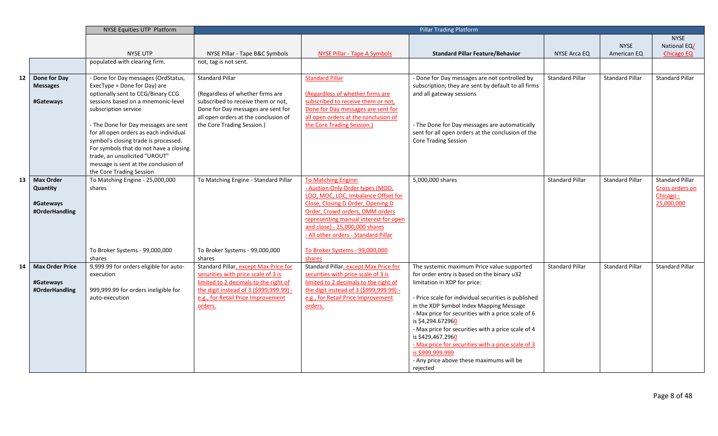|    |                                                             | <b>NYSE Equities UTP Platform</b>                                                                                                                                                                                                                                                                                                                                                                                                               |                                                                                                                                                                                                                  | <b>Pillar Trading Platform</b>                                                                                                                                                                                                                                                                                                        |                                                                                                                                                                                                                                                                                                                                                                                                                                                                                                                     |                        |                        |                                                                      |
|----|-------------------------------------------------------------|-------------------------------------------------------------------------------------------------------------------------------------------------------------------------------------------------------------------------------------------------------------------------------------------------------------------------------------------------------------------------------------------------------------------------------------------------|------------------------------------------------------------------------------------------------------------------------------------------------------------------------------------------------------------------|---------------------------------------------------------------------------------------------------------------------------------------------------------------------------------------------------------------------------------------------------------------------------------------------------------------------------------------|---------------------------------------------------------------------------------------------------------------------------------------------------------------------------------------------------------------------------------------------------------------------------------------------------------------------------------------------------------------------------------------------------------------------------------------------------------------------------------------------------------------------|------------------------|------------------------|----------------------------------------------------------------------|
|    |                                                             |                                                                                                                                                                                                                                                                                                                                                                                                                                                 |                                                                                                                                                                                                                  |                                                                                                                                                                                                                                                                                                                                       |                                                                                                                                                                                                                                                                                                                                                                                                                                                                                                                     |                        |                        | <b>NYSE</b>                                                          |
|    |                                                             |                                                                                                                                                                                                                                                                                                                                                                                                                                                 |                                                                                                                                                                                                                  |                                                                                                                                                                                                                                                                                                                                       |                                                                                                                                                                                                                                                                                                                                                                                                                                                                                                                     |                        | <b>NYSE</b>            | National EQ/                                                         |
|    |                                                             | NYSE UTP                                                                                                                                                                                                                                                                                                                                                                                                                                        | NYSE Pillar - Tape B&C Symbols                                                                                                                                                                                   | NYSE Pillar - Tape A Symbols                                                                                                                                                                                                                                                                                                          | <b>Standard Pillar Feature/Behavior</b>                                                                                                                                                                                                                                                                                                                                                                                                                                                                             | <b>NYSE Arca EQ</b>    | American EQ            | <b>Chicago EQ</b>                                                    |
|    |                                                             | populated with clearing firm.                                                                                                                                                                                                                                                                                                                                                                                                                   | not, tag is not sent.                                                                                                                                                                                            |                                                                                                                                                                                                                                                                                                                                       |                                                                                                                                                                                                                                                                                                                                                                                                                                                                                                                     |                        |                        |                                                                      |
| 12 | Done for Day<br><b>Messages</b><br>#Gateways                | - Done for Day messages (OrdStatus,<br>ExecType = Done for Day) are<br>optionally sent to CCG/Binary CCG<br>sessions based on a mnemonic-level<br>subscription service<br>- The Done for Day messages are sent<br>for all open orders as each individual<br>symbol's closing trade is processed.<br>For symbols that do not have a closing<br>trade, an unsolicited "UROUT"<br>message is sent at the conclusion of<br>the Core Trading Session | <b>Standard Pillar</b><br>(Regardless of whether firms are<br>subscribed to receive them or not,<br>Done for Day messages are sent for<br>all open orders at the conclusion of<br>the Core Trading Session.)     | <b>Standard Pillar</b><br>(Regardless of whether firms are<br>subscribed to receive them or not,<br>Done for Day messages are sent for<br>all open orders at the conclusion of<br>the Core Trading Session.)                                                                                                                          | - Done for Day messages are not controlled by<br>subscription; they are sent by default to all firms<br>and all gateway sessions<br>- The Done for Day messages are automatically<br>sent for all open orders at the conclusion of the<br>Core Trading Session                                                                                                                                                                                                                                                      | <b>Standard Pillar</b> | <b>Standard Pillar</b> | <b>Standard Pillar</b>                                               |
| 13 | <b>Max Order</b><br>Quantity<br>#Gateways<br>#OrderHandling | To Matching Engine - 25,000,000<br>shares<br>To Broker Systems - 99,000,000<br>shares                                                                                                                                                                                                                                                                                                                                                           | To Matching Engine - Standard Pillar<br>To Broker Systems - 99,000,000<br>shares                                                                                                                                 | To Matching Engine:<br>- Auction Only Order types (MOO,<br>LOO, MOC, LOC, Imbalance Offset for<br>Close, Closing D Order, Opening D<br>Order, Crowd orders, DMM orders<br>representing manual interest for open<br>and close) - 25,000,000 shares<br>- All other orders - Standard Pillar<br>To Broker Systems - 99,000,000<br>shares | 5,000,000 shares                                                                                                                                                                                                                                                                                                                                                                                                                                                                                                    | <b>Standard Pillar</b> | <b>Standard Pillar</b> | <b>Standard Pillar</b><br>Cross orders on<br>Chicago -<br>25,000,000 |
| 14 | <b>Max Order Price</b><br>#Gateways<br>#OrderHandling       | 9,999.99 for orders eligible for auto-<br>execution<br>999,999.99 for orders ineligible for<br>auto-execution                                                                                                                                                                                                                                                                                                                                   | Standard Pillar, except Max Price for<br>securities with price scale of 3 is<br>limited to 2 decimals to the right of<br>the digit instead of 3 (\$999,999.99).<br>e.g., for Retail Price Improvement<br>orders. | Standard Pillar, except Max Price for<br>securities with price scale of 3 is<br>limited to 2 decimals to the right of<br>the digit instead of 3 (\$999,999.99) -<br>e.g., for Retail Price Improvement<br>orders.                                                                                                                     | The systemic maximum Price value supported<br>for order entry is based on the binary u32<br>limitation in XDP for price:<br>- Price scale for individual securities is published<br>in the XDP Symbol Index Mapping Message<br>- Max price for securities with a price scale of 6<br>is \$4,294.672960<br>- Max price for securities with a price scale of 4<br>is \$429,467.2960<br>- Max price for securities with a price scale of 3<br>is \$999,999.999<br>- Any price above these maximums will be<br>rejected | <b>Standard Pillar</b> | <b>Standard Pillar</b> | <b>Standard Pillar</b>                                               |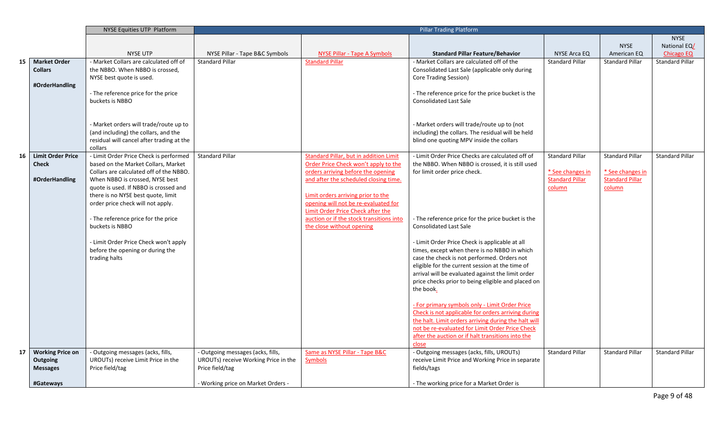|    |                          | NYSE Equities UTP Platform                             |                                      | <b>Pillar Trading Platform</b>                                                |                                                      |                        |                        |                        |
|----|--------------------------|--------------------------------------------------------|--------------------------------------|-------------------------------------------------------------------------------|------------------------------------------------------|------------------------|------------------------|------------------------|
|    |                          |                                                        |                                      |                                                                               |                                                      |                        |                        | <b>NYSE</b>            |
|    |                          |                                                        |                                      |                                                                               |                                                      |                        | <b>NYSE</b>            | National EQ/           |
|    |                          | <b>NYSE UTP</b>                                        | NYSE Pillar - Tape B&C Symbols       | NYSE Pillar - Tape A Symbols                                                  | <b>Standard Pillar Feature/Behavior</b>              | NYSE Arca EQ           | American EQ            | <b>Chicago EQ</b>      |
| 15 | <b>Market Order</b>      | - Market Collars are calculated off of                 | <b>Standard Pillar</b>               | <b>Standard Pillar</b>                                                        | - Market Collars are calculated off of the           | <b>Standard Pillar</b> | <b>Standard Pillar</b> | <b>Standard Pillar</b> |
|    | <b>Collars</b>           | the NBBO. When NBBO is crossed,                        |                                      |                                                                               | Consolidated Last Sale (applicable only during       |                        |                        |                        |
|    |                          | NYSE best quote is used.                               |                                      |                                                                               | Core Trading Session)                                |                        |                        |                        |
|    | #OrderHandling           |                                                        |                                      |                                                                               |                                                      |                        |                        |                        |
|    |                          | - The reference price for the price                    |                                      |                                                                               | - The reference price for the price bucket is the    |                        |                        |                        |
|    |                          | buckets is NBBO                                        |                                      |                                                                               | <b>Consolidated Last Sale</b>                        |                        |                        |                        |
|    |                          |                                                        |                                      |                                                                               |                                                      |                        |                        |                        |
|    |                          |                                                        |                                      |                                                                               |                                                      |                        |                        |                        |
|    |                          | - Market orders will trade/route up to                 |                                      |                                                                               | - Market orders will trade/route up to (not          |                        |                        |                        |
|    |                          | (and including) the collars, and the                   |                                      |                                                                               | including) the collars. The residual will be held    |                        |                        |                        |
|    |                          | residual will cancel after trading at the              |                                      |                                                                               | blind one quoting MPV inside the collars             |                        |                        |                        |
|    |                          | collars                                                |                                      |                                                                               |                                                      |                        |                        |                        |
| 16 | <b>Limit Order Price</b> | - Limit Order Price Check is performed                 | <b>Standard Pillar</b>               | <b>Standard Pillar, but in addition Limit</b>                                 | - Limit Order Price Checks are calculated off of     | <b>Standard Pillar</b> | <b>Standard Pillar</b> | <b>Standard Pillar</b> |
|    | <b>Check</b>             | based on the Market Collars, Market                    |                                      | Order Price Check won't apply to the                                          | the NBBO. When NBBO is crossed, it is still used     |                        |                        |                        |
|    |                          | Collars are calculated off of the NBBO.                |                                      | orders arriving before the opening                                            | for limit order price check.                         | * See changes in       | * See changes in       |                        |
|    | #OrderHandling           | When NBBO is crossed, NYSE best                        |                                      | and after the scheduled closing time.                                         |                                                      | <b>Standard Pillar</b> | <b>Standard Pillar</b> |                        |
|    |                          | quote is used. If NBBO is crossed and                  |                                      |                                                                               |                                                      | column                 | column                 |                        |
|    |                          | there is no NYSE best quote, limit                     |                                      | Limit orders arriving prior to the                                            |                                                      |                        |                        |                        |
|    |                          | order price check will not apply.                      |                                      | opening will not be re-evaluated for                                          |                                                      |                        |                        |                        |
|    |                          |                                                        |                                      | Limit Order Price Check after the<br>auction or if the stock transitions into | - The reference price for the price bucket is the    |                        |                        |                        |
|    |                          | - The reference price for the price<br>buckets is NBBO |                                      | the close without opening                                                     | <b>Consolidated Last Sale</b>                        |                        |                        |                        |
|    |                          |                                                        |                                      |                                                                               |                                                      |                        |                        |                        |
|    |                          | - Limit Order Price Check won't apply                  |                                      |                                                                               | - Limit Order Price Check is applicable at all       |                        |                        |                        |
|    |                          | before the opening or during the                       |                                      |                                                                               | times, except when there is no NBBO in which         |                        |                        |                        |
|    |                          | trading halts                                          |                                      |                                                                               | case the check is not performed. Orders not          |                        |                        |                        |
|    |                          |                                                        |                                      |                                                                               | eligible for the current session at the time of      |                        |                        |                        |
|    |                          |                                                        |                                      |                                                                               | arrival will be evaluated against the limit order    |                        |                        |                        |
|    |                          |                                                        |                                      |                                                                               | price checks prior to being eligible and placed on   |                        |                        |                        |
|    |                          |                                                        |                                      |                                                                               | the book.                                            |                        |                        |                        |
|    |                          |                                                        |                                      |                                                                               |                                                      |                        |                        |                        |
|    |                          |                                                        |                                      |                                                                               | - For primary symbols only - Limit Order Price       |                        |                        |                        |
|    |                          |                                                        |                                      |                                                                               | Check is not applicable for orders arriving during   |                        |                        |                        |
|    |                          |                                                        |                                      |                                                                               | the halt. Limit orders arriving during the halt will |                        |                        |                        |
|    |                          |                                                        |                                      |                                                                               | not be re-evaluated for Limit Order Price Check      |                        |                        |                        |
|    |                          |                                                        |                                      |                                                                               | after the auction or if halt transitions into the    |                        |                        |                        |
|    |                          |                                                        |                                      |                                                                               | close                                                |                        |                        |                        |
| 17 | <b>Working Price on</b>  | - Outgoing messages (acks, fills,                      | - Outgoing messages (acks, fills,    | Same as NYSE Pillar - Tape B&C                                                | - Outgoing messages (acks, fills, UROUTs)            | <b>Standard Pillar</b> | <b>Standard Pillar</b> | <b>Standard Pillar</b> |
|    | Outgoing                 | UROUTs) receive Limit Price in the                     | UROUTs) receive Working Price in the | <b>Symbols</b>                                                                | receive Limit Price and Working Price in separate    |                        |                        |                        |
|    | <b>Messages</b>          | Price field/tag                                        | Price field/tag                      |                                                                               | fields/tags                                          |                        |                        |                        |
|    | #Gateways                |                                                        | - Working price on Market Orders -   |                                                                               | - The working price for a Market Order is            |                        |                        |                        |
|    |                          |                                                        |                                      |                                                                               |                                                      |                        |                        |                        |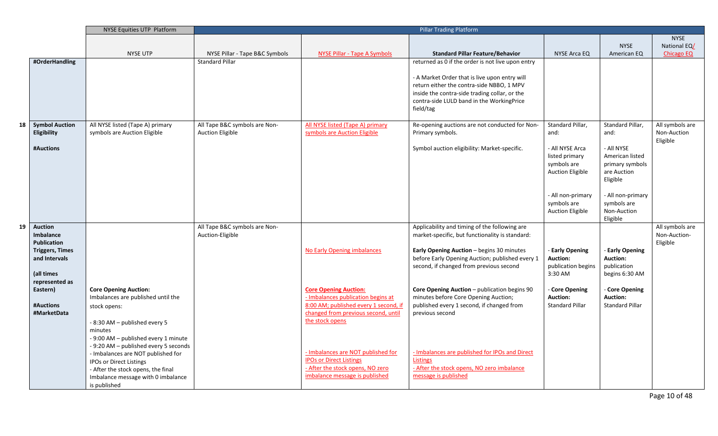|    |                                    | NYSE Equities UTP Platform                                         |                                                   |                                                                      | <b>Pillar Trading Platform</b>                                                                   |                                   |                                |                                 |
|----|------------------------------------|--------------------------------------------------------------------|---------------------------------------------------|----------------------------------------------------------------------|--------------------------------------------------------------------------------------------------|-----------------------------------|--------------------------------|---------------------------------|
|    |                                    |                                                                    |                                                   |                                                                      |                                                                                                  |                                   |                                | <b>NYSE</b>                     |
|    |                                    |                                                                    |                                                   |                                                                      |                                                                                                  |                                   | <b>NYSE</b>                    | National EQ/                    |
|    |                                    | <b>NYSE UTP</b>                                                    | NYSE Pillar - Tape B&C Symbols                    | <b>NYSE Pillar - Tape A Symbols</b>                                  | <b>Standard Pillar Feature/Behavior</b>                                                          | NYSE Arca EQ                      | American EQ                    | <b>Chicago EQ</b>               |
|    | #OrderHandling                     |                                                                    | <b>Standard Pillar</b>                            |                                                                      | returned as 0 if the order is not live upon entry                                                |                                   |                                |                                 |
|    |                                    |                                                                    |                                                   |                                                                      | - A Market Order that is live upon entry will                                                    |                                   |                                |                                 |
|    |                                    |                                                                    |                                                   |                                                                      | return either the contra-side NBBO, 1 MPV                                                        |                                   |                                |                                 |
|    |                                    |                                                                    |                                                   |                                                                      | inside the contra-side trading collar, or the                                                    |                                   |                                |                                 |
|    |                                    |                                                                    |                                                   |                                                                      | contra-side LULD band in the WorkingPrice                                                        |                                   |                                |                                 |
|    |                                    |                                                                    |                                                   |                                                                      | field/tag                                                                                        |                                   |                                |                                 |
| 18 | <b>Symbol Auction</b>              | All NYSE listed (Tape A) primary                                   | All Tape B&C symbols are Non-                     | All NYSE listed (Tape A) primary                                     | Re-opening auctions are not conducted for Non-                                                   | Standard Pillar,                  | Standard Pillar,               | All symbols are                 |
|    | Eligibility                        | symbols are Auction Eligible                                       | <b>Auction Eligible</b>                           | symbols are Auction Eligible                                         | Primary symbols.                                                                                 | and:                              | and:                           | Non-Auction                     |
|    |                                    |                                                                    |                                                   |                                                                      |                                                                                                  |                                   |                                | Eligible                        |
|    | #Auctions                          |                                                                    |                                                   |                                                                      | Symbol auction eligibility: Market-specific.                                                     | - All NYSE Arca                   | - All NYSE                     |                                 |
|    |                                    |                                                                    |                                                   |                                                                      |                                                                                                  | listed primary<br>symbols are     | American listed                |                                 |
|    |                                    |                                                                    |                                                   |                                                                      |                                                                                                  | <b>Auction Eligible</b>           | primary symbols<br>are Auction |                                 |
|    |                                    |                                                                    |                                                   |                                                                      |                                                                                                  |                                   | Eligible                       |                                 |
|    |                                    |                                                                    |                                                   |                                                                      |                                                                                                  |                                   |                                |                                 |
|    |                                    |                                                                    |                                                   |                                                                      |                                                                                                  | - All non-primary                 | - All non-primary              |                                 |
|    |                                    |                                                                    |                                                   |                                                                      |                                                                                                  | symbols are                       | symbols are                    |                                 |
|    |                                    |                                                                    |                                                   |                                                                      |                                                                                                  | <b>Auction Eligible</b>           | Non-Auction                    |                                 |
|    |                                    |                                                                    |                                                   |                                                                      |                                                                                                  |                                   | Eligible                       |                                 |
| 19 | <b>Auction</b><br><b>Imbalance</b> |                                                                    | All Tape B&C symbols are Non-<br>Auction-Eligible |                                                                      | Applicability and timing of the following are<br>market-specific, but functionality is standard: |                                   |                                | All symbols are<br>Non-Auction- |
|    | <b>Publication</b>                 |                                                                    |                                                   |                                                                      |                                                                                                  |                                   |                                | Eligible                        |
|    | <b>Triggers, Times</b>             |                                                                    |                                                   | <b>No Early Opening imbalances</b>                                   | Early Opening Auction - begins 30 minutes                                                        | <b>Early Opening</b>              | - Early Opening                |                                 |
|    | and Intervals                      |                                                                    |                                                   |                                                                      | before Early Opening Auction; published every 1                                                  | <b>Auction:</b>                   | <b>Auction:</b>                |                                 |
|    |                                    |                                                                    |                                                   |                                                                      | second, if changed from previous second                                                          | publication begins                | publication                    |                                 |
|    | (all times                         |                                                                    |                                                   |                                                                      |                                                                                                  | 3:30 AM                           | begins 6:30 AM                 |                                 |
|    | represented as                     |                                                                    |                                                   |                                                                      |                                                                                                  |                                   |                                |                                 |
|    | Eastern)                           | <b>Core Opening Auction:</b><br>Imbalances are published until the |                                                   | <b>Core Opening Auction:</b><br>- Imbalances publication begins at   | Core Opening Auction - publication begins 90<br>minutes before Core Opening Auction;             | - Core Opening<br><b>Auction:</b> | Core Opening<br>Auction:       |                                 |
|    | #Auctions                          | stock opens:                                                       |                                                   | 8:00 AM; published every 1 second, if                                | published every 1 second, if changed from                                                        | <b>Standard Pillar</b>            | <b>Standard Pillar</b>         |                                 |
|    | #MarketData                        |                                                                    |                                                   | changed from previous second, until                                  | previous second                                                                                  |                                   |                                |                                 |
|    |                                    | - 8:30 AM - published every 5                                      |                                                   | the stock opens                                                      |                                                                                                  |                                   |                                |                                 |
|    |                                    | minutes                                                            |                                                   |                                                                      |                                                                                                  |                                   |                                |                                 |
|    |                                    | - 9:00 AM - published every 1 minute                               |                                                   |                                                                      |                                                                                                  |                                   |                                |                                 |
|    |                                    | - 9:20 AM - published every 5 seconds                              |                                                   |                                                                      |                                                                                                  |                                   |                                |                                 |
|    |                                    | - Imbalances are NOT published for                                 |                                                   | - Imbalances are NOT published for<br><b>IPOs or Direct Listings</b> | - Imbalances are published for IPOs and Direct                                                   |                                   |                                |                                 |
|    |                                    | <b>IPOs or Direct Listings</b>                                     |                                                   | - After the stock opens, NO zero                                     | <b>Listings</b><br>- After the stock opens, NO zero imbalance                                    |                                   |                                |                                 |
|    |                                    | - After the stock opens, the final                                 |                                                   | imbalance message is published                                       | message is published                                                                             |                                   |                                |                                 |
|    |                                    | Imbalance message with 0 imbalance<br>is published                 |                                                   |                                                                      |                                                                                                  |                                   |                                |                                 |
|    |                                    |                                                                    |                                                   |                                                                      |                                                                                                  |                                   |                                |                                 |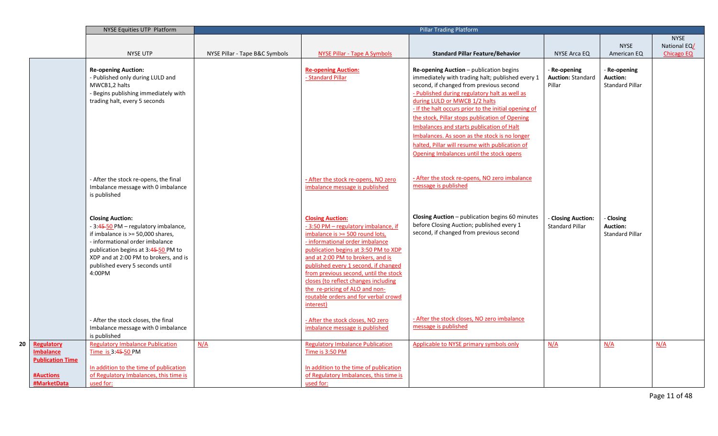|                                                           | NYSE Equities UTP Platform                                                                                                                                                                                                                                           |                                |                                                                                                                                                                                                                                                                                                                                                                                                                                   | <b>Pillar Trading Platform</b>                                                                                                                                                                                                                                                                                                                                                                                                                                                                                                 |                                                   |                                                         |                                   |
|-----------------------------------------------------------|----------------------------------------------------------------------------------------------------------------------------------------------------------------------------------------------------------------------------------------------------------------------|--------------------------------|-----------------------------------------------------------------------------------------------------------------------------------------------------------------------------------------------------------------------------------------------------------------------------------------------------------------------------------------------------------------------------------------------------------------------------------|--------------------------------------------------------------------------------------------------------------------------------------------------------------------------------------------------------------------------------------------------------------------------------------------------------------------------------------------------------------------------------------------------------------------------------------------------------------------------------------------------------------------------------|---------------------------------------------------|---------------------------------------------------------|-----------------------------------|
|                                                           |                                                                                                                                                                                                                                                                      |                                |                                                                                                                                                                                                                                                                                                                                                                                                                                   |                                                                                                                                                                                                                                                                                                                                                                                                                                                                                                                                |                                                   |                                                         | <b>NYSE</b>                       |
|                                                           | <b>NYSE UTP</b>                                                                                                                                                                                                                                                      | NYSE Pillar - Tape B&C Symbols | <b>NYSE Pillar - Tape A Symbols</b>                                                                                                                                                                                                                                                                                                                                                                                               | <b>Standard Pillar Feature/Behavior</b>                                                                                                                                                                                                                                                                                                                                                                                                                                                                                        | <b>NYSE Arca EQ</b>                               | <b>NYSE</b><br>American EQ                              | National EQ/<br><b>Chicago EQ</b> |
|                                                           | <b>Re-opening Auction:</b><br>- Published only during LULD and<br>MWCB1,2 halts<br>- Begins publishing immediately with<br>trading halt, every 5 seconds                                                                                                             |                                | <b>Re-opening Auction:</b><br>- Standard Pillar                                                                                                                                                                                                                                                                                                                                                                                   | Re-opening Auction - publication begins<br>immediately with trading halt; published every 1<br>second, if changed from previous second<br>- Published during regulatory halt as well as<br>during LULD or MWCB 1/2 halts<br>- If the halt occurs prior to the initial opening of<br>the stock, Pillar stops publication of Opening<br>Imbalances and starts publication of Halt<br>Imbalances. As soon as the stock is no longer<br>halted, Pillar will resume with publication of<br>Opening Imbalances until the stock opens | Re-opening<br><b>Auction: Standard</b><br>Pillar  | Re-opening<br><b>Auction:</b><br><b>Standard Pillar</b> |                                   |
|                                                           | - After the stock re-opens, the final<br>Imbalance message with 0 imbalance<br>is published                                                                                                                                                                          |                                | - After the stock re-opens, NO zero<br>imbalance message is published                                                                                                                                                                                                                                                                                                                                                             | - After the stock re-opens, NO zero imbalance<br>message is published                                                                                                                                                                                                                                                                                                                                                                                                                                                          |                                                   |                                                         |                                   |
|                                                           | <b>Closing Auction:</b><br>- 3:45-50 PM - regulatory imbalance,<br>if imbalance is >= 50,000 shares,<br>- informational order imbalance<br>publication begins at 3:45-50 PM to<br>XDP and at 2:00 PM to brokers, and is<br>published every 5 seconds until<br>4:00PM |                                | <b>Closing Auction:</b><br>-3:50 PM - regulatory imbalance, if<br>imbalance is >= 500 round lots,<br>- informational order imbalance<br>publication begins at 3:50 PM to XDP<br>and at 2:00 PM to brokers, and is<br>published every 1 second, if changed<br>from previous second, until the stock<br>closes (to reflect changes including<br>the re-pricing of ALO and non-<br>routable orders and for verbal crowd<br>interest) | Closing Auction - publication begins 60 minutes<br>before Closing Auction; published every 1<br>second, if changed from previous second                                                                                                                                                                                                                                                                                                                                                                                        | <b>Closing Auction:</b><br><b>Standard Pillar</b> | - Closing<br>Auction:<br><b>Standard Pillar</b>         |                                   |
|                                                           | - After the stock closes, the final<br>Imbalance message with 0 imbalance<br>is published                                                                                                                                                                            |                                | - After the stock closes, NO zero<br>imbalance message is published                                                                                                                                                                                                                                                                                                                                                               | - After the stock closes, NO zero imbalance<br>message is published                                                                                                                                                                                                                                                                                                                                                                                                                                                            |                                                   |                                                         |                                   |
| Regulatory<br><b>Imbalance</b><br><b>Publication Time</b> | <b>Regulatory Imbalance Publication</b><br>Time is 3:45-50 PM                                                                                                                                                                                                        | N/A                            | <b>Regulatory Imbalance Publication</b><br>Time is 3:50 PM                                                                                                                                                                                                                                                                                                                                                                        | Applicable to NYSE primary symbols only                                                                                                                                                                                                                                                                                                                                                                                                                                                                                        | N/A                                               | N/A                                                     | N/A                               |
| <b>#Auctions</b><br>#MarketData                           | In addition to the time of publication<br>of Regulatory Imbalances, this time is<br>used for:                                                                                                                                                                        |                                | In addition to the time of publication<br>of Regulatory Imbalances, this time is<br>used for:                                                                                                                                                                                                                                                                                                                                     |                                                                                                                                                                                                                                                                                                                                                                                                                                                                                                                                |                                                   |                                                         |                                   |

**20 Regulatory**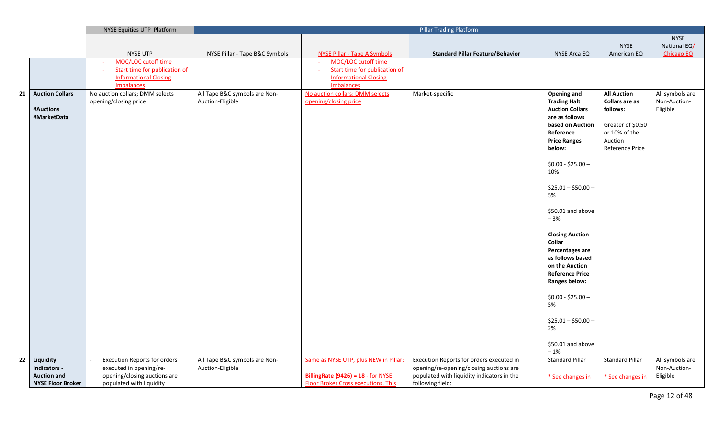|    |                          | NYSE Equities UTP Platform                           |                                | <b>Pillar Trading Platform</b>             |                                            |                                  |                        |                   |
|----|--------------------------|------------------------------------------------------|--------------------------------|--------------------------------------------|--------------------------------------------|----------------------------------|------------------------|-------------------|
|    |                          |                                                      |                                |                                            |                                            |                                  |                        | <b>NYSE</b>       |
|    |                          |                                                      |                                |                                            |                                            |                                  | <b>NYSE</b>            | National EQ/      |
|    |                          | NYSE UTP                                             | NYSE Pillar - Tape B&C Symbols | <b>NYSE Pillar - Tape A Symbols</b>        | <b>Standard Pillar Feature/Behavior</b>    | NYSE Arca EQ                     | American EQ            | <b>Chicago EQ</b> |
|    |                          | MOC/LOC cutoff time                                  |                                | MOC/LOC cutoff time                        |                                            |                                  |                        |                   |
|    |                          | Start time for publication of                        |                                | Start time for publication of              |                                            |                                  |                        |                   |
|    |                          | <b>Informational Closing</b>                         |                                | <b>Informational Closing</b><br>Imbalances |                                            |                                  |                        |                   |
|    | <b>Auction Collars</b>   | <b>Imbalances</b><br>No auction collars; DMM selects | All Tape B&C symbols are Non-  | No auction collars; DMM selects            | Market-specific                            | <b>Opening and</b>               | <b>All Auction</b>     | All symbols are   |
| 21 |                          | opening/closing price                                | Auction-Eligible               | opening/closing price                      |                                            | <b>Trading Halt</b>              | <b>Collars are as</b>  | Non-Auction-      |
|    | #Auctions                |                                                      |                                |                                            |                                            | <b>Auction Collars</b>           | follows:               | Eligible          |
|    | #MarketData              |                                                      |                                |                                            |                                            | are as follows                   |                        |                   |
|    |                          |                                                      |                                |                                            |                                            | based on Auction                 | Greater of \$0.50      |                   |
|    |                          |                                                      |                                |                                            |                                            | Reference                        | or 10% of the          |                   |
|    |                          |                                                      |                                |                                            |                                            | <b>Price Ranges</b>              | Auction                |                   |
|    |                          |                                                      |                                |                                            |                                            | below:                           | Reference Price        |                   |
|    |                          |                                                      |                                |                                            |                                            |                                  |                        |                   |
|    |                          |                                                      |                                |                                            |                                            | $$0.00 - $25.00 -$               |                        |                   |
|    |                          |                                                      |                                |                                            |                                            | 10%                              |                        |                   |
|    |                          |                                                      |                                |                                            |                                            | $$25.01 - $50.00 -$              |                        |                   |
|    |                          |                                                      |                                |                                            |                                            | 5%                               |                        |                   |
|    |                          |                                                      |                                |                                            |                                            |                                  |                        |                   |
|    |                          |                                                      |                                |                                            |                                            | \$50.01 and above                |                        |                   |
|    |                          |                                                      |                                |                                            |                                            | $-3%$                            |                        |                   |
|    |                          |                                                      |                                |                                            |                                            |                                  |                        |                   |
|    |                          |                                                      |                                |                                            |                                            | <b>Closing Auction</b><br>Collar |                        |                   |
|    |                          |                                                      |                                |                                            |                                            | Percentages are                  |                        |                   |
|    |                          |                                                      |                                |                                            |                                            | as follows based                 |                        |                   |
|    |                          |                                                      |                                |                                            |                                            | on the Auction                   |                        |                   |
|    |                          |                                                      |                                |                                            |                                            | <b>Reference Price</b>           |                        |                   |
|    |                          |                                                      |                                |                                            |                                            | <b>Ranges below:</b>             |                        |                   |
|    |                          |                                                      |                                |                                            |                                            |                                  |                        |                   |
|    |                          |                                                      |                                |                                            |                                            | $$0.00 - $25.00 -$               |                        |                   |
|    |                          |                                                      |                                |                                            |                                            | 5%                               |                        |                   |
|    |                          |                                                      |                                |                                            |                                            | $$25.01 - $50.00 -$              |                        |                   |
|    |                          |                                                      |                                |                                            |                                            | 2%                               |                        |                   |
|    |                          |                                                      |                                |                                            |                                            |                                  |                        |                   |
|    |                          |                                                      |                                |                                            |                                            | \$50.01 and above                |                        |                   |
|    |                          |                                                      |                                |                                            |                                            | $-1%$                            |                        |                   |
| 22 | Liquidity                | <b>Execution Reports for orders</b>                  | All Tape B&C symbols are Non-  | Same as NYSE UTP, plus NEW in Pillar:      | Execution Reports for orders executed in   | <b>Standard Pillar</b>           | <b>Standard Pillar</b> | All symbols are   |
|    | Indicators -             | executed in opening/re-                              | Auction-Eligible               |                                            | opening/re-opening/closing auctions are    |                                  |                        | Non-Auction-      |
|    | <b>Auction and</b>       | opening/closing auctions are                         |                                | <b>BillingRate (9426) = 18 - for NYSE</b>  | populated with liquidity indicators in the | * See changes in                 | * See changes in       | Eligible          |
|    | <b>NYSE Floor Broker</b> | populated with liquidity                             |                                | <b>Floor Broker Cross executions. This</b> | following field:                           |                                  |                        |                   |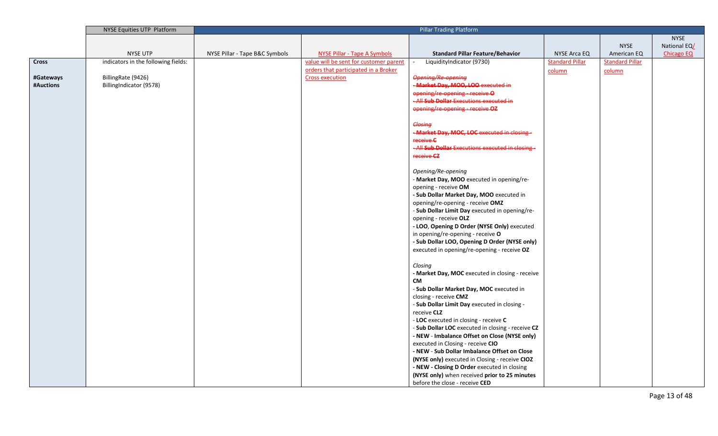|              | NYSE Equities UTP Platform          |                                |                                        | <b>Pillar Trading Platform</b>                                            |                        |                        |                   |
|--------------|-------------------------------------|--------------------------------|----------------------------------------|---------------------------------------------------------------------------|------------------------|------------------------|-------------------|
|              |                                     |                                |                                        |                                                                           |                        |                        | <b>NYSE</b>       |
|              |                                     |                                |                                        |                                                                           |                        | <b>NYSE</b>            | National EQ/      |
|              | <b>NYSE UTP</b>                     | NYSE Pillar - Tape B&C Symbols | <b>NYSE Pillar - Tape A Symbols</b>    | <b>Standard Pillar Feature/Behavior</b>                                   | NYSE Arca EQ           | American EQ            | <b>Chicago EQ</b> |
| <b>Cross</b> | indicators in the following fields: |                                | value will be sent for customer parent | LiquidityIndicator (9730)                                                 | <b>Standard Pillar</b> | <b>Standard Pillar</b> |                   |
|              |                                     |                                | orders that participated in a Broker   |                                                                           | column                 | column                 |                   |
| #Gateways    | BillingRate (9426)                  |                                | <b>Cross execution</b>                 | <b>Opening/Re opening</b>                                                 |                        |                        |                   |
| #Auctions    | BillingIndicator (9578)             |                                |                                        | -Market Day, MOO, LOO executed in                                         |                        |                        |                   |
|              |                                     |                                |                                        | opening/re-opening - receive O<br>- All Sub Dollar Executions executed in |                        |                        |                   |
|              |                                     |                                |                                        |                                                                           |                        |                        |                   |
|              |                                     |                                |                                        | opening/re opening receive OZ                                             |                        |                        |                   |
|              |                                     |                                |                                        | Closing                                                                   |                        |                        |                   |
|              |                                     |                                |                                        | <b>Market Day, MOC, LOC</b> executed in closing-                          |                        |                        |                   |
|              |                                     |                                |                                        | receive C                                                                 |                        |                        |                   |
|              |                                     |                                |                                        | - All Sub Dollar Executions executed in closing -                         |                        |                        |                   |
|              |                                     |                                |                                        | receive CZ                                                                |                        |                        |                   |
|              |                                     |                                |                                        |                                                                           |                        |                        |                   |
|              |                                     |                                |                                        | Opening/Re-opening                                                        |                        |                        |                   |
|              |                                     |                                |                                        | - Market Day, MOO executed in opening/re-                                 |                        |                        |                   |
|              |                                     |                                |                                        | opening - receive OM                                                      |                        |                        |                   |
|              |                                     |                                |                                        | - Sub Dollar Market Day, MOO executed in                                  |                        |                        |                   |
|              |                                     |                                |                                        | opening/re-opening - receive OMZ                                          |                        |                        |                   |
|              |                                     |                                |                                        | - Sub Dollar Limit Day executed in opening/re-                            |                        |                        |                   |
|              |                                     |                                |                                        | opening - receive OLZ                                                     |                        |                        |                   |
|              |                                     |                                |                                        | - LOO, Opening D Order (NYSE Only) executed                               |                        |                        |                   |
|              |                                     |                                |                                        | in opening/re-opening - receive O                                         |                        |                        |                   |
|              |                                     |                                |                                        | - Sub Dollar LOO, Opening D Order (NYSE only)                             |                        |                        |                   |
|              |                                     |                                |                                        | executed in opening/re-opening - receive OZ                               |                        |                        |                   |
|              |                                     |                                |                                        | Closing                                                                   |                        |                        |                   |
|              |                                     |                                |                                        | - Market Day, MOC executed in closing - receive                           |                        |                        |                   |
|              |                                     |                                |                                        | <b>CM</b>                                                                 |                        |                        |                   |
|              |                                     |                                |                                        | - Sub Dollar Market Day, MOC executed in                                  |                        |                        |                   |
|              |                                     |                                |                                        | closing - receive CMZ                                                     |                        |                        |                   |
|              |                                     |                                |                                        | - Sub Dollar Limit Day executed in closing -                              |                        |                        |                   |
|              |                                     |                                |                                        | receive CLZ                                                               |                        |                        |                   |
|              |                                     |                                |                                        | - LOC executed in closing - receive C                                     |                        |                        |                   |
|              |                                     |                                |                                        | - Sub Dollar LOC executed in closing - receive CZ                         |                        |                        |                   |
|              |                                     |                                |                                        | - NEW - Imbalance Offset on Close (NYSE only)                             |                        |                        |                   |
|              |                                     |                                |                                        | executed in Closing - receive CIO                                         |                        |                        |                   |
|              |                                     |                                |                                        | - NEW - Sub Dollar Imbalance Offset on Close                              |                        |                        |                   |
|              |                                     |                                |                                        | (NYSE only) executed in Closing - receive CIOZ                            |                        |                        |                   |
|              |                                     |                                |                                        | - NEW - Closing D Order executed in closing                               |                        |                        |                   |
|              |                                     |                                |                                        | (NYSE only) when received prior to 25 minutes                             |                        |                        |                   |
|              |                                     |                                |                                        | before the close - receive CED                                            |                        |                        |                   |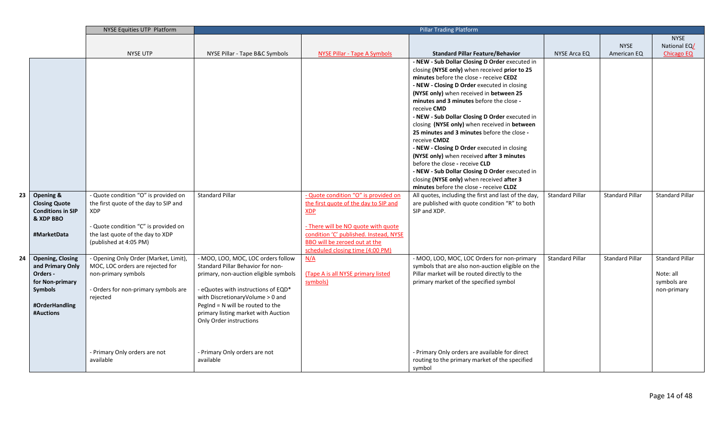|    |                                                                                                                      | NYSE Equities UTP Platform                                                                                                                           |                                                                                                                                                                                                                                                                                                     |                                                                                                                                                    | <b>Pillar Trading Platform</b>                                                                                                                                                                                                                                                                                                                                                                                                                                                                                                                                                                                                                                                                                                                                                                                                                                     |                        |                            |                                                                   |
|----|----------------------------------------------------------------------------------------------------------------------|------------------------------------------------------------------------------------------------------------------------------------------------------|-----------------------------------------------------------------------------------------------------------------------------------------------------------------------------------------------------------------------------------------------------------------------------------------------------|----------------------------------------------------------------------------------------------------------------------------------------------------|--------------------------------------------------------------------------------------------------------------------------------------------------------------------------------------------------------------------------------------------------------------------------------------------------------------------------------------------------------------------------------------------------------------------------------------------------------------------------------------------------------------------------------------------------------------------------------------------------------------------------------------------------------------------------------------------------------------------------------------------------------------------------------------------------------------------------------------------------------------------|------------------------|----------------------------|-------------------------------------------------------------------|
|    |                                                                                                                      |                                                                                                                                                      |                                                                                                                                                                                                                                                                                                     |                                                                                                                                                    |                                                                                                                                                                                                                                                                                                                                                                                                                                                                                                                                                                                                                                                                                                                                                                                                                                                                    |                        |                            | <b>NYSE</b>                                                       |
|    |                                                                                                                      | <b>NYSE UTP</b>                                                                                                                                      |                                                                                                                                                                                                                                                                                                     |                                                                                                                                                    | <b>Standard Pillar Feature/Behavior</b>                                                                                                                                                                                                                                                                                                                                                                                                                                                                                                                                                                                                                                                                                                                                                                                                                            | NYSE Arca EQ           | <b>NYSE</b><br>American EQ | National EQ/                                                      |
| 23 | Opening &<br><b>Closing Quote</b><br><b>Conditions in SIP</b>                                                        | - Quote condition "O" is provided on<br>the first quote of the day to SIP and<br><b>XDP</b>                                                          | NYSE Pillar - Tape B&C Symbols<br><b>Standard Pillar</b>                                                                                                                                                                                                                                            | NYSE Pillar - Tape A Symbols<br>- Quote condition "O" is provided on<br>the first quote of the day to SIP and<br>XDP                               | - NEW - Sub Dollar Closing D Order executed in<br>closing (NYSE only) when received prior to 25<br>minutes before the close - receive CEDZ<br>- NEW - Closing D Order executed in closing<br>(NYSE only) when received in between 25<br>minutes and 3 minutes before the close -<br>receive CMD<br>- NEW - Sub Dollar Closing D Order executed in<br>closing (NYSE only) when received in between<br>25 minutes and 3 minutes before the close -<br>receive CMDZ<br>- NEW - Closing D Order executed in closing<br>(NYSE only) when received after 3 minutes<br>before the close - receive CLD<br>- NEW - Sub Dollar Closing D Order executed in<br>closing (NYSE only) when received after 3<br>minutes before the close - receive CLDZ<br>All quotes, including the first and last of the day,<br>are published with quote condition "R" to both<br>SIP and XDP. | <b>Standard Pillar</b> | Standard Pillar            | Chicago EQ<br>Standard Pillar                                     |
|    | & XDP BBO<br>#MarketData                                                                                             | - Quote condition "C" is provided on<br>the last quote of the day to XDP<br>(published at 4:05 PM)                                                   |                                                                                                                                                                                                                                                                                                     | - There will be NO quote with quote<br>condition 'C' published. Instead, NYSE<br>BBO will be zeroed out at the<br>scheduled closing time (4:00 PM) |                                                                                                                                                                                                                                                                                                                                                                                                                                                                                                                                                                                                                                                                                                                                                                                                                                                                    |                        |                            |                                                                   |
| 24 | <b>Opening, Closing</b><br>and Primary Only<br>Orders -<br>for Non-primary<br>Symbols<br>#OrderHandling<br>#Auctions | - Opening Only Order (Market, Limit),<br>MOC, LOC orders are rejected for<br>non-primary symbols<br>- Orders for non-primary symbols are<br>rejected | - MOO, LOO, MOC, LOC orders follow<br>Standard Pillar Behavior for non-<br>primary, non-auction eligible symbols<br>- eQuotes with instructions of EQD*<br>with DiscretionaryVolume > 0 and<br>PegInd $= N$ will be routed to the<br>primary listing market with Auction<br>Only Order instructions | N/A<br>(Tape A is all NYSE primary listed<br>symbols)                                                                                              | - MOO, LOO, MOC, LOC Orders for non-primary<br>symbols that are also non-auction eligible on the<br>Pillar market will be routed directly to the<br>primary market of the specified symbol                                                                                                                                                                                                                                                                                                                                                                                                                                                                                                                                                                                                                                                                         | <b>Standard Pillar</b> | <b>Standard Pillar</b>     | <b>Standard Pillar</b><br>Note: all<br>symbols are<br>non-primary |
|    |                                                                                                                      | - Primary Only orders are not<br>available                                                                                                           | - Primary Only orders are not<br>available                                                                                                                                                                                                                                                          |                                                                                                                                                    | - Primary Only orders are available for direct<br>routing to the primary market of the specified<br>symbol                                                                                                                                                                                                                                                                                                                                                                                                                                                                                                                                                                                                                                                                                                                                                         |                        |                            |                                                                   |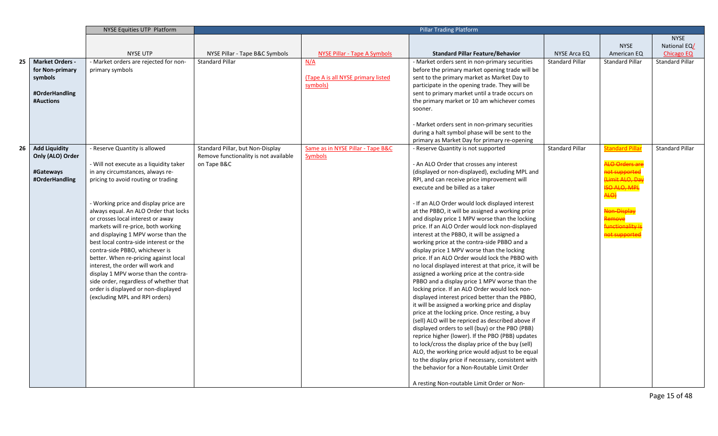|    |                        | NYSE Equities UTP Platform                                                    | <b>Pillar Trading Platform</b>        |                                     |                                                                                                   |                        |                        |                        |
|----|------------------------|-------------------------------------------------------------------------------|---------------------------------------|-------------------------------------|---------------------------------------------------------------------------------------------------|------------------------|------------------------|------------------------|
|    |                        |                                                                               |                                       |                                     |                                                                                                   |                        |                        | <b>NYSE</b>            |
|    |                        |                                                                               |                                       |                                     |                                                                                                   |                        | <b>NYSE</b>            | National EQ/           |
|    |                        | <b>NYSE UTP</b>                                                               | NYSE Pillar - Tape B&C Symbols        | <b>NYSE Pillar - Tape A Symbols</b> | <b>Standard Pillar Feature/Behavior</b>                                                           | NYSE Arca EQ           | American EQ            | <b>Chicago EQ</b>      |
| 25 | <b>Market Orders -</b> | - Market orders are rejected for non-                                         | <b>Standard Pillar</b>                | N/A                                 | - Market orders sent in non-primary securities                                                    | <b>Standard Pillar</b> | <b>Standard Pillar</b> | <b>Standard Pillar</b> |
|    | for Non-primary        | primary symbols                                                               |                                       |                                     | before the primary market opening trade will be                                                   |                        |                        |                        |
|    | symbols                |                                                                               |                                       | (Tape A is all NYSE primary listed  | sent to the primary market as Market Day to                                                       |                        |                        |                        |
|    |                        |                                                                               |                                       | symbols)                            | participate in the opening trade. They will be                                                    |                        |                        |                        |
|    | #OrderHandling         |                                                                               |                                       |                                     | sent to primary market until a trade occurs on                                                    |                        |                        |                        |
|    | #Auctions              |                                                                               |                                       |                                     | the primary market or 10 am whichever comes                                                       |                        |                        |                        |
|    |                        |                                                                               |                                       |                                     | sooner.                                                                                           |                        |                        |                        |
|    |                        |                                                                               |                                       |                                     |                                                                                                   |                        |                        |                        |
|    |                        |                                                                               |                                       |                                     | - Market orders sent in non-primary securities                                                    |                        |                        |                        |
|    |                        |                                                                               |                                       |                                     | during a halt symbol phase will be sent to the                                                    |                        |                        |                        |
|    |                        |                                                                               |                                       |                                     | primary as Market Day for primary re-opening                                                      |                        |                        |                        |
| 26 | <b>Add Liquidity</b>   | - Reserve Quantity is allowed                                                 | Standard Pillar, but Non-Display      | Same as in NYSE Pillar - Tape B&C   | - Reserve Quantity is not supported                                                               | <b>Standard Pillar</b> | <b>Standard Pillar</b> | <b>Standard Pillar</b> |
|    | Only (ALO) Order       |                                                                               | Remove functionality is not available | <b>Symbols</b>                      |                                                                                                   |                        |                        |                        |
|    |                        | - Will not execute as a liquidity taker                                       | on Tape B&C                           |                                     | - An ALO Order that crosses any interest                                                          |                        | <b>LO Orders ar</b>    |                        |
|    | #Gateways              | in any circumstances, always re-                                              |                                       |                                     | (displayed or non-displayed), excluding MPL and                                                   |                        | ot supportee           |                        |
|    | #OrderHandling         | pricing to avoid routing or trading                                           |                                       |                                     | RPI, and can receive price improvement will                                                       |                        | Limit ALO, Day         |                        |
|    |                        |                                                                               |                                       |                                     | execute and be billed as a taker                                                                  |                        | <b>ISO ALO, MPL</b>    |                        |
|    |                        |                                                                               |                                       |                                     |                                                                                                   |                        | ALO)                   |                        |
|    |                        | - Working price and display price are                                         |                                       |                                     | - If an ALO Order would lock displayed interest                                                   |                        | Non-Display            |                        |
|    |                        | always equal. An ALO Order that locks                                         |                                       |                                     | at the PBBO, it will be assigned a working price                                                  |                        |                        |                        |
|    |                        | or crosses local interest or away<br>markets will re-price, both working      |                                       |                                     | and display price 1 MPV worse than the locking<br>price. If an ALO Order would lock non-displayed |                        | unctionality is        |                        |
|    |                        |                                                                               |                                       |                                     |                                                                                                   |                        | not supported          |                        |
|    |                        | and displaying 1 MPV worse than the<br>best local contra-side interest or the |                                       |                                     | interest at the PBBO, it will be assigned a<br>working price at the contra-side PBBO and a        |                        |                        |                        |
|    |                        | contra-side PBBO, whichever is                                                |                                       |                                     | display price 1 MPV worse than the locking                                                        |                        |                        |                        |
|    |                        | better. When re-pricing against local                                         |                                       |                                     | price. If an ALO Order would lock the PBBO with                                                   |                        |                        |                        |
|    |                        | interest, the order will work and                                             |                                       |                                     | no local displayed interest at that price, it will be                                             |                        |                        |                        |
|    |                        | display 1 MPV worse than the contra-                                          |                                       |                                     | assigned a working price at the contra-side                                                       |                        |                        |                        |
|    |                        | side order, regardless of whether that                                        |                                       |                                     | PBBO and a display price 1 MPV worse than the                                                     |                        |                        |                        |
|    |                        | order is displayed or non-displayed                                           |                                       |                                     | locking price. If an ALO Order would lock non-                                                    |                        |                        |                        |
|    |                        | (excluding MPL and RPI orders)                                                |                                       |                                     | displayed interest priced better than the PBBO,                                                   |                        |                        |                        |
|    |                        |                                                                               |                                       |                                     | it will be assigned a working price and display                                                   |                        |                        |                        |
|    |                        |                                                                               |                                       |                                     | price at the locking price. Once resting, a buy                                                   |                        |                        |                        |
|    |                        |                                                                               |                                       |                                     | (sell) ALO will be repriced as described above if                                                 |                        |                        |                        |
|    |                        |                                                                               |                                       |                                     | displayed orders to sell (buy) or the PBO (PBB)                                                   |                        |                        |                        |
|    |                        |                                                                               |                                       |                                     | reprice higher (lower). If the PBO (PBB) updates                                                  |                        |                        |                        |
|    |                        |                                                                               |                                       |                                     | to lock/cross the display price of the buy (sell)                                                 |                        |                        |                        |
|    |                        |                                                                               |                                       |                                     | ALO, the working price would adjust to be equal                                                   |                        |                        |                        |
|    |                        |                                                                               |                                       |                                     | to the display price if necessary, consistent with                                                |                        |                        |                        |
|    |                        |                                                                               |                                       |                                     | the behavior for a Non-Routable Limit Order                                                       |                        |                        |                        |
|    |                        |                                                                               |                                       |                                     |                                                                                                   |                        |                        |                        |
|    |                        |                                                                               |                                       |                                     | A resting Non-routable Limit Order or Non-                                                        |                        |                        |                        |

Page 15 of 48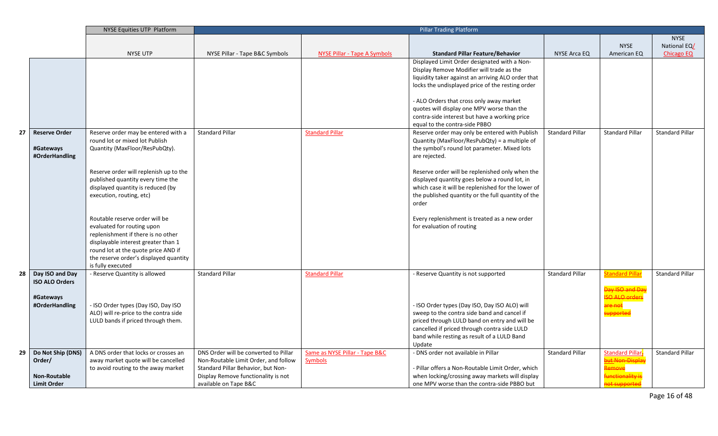|    |                                          | NYSE Equities UTP Platform             |                                       | <b>Pillar Trading Platform</b> |                                                                                |                        |                             |                        |
|----|------------------------------------------|----------------------------------------|---------------------------------------|--------------------------------|--------------------------------------------------------------------------------|------------------------|-----------------------------|------------------------|
|    |                                          |                                        |                                       |                                |                                                                                |                        |                             | <b>NYSE</b>            |
|    |                                          |                                        |                                       |                                |                                                                                |                        | <b>NYSE</b>                 | National EQ/           |
|    |                                          | <b>NYSE UTP</b>                        | NYSE Pillar - Tape B&C Symbols        | NYSE Pillar - Tape A Symbols   | <b>Standard Pillar Feature/Behavior</b>                                        | NYSE Arca EQ           | American EQ                 | <b>Chicago EQ</b>      |
|    |                                          |                                        |                                       |                                | Displayed Limit Order designated with a Non-                                   |                        |                             |                        |
|    |                                          |                                        |                                       |                                | Display Remove Modifier will trade as the                                      |                        |                             |                        |
|    |                                          |                                        |                                       |                                | liquidity taker against an arriving ALO order that                             |                        |                             |                        |
|    |                                          |                                        |                                       |                                | locks the undisplayed price of the resting order                               |                        |                             |                        |
|    |                                          |                                        |                                       |                                |                                                                                |                        |                             |                        |
|    |                                          |                                        |                                       |                                | - ALO Orders that cross only away market                                       |                        |                             |                        |
|    |                                          |                                        |                                       |                                | quotes will display one MPV worse than the                                     |                        |                             |                        |
|    |                                          |                                        |                                       |                                | contra-side interest but have a working price<br>equal to the contra-side PBBO |                        |                             |                        |
| 27 | <b>Reserve Order</b>                     | Reserve order may be entered with a    | <b>Standard Pillar</b>                | <b>Standard Pillar</b>         | Reserve order may only be entered with Publish                                 | <b>Standard Pillar</b> | <b>Standard Pillar</b>      | <b>Standard Pillar</b> |
|    |                                          | round lot or mixed lot Publish         |                                       |                                | Quantity (MaxFloor/ResPubQty) = a multiple of                                  |                        |                             |                        |
|    | #Gateways                                | Quantity (MaxFloor/ResPubQty).         |                                       |                                | the symbol's round lot parameter. Mixed lots                                   |                        |                             |                        |
|    | #OrderHandling                           |                                        |                                       |                                | are rejected.                                                                  |                        |                             |                        |
|    |                                          |                                        |                                       |                                |                                                                                |                        |                             |                        |
|    |                                          | Reserve order will replenish up to the |                                       |                                | Reserve order will be replenished only when the                                |                        |                             |                        |
|    |                                          | published quantity every time the      |                                       |                                | displayed quantity goes below a round lot, in                                  |                        |                             |                        |
|    |                                          | displayed quantity is reduced (by      |                                       |                                | which case it will be replenished for the lower of                             |                        |                             |                        |
|    |                                          | execution, routing, etc)               |                                       |                                | the published quantity or the full quantity of the                             |                        |                             |                        |
|    |                                          |                                        |                                       |                                | order                                                                          |                        |                             |                        |
|    |                                          |                                        |                                       |                                |                                                                                |                        |                             |                        |
|    |                                          | Routable reserve order will be         |                                       |                                | Every replenishment is treated as a new order                                  |                        |                             |                        |
|    |                                          | evaluated for routing upon             |                                       |                                | for evaluation of routing                                                      |                        |                             |                        |
|    |                                          | replenishment if there is no other     |                                       |                                |                                                                                |                        |                             |                        |
|    |                                          | displayable interest greater than 1    |                                       |                                |                                                                                |                        |                             |                        |
|    |                                          | round lot at the quote price AND if    |                                       |                                |                                                                                |                        |                             |                        |
|    |                                          | the reserve order's displayed quantity |                                       |                                |                                                                                |                        |                             |                        |
|    |                                          | is fully executed                      |                                       |                                |                                                                                |                        |                             |                        |
| 28 | Day ISO and Day<br><b>ISO ALO Orders</b> | - Reserve Quantity is allowed          | <b>Standard Pillar</b>                | <b>Standard Pillar</b>         | - Reserve Quantity is not supported                                            | <b>Standard Pillar</b> | <b>Standard Pilla</b>       | <b>Standard Pillar</b> |
|    |                                          |                                        |                                       |                                |                                                                                |                        | Day ISO and Day             |                        |
|    | #Gateways                                |                                        |                                       |                                |                                                                                |                        | <b>ISO ALO orders</b>       |                        |
|    | #OrderHandling                           | - ISO Order types (Day ISO, Day ISO    |                                       |                                | - ISO Order types (Day ISO, Day ISO ALO) will                                  |                        | are not                     |                        |
|    |                                          | ALO) will re-price to the contra side  |                                       |                                | sweep to the contra side band and cancel if                                    |                        | supportee                   |                        |
|    |                                          | LULD bands if priced through them.     |                                       |                                | priced through LULD band on entry and will be                                  |                        |                             |                        |
|    |                                          |                                        |                                       |                                | cancelled if priced through contra side LULD                                   |                        |                             |                        |
|    |                                          |                                        |                                       |                                | band while resting as result of a LULD Band                                    |                        |                             |                        |
|    |                                          |                                        |                                       |                                | Update                                                                         |                        |                             |                        |
| 29 | Do Not Ship (DNS)                        | A DNS order that locks or crosses an   | DNS Order will be converted to Pillar | Same as NYSE Pillar - Tape B&C | - DNS order not available in Pillar                                            | <b>Standard Pillar</b> | Standard Pillar-            | <b>Standard Pillar</b> |
|    | Order/                                   | away market quote will be cancelled    | Non-Routable Limit Order, and follow  | <b>Symbols</b>                 |                                                                                |                        | but Non-Display             |                        |
|    |                                          | to avoid routing to the away market    | Standard Pillar Behavior, but Non-    |                                | Pillar offers a Non-Routable Limit Order, which                                |                        | <b>emove</b>                |                        |
|    | Non-Routable                             |                                        | Display Remove functionality is not   |                                | when locking/crossing away markets will display                                |                        | <mark>unctionality i</mark> |                        |
|    | <b>Limit Order</b>                       |                                        | available on Tape B&C                 |                                | one MPV worse than the contra-side PBBO but                                    |                        | not supported               |                        |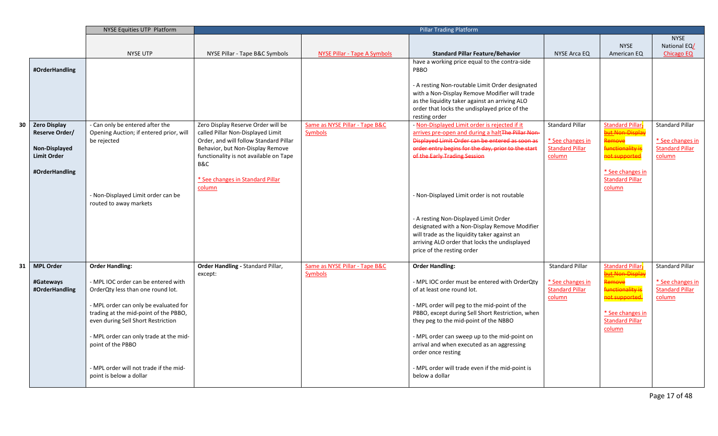|    |                     | NYSE Equities UTP Platform              |                                        | <b>Pillar Trading Platform</b>      |                                                    |                        |                        |                        |
|----|---------------------|-----------------------------------------|----------------------------------------|-------------------------------------|----------------------------------------------------|------------------------|------------------------|------------------------|
|    |                     |                                         |                                        |                                     |                                                    |                        |                        | <b>NYSE</b>            |
|    |                     |                                         |                                        |                                     |                                                    |                        | <b>NYSE</b>            | National EQ/           |
|    |                     | <b>NYSE UTP</b>                         | NYSE Pillar - Tape B&C Symbols         | <b>NYSE Pillar - Tape A Symbols</b> | <b>Standard Pillar Feature/Behavior</b>            | NYSE Arca EQ           | American EQ            | <b>Chicago EQ</b>      |
|    |                     |                                         |                                        |                                     | have a working price equal to the contra-side      |                        |                        |                        |
|    | #OrderHandling      |                                         |                                        |                                     | PBBO                                               |                        |                        |                        |
|    |                     |                                         |                                        |                                     | - A resting Non-routable Limit Order designated    |                        |                        |                        |
|    |                     |                                         |                                        |                                     | with a Non-Display Remove Modifier will trade      |                        |                        |                        |
|    |                     |                                         |                                        |                                     | as the liquidity taker against an arriving ALO     |                        |                        |                        |
|    |                     |                                         |                                        |                                     | order that locks the undisplayed price of the      |                        |                        |                        |
|    |                     |                                         |                                        |                                     | resting order                                      |                        |                        |                        |
| 30 | <b>Zero Display</b> | - Can only be entered after the         | Zero Display Reserve Order will be     | Same as NYSE Pillar - Tape B&C      | - Non-Displayed Limit order is rejected if it      | <b>Standard Pillar</b> | <b>Standard Pillar</b> | <b>Standard Pillar</b> |
|    | Reserve Order/      | Opening Auction; if entered prior, will | called Pillar Non-Displayed Limit      | <b>Symbols</b>                      | arrives pre-open and during a halt The Pillar Non- |                        | but Non-Displa         |                        |
|    |                     | be rejected                             | Order, and will follow Standard Pillar |                                     | Displayed Limit Order can be entered as soon as    | * See changes in       | <b>lemove</b>          | * See changes in       |
|    | Non-Displayed       |                                         | Behavior, but Non-Display Remove       |                                     | order entry begins for the day, prior to the start | <b>Standard Pillar</b> | <b>unctionality is</b> | <b>Standard Pillar</b> |
|    | <b>Limit Order</b>  |                                         | functionality is not available on Tape |                                     | of the Early Trading Session                       | column                 | not supported          | column                 |
|    |                     |                                         | B&C                                    |                                     |                                                    |                        |                        |                        |
|    | #OrderHandling      |                                         |                                        |                                     |                                                    |                        | * See changes in       |                        |
|    |                     |                                         | * See changes in Standard Pillar       |                                     |                                                    |                        | <b>Standard Pillar</b> |                        |
|    |                     |                                         | column                                 |                                     |                                                    |                        | column                 |                        |
|    |                     | - Non-Displayed Limit order can be      |                                        |                                     | - Non-Displayed Limit order is not routable        |                        |                        |                        |
|    |                     | routed to away markets                  |                                        |                                     |                                                    |                        |                        |                        |
|    |                     |                                         |                                        |                                     | - A resting Non-Displayed Limit Order              |                        |                        |                        |
|    |                     |                                         |                                        |                                     | designated with a Non-Display Remove Modifier      |                        |                        |                        |
|    |                     |                                         |                                        |                                     | will trade as the liquidity taker against an       |                        |                        |                        |
|    |                     |                                         |                                        |                                     | arriving ALO order that locks the undisplayed      |                        |                        |                        |
|    |                     |                                         |                                        |                                     | price of the resting order                         |                        |                        |                        |
|    |                     |                                         |                                        |                                     |                                                    |                        |                        |                        |
| 31 | <b>MPL Order</b>    | <b>Order Handling:</b>                  | Order Handling - Standard Pillar,      | Same as NYSE Pillar - Tape B&C      | <b>Order Handling:</b>                             | <b>Standard Pillar</b> | <b>Standard Pillar</b> | <b>Standard Pillar</b> |
|    |                     |                                         | except:                                | <b>Symbols</b>                      |                                                    |                        | <u>but Non-Displa</u>  |                        |
|    | #Gateways           | - MPL IOC order can be entered with     |                                        |                                     | - MPL IOC order must be entered with OrderQty      | * See changes in       | <b>Remove</b>          | * See changes in       |
|    | #OrderHandling      | OrderQty less than one round lot.       |                                        |                                     | of at least one round lot.                         | <b>Standard Pillar</b> | functionality is       | <b>Standard Pillar</b> |
|    |                     |                                         |                                        |                                     |                                                    | column                 | not supported.         | column                 |
|    |                     | - MPL order can only be evaluated for   |                                        |                                     | - MPL order will peg to the mid-point of the       |                        |                        |                        |
|    |                     | trading at the mid-point of the PBBO,   |                                        |                                     | PBBO, except during Sell Short Restriction, when   |                        | * See changes in       |                        |
|    |                     | even during Sell Short Restriction      |                                        |                                     | they peg to the mid-point of the NBBO              |                        | <b>Standard Pillar</b> |                        |
|    |                     | - MPL order can only trade at the mid-  |                                        |                                     | - MPL order can sweep up to the mid-point on       |                        | column                 |                        |
|    |                     |                                         |                                        |                                     | arrival and when executed as an aggressing         |                        |                        |                        |
|    |                     | point of the PBBO                       |                                        |                                     |                                                    |                        |                        |                        |
|    |                     |                                         |                                        |                                     | order once resting                                 |                        |                        |                        |
|    |                     | - MPL order will not trade if the mid-  |                                        |                                     | - MPL order will trade even if the mid-point is    |                        |                        |                        |
|    |                     | point is below a dollar                 |                                        |                                     | below a dollar                                     |                        |                        |                        |
|    |                     |                                         |                                        |                                     |                                                    |                        |                        |                        |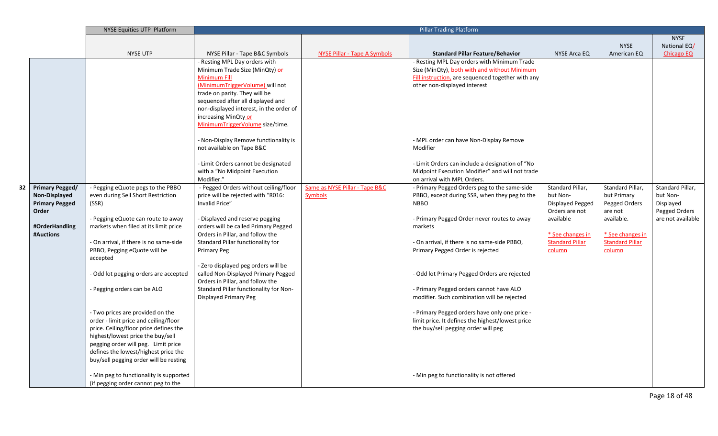|    |                        | <b>NYSE Equities UTP Platform</b>       |                                                                            | <b>Pillar Trading Platform</b>      |                                                                                   |                             |                        |                                    |
|----|------------------------|-----------------------------------------|----------------------------------------------------------------------------|-------------------------------------|-----------------------------------------------------------------------------------|-----------------------------|------------------------|------------------------------------|
|    |                        |                                         |                                                                            |                                     |                                                                                   |                             |                        | <b>NYSE</b>                        |
|    |                        |                                         |                                                                            |                                     |                                                                                   |                             | <b>NYSE</b>            | National EQ/                       |
|    |                        | <b>NYSE UTP</b>                         | NYSE Pillar - Tape B&C Symbols                                             | <b>NYSE Pillar - Tape A Symbols</b> | <b>Standard Pillar Feature/Behavior</b>                                           | <b>NYSE Arca EQ</b>         | American EQ            | <b>Chicago EQ</b>                  |
|    |                        |                                         | - Resting MPL Day orders with                                              |                                     | - Resting MPL Day orders with Minimum Trade                                       |                             |                        |                                    |
|    |                        |                                         | Minimum Trade Size (MinQty) or                                             |                                     | Size (MinQty), both with and without Minimum                                      |                             |                        |                                    |
|    |                        |                                         | <b>Minimum Fill</b><br>(MinimumTriggerVolume) will not                     |                                     | Fill instruction, are sequenced together with any<br>other non-displayed interest |                             |                        |                                    |
|    |                        |                                         | trade on parity. They will be                                              |                                     |                                                                                   |                             |                        |                                    |
|    |                        |                                         | sequenced after all displayed and                                          |                                     |                                                                                   |                             |                        |                                    |
|    |                        |                                         | non-displayed interest, in the order of                                    |                                     |                                                                                   |                             |                        |                                    |
|    |                        |                                         | increasing MinQty or                                                       |                                     |                                                                                   |                             |                        |                                    |
|    |                        |                                         | MinimumTriggerVolume size/time.                                            |                                     |                                                                                   |                             |                        |                                    |
|    |                        |                                         | - Non-Display Remove functionality is                                      |                                     | - MPL order can have Non-Display Remove                                           |                             |                        |                                    |
|    |                        |                                         | not available on Tape B&C                                                  |                                     | Modifier                                                                          |                             |                        |                                    |
|    |                        |                                         | - Limit Orders cannot be designated                                        |                                     | - Limit Orders can include a designation of "No                                   |                             |                        |                                    |
|    |                        |                                         | with a "No Midpoint Execution                                              |                                     | Midpoint Execution Modifier" and will not trade                                   |                             |                        |                                    |
|    |                        |                                         | Modifier."                                                                 |                                     | on arrival with MPL Orders.                                                       |                             |                        |                                    |
| 32 | <b>Primary Pegged/</b> | - Pegging eQuote pegs to the PBBO       | - Pegged Orders without ceiling/floor                                      | Same as NYSE Pillar - Tape B&C      | - Primary Pegged Orders peg to the same-side                                      | Standard Pillar,            | Standard Pillar,       | Standard Pillar,                   |
|    | Non-Displayed          | even during Sell Short Restriction      | price will be rejected with "R016:                                         | <b>Symbols</b>                      | PBBO, except during SSR, when they peg to the                                     | but Non-                    | but Primary            | but Non-                           |
|    | <b>Primary Pegged</b>  | (SSR)                                   | Invalid Price"                                                             |                                     | <b>NBBO</b>                                                                       | Displayed Pegged            | Pegged Orders          | Displayed                          |
|    | Order                  | - Pegging eQuote can route to away      | - Displayed and reserve pegging                                            |                                     | - Primary Pegged Order never routes to away                                       | Orders are not<br>available | are not<br>available.  | Pegged Orders<br>are not available |
|    | #OrderHandling         | markets when filed at its limit price   | orders will be called Primary Pegged                                       |                                     | markets                                                                           |                             |                        |                                    |
|    | #Auctions              |                                         | Orders in Pillar, and follow the                                           |                                     |                                                                                   | * See changes in            | * See changes in       |                                    |
|    |                        | - On arrival, if there is no same-side  | Standard Pillar functionality for                                          |                                     | - On arrival, if there is no same-side PBBO,                                      | <b>Standard Pillar</b>      | <b>Standard Pillar</b> |                                    |
|    |                        | PBBO, Pegging eQuote will be            | Primary Peg                                                                |                                     | Primary Pegged Order is rejected                                                  | column                      | column                 |                                    |
|    |                        | accepted                                |                                                                            |                                     |                                                                                   |                             |                        |                                    |
|    |                        | - Odd lot pegging orders are accepted   | - Zero displayed peg orders will be<br>called Non-Displayed Primary Pegged |                                     | - Odd lot Primary Pegged Orders are rejected                                      |                             |                        |                                    |
|    |                        |                                         | Orders in Pillar, and follow the                                           |                                     |                                                                                   |                             |                        |                                    |
|    |                        | - Pegging orders can be ALO             | Standard Pillar functionality for Non-                                     |                                     | - Primary Pegged orders cannot have ALO                                           |                             |                        |                                    |
|    |                        |                                         | <b>Displayed Primary Peg</b>                                               |                                     | modifier. Such combination will be rejected                                       |                             |                        |                                    |
|    |                        | - Two prices are provided on the        |                                                                            |                                     | - Primary Pegged orders have only one price -                                     |                             |                        |                                    |
|    |                        | order - limit price and ceiling/floor   |                                                                            |                                     | limit price. It defines the highest/lowest price                                  |                             |                        |                                    |
|    |                        | price. Ceiling/floor price defines the  |                                                                            |                                     | the buy/sell pegging order will peg                                               |                             |                        |                                    |
|    |                        | highest/lowest price the buy/sell       |                                                                            |                                     |                                                                                   |                             |                        |                                    |
|    |                        | pegging order will peg. Limit price     |                                                                            |                                     |                                                                                   |                             |                        |                                    |
|    |                        | defines the lowest/highest price the    |                                                                            |                                     |                                                                                   |                             |                        |                                    |
|    |                        | buy/sell pegging order will be resting  |                                                                            |                                     |                                                                                   |                             |                        |                                    |
|    |                        | - Min peg to functionality is supported |                                                                            |                                     | - Min peg to functionality is not offered                                         |                             |                        |                                    |
|    |                        | (if pegging order cannot peg to the     |                                                                            |                                     |                                                                                   |                             |                        |                                    |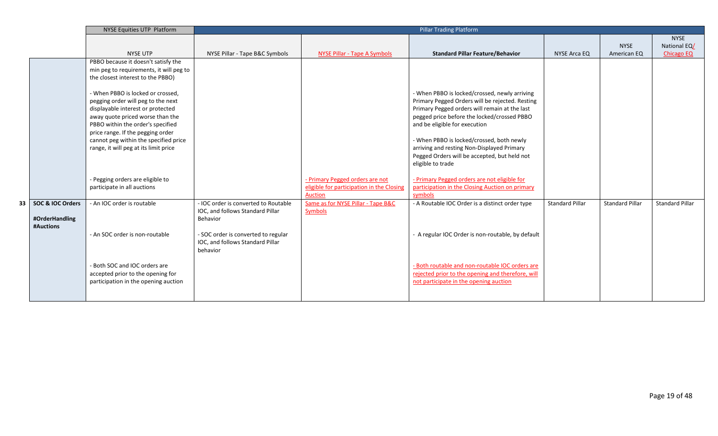|    |                                                 | NYSE Equities UTP Platform                                                                                                                                                                                                                                                                                                                                                                                                                                                                             |                                                                                                                                                                             | <b>Pillar Trading Platform</b>                                                          |                                                                                                                                                                                                                                                                                                                                                                                                                                                                                                                 |                        |                            |                                                  |
|----|-------------------------------------------------|--------------------------------------------------------------------------------------------------------------------------------------------------------------------------------------------------------------------------------------------------------------------------------------------------------------------------------------------------------------------------------------------------------------------------------------------------------------------------------------------------------|-----------------------------------------------------------------------------------------------------------------------------------------------------------------------------|-----------------------------------------------------------------------------------------|-----------------------------------------------------------------------------------------------------------------------------------------------------------------------------------------------------------------------------------------------------------------------------------------------------------------------------------------------------------------------------------------------------------------------------------------------------------------------------------------------------------------|------------------------|----------------------------|--------------------------------------------------|
|    |                                                 | <b>NYSE UTP</b>                                                                                                                                                                                                                                                                                                                                                                                                                                                                                        | NYSE Pillar - Tape B&C Symbols                                                                                                                                              | NYSE Pillar - Tape A Symbols                                                            | <b>Standard Pillar Feature/Behavior</b>                                                                                                                                                                                                                                                                                                                                                                                                                                                                         | <b>NYSE Arca EQ</b>    | <b>NYSE</b><br>American EQ | <b>NYSE</b><br>National EQ/<br><b>Chicago EQ</b> |
|    |                                                 | PBBO because it doesn't satisfy the<br>min peg to requirements, it will peg to<br>the closest interest to the PBBO)<br>- When PBBO is locked or crossed,<br>pegging order will peg to the next<br>displayable interest or protected<br>away quote priced worse than the<br>PBBO within the order's specified<br>price range. If the pegging order<br>cannot peg within the specified price<br>range, it will peg at its limit price<br>- Pegging orders are eligible to<br>participate in all auctions |                                                                                                                                                                             | - Primary Pegged orders are not<br>eligible for participation in the Closing<br>Auction | - When PBBO is locked/crossed, newly arriving<br>Primary Pegged Orders will be rejected. Resting<br>Primary Pegged orders will remain at the last<br>pegged price before the locked/crossed PBBO<br>and be eligible for execution<br>- When PBBO is locked/crossed, both newly<br>arriving and resting Non-Displayed Primary<br>Pegged Orders will be accepted, but held not<br>eligible to trade<br>- Primary Pegged orders are not eligible for<br>participation in the Closing Auction on primary<br>symbols |                        |                            |                                                  |
| 33 | SOC & IOC Orders<br>#OrderHandling<br>#Auctions | - An IOC order is routable<br>- An SOC order is non-routable<br>- Both SOC and IOC orders are<br>accepted prior to the opening for<br>participation in the opening auction                                                                                                                                                                                                                                                                                                                             | - IOC order is converted to Routable<br>IOC, and follows Standard Pillar<br>Behavior<br>- SOC order is converted to regular<br>IOC, and follows Standard Pillar<br>behavior | Same as for NYSE Pillar - Tape B&C<br>Symbols                                           | - A Routable IOC Order is a distinct order type<br>- A regular IOC Order is non-routable, by default<br>- Both routable and non-routable IOC orders are<br>rejected prior to the opening and therefore, will<br>not participate in the opening auction                                                                                                                                                                                                                                                          | <b>Standard Pillar</b> | <b>Standard Pillar</b>     | <b>Standard Pillar</b>                           |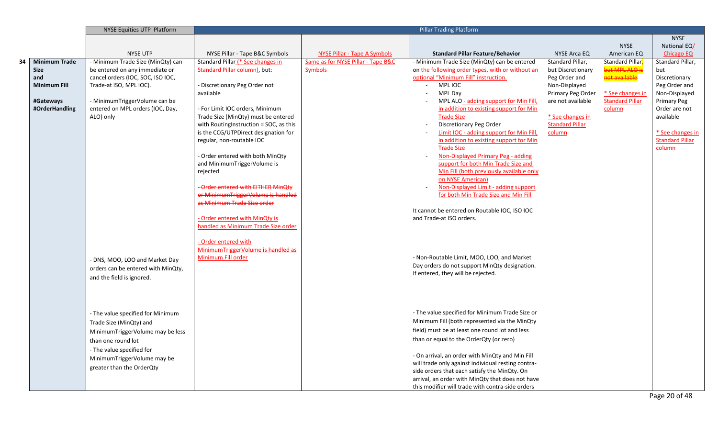|             |                      | NYSE Equities UTP Platform         |                                        | <b>Pillar Trading Platform</b>      |                                                                                            |                        |                            |                        |
|-------------|----------------------|------------------------------------|----------------------------------------|-------------------------------------|--------------------------------------------------------------------------------------------|------------------------|----------------------------|------------------------|
|             |                      |                                    |                                        |                                     |                                                                                            |                        |                            | <b>NYSE</b>            |
|             |                      |                                    |                                        |                                     |                                                                                            |                        | <b>NYSE</b>                | National EQ/           |
|             |                      | <b>NYSE UTP</b>                    | NYSE Pillar - Tape B&C Symbols         | <b>NYSE Pillar - Tape A Symbols</b> | <b>Standard Pillar Feature/Behavior</b>                                                    | NYSE Arca EQ           | American EQ                | <b>Chicago EQ</b>      |
| 34          | <b>Minimum Trade</b> | - Minimum Trade Size (MinQty) can  | Standard Pillar (* See changes in      | Same as for NYSE Pillar - Tape B&C  | - Minimum Trade Size (MinQty) can be entered                                               | Standard Pillar,       | Standard Pillar-           | Standard Pillar,       |
| <b>Size</b> |                      | be entered on any immediate or     | <b>Standard Pillar column)</b> , but:  | Symbols                             | on the following order types, with or without an                                           | but Discretionary      | but MPL ALO is             | but                    |
| and         |                      | cancel orders (IOC, SOC, ISO IOC,  |                                        |                                     | optional "Minimum Fill" instruction.                                                       | Peg Order and          | <mark>not available</mark> | Discretionary          |
|             | <b>Minimum Fill</b>  | Trade-at ISO, MPL IOC).            | - Discretionary Peg Order not          |                                     | MPL IOC<br>$\sim 100$                                                                      | Non-Displayed          |                            | Peg Order and          |
|             |                      |                                    | available                              |                                     | MPL Day                                                                                    | Primary Peg Order      | * See changes in           | Non-Displayed          |
|             | #Gateways            | - MinimumTriggerVolume can be      |                                        |                                     | MPL ALO - adding support for Min Fill,                                                     | are not available      | <b>Standard Pillar</b>     | <b>Primary Peg</b>     |
|             | #OrderHandling       | entered on MPL orders (IOC, Day,   | - For Limit IOC orders, Minimum        |                                     | in addition to existing support for Min                                                    |                        | column                     | Order are not          |
|             |                      | ALO) only                          | Trade Size (MinQty) must be entered    |                                     | <b>Trade Size</b>                                                                          | * See changes in       |                            | available              |
|             |                      |                                    | with RoutingInstruction = SOC, as this |                                     | Discretionary Peg Order                                                                    | <b>Standard Pillar</b> |                            | * See changes in       |
|             |                      |                                    | is the CCG/UTPDirect designation for   |                                     | <b>Limit IOC - adding support for Min Fill,</b><br>in addition to existing support for Min | column                 |                            | <b>Standard Pillar</b> |
|             |                      |                                    | regular, non-routable IOC              |                                     | <b>Trade Size</b>                                                                          |                        |                            | column                 |
|             |                      |                                    | - Order entered with both MinQty       |                                     | Non-Displayed Primary Peg - adding                                                         |                        |                            |                        |
|             |                      |                                    | and MinimumTriggerVolume is            |                                     | support for both Min Trade Size and                                                        |                        |                            |                        |
|             |                      |                                    | rejected                               |                                     | Min Fill (both previously available only                                                   |                        |                            |                        |
|             |                      |                                    |                                        |                                     | on NYSE American)                                                                          |                        |                            |                        |
|             |                      |                                    | Order entered with EITHER MinOty       |                                     | Non-Displayed Limit - adding support                                                       |                        |                            |                        |
|             |                      |                                    | or MinimumTriggerVolume is handled     |                                     | for both Min Trade Size and Min Fill                                                       |                        |                            |                        |
|             |                      |                                    | as Minimum Trade Size order            |                                     |                                                                                            |                        |                            |                        |
|             |                      |                                    |                                        |                                     | It cannot be entered on Routable IOC, ISO IOC                                              |                        |                            |                        |
|             |                      |                                    | - Order entered with MinQty is         |                                     | and Trade-at ISO orders.                                                                   |                        |                            |                        |
|             |                      |                                    | handled as Minimum Trade Size order    |                                     |                                                                                            |                        |                            |                        |
|             |                      |                                    |                                        |                                     |                                                                                            |                        |                            |                        |
|             |                      |                                    | - Order entered with                   |                                     |                                                                                            |                        |                            |                        |
|             |                      |                                    | MinimumTriggerVolume is handled as     |                                     |                                                                                            |                        |                            |                        |
|             |                      | - DNS, MOO, LOO and Market Day     | Minimum Fill order                     |                                     | - Non-Routable Limit, MOO, LOO, and Market                                                 |                        |                            |                        |
|             |                      | orders can be entered with MinQty, |                                        |                                     | Day orders do not support MinQty designation.                                              |                        |                            |                        |
|             |                      | and the field is ignored.          |                                        |                                     | If entered, they will be rejected.                                                         |                        |                            |                        |
|             |                      |                                    |                                        |                                     |                                                                                            |                        |                            |                        |
|             |                      |                                    |                                        |                                     |                                                                                            |                        |                            |                        |
|             |                      |                                    |                                        |                                     |                                                                                            |                        |                            |                        |
|             |                      | - The value specified for Minimum  |                                        |                                     | - The value specified for Minimum Trade Size or                                            |                        |                            |                        |
|             |                      | Trade Size (MinQty) and            |                                        |                                     | Minimum Fill (both represented via the MinQty                                              |                        |                            |                        |
|             |                      |                                    |                                        |                                     | field) must be at least one round lot and less                                             |                        |                            |                        |
|             |                      | MinimumTriggerVolume may be less   |                                        |                                     |                                                                                            |                        |                            |                        |
|             |                      | than one round lot                 |                                        |                                     | than or equal to the OrderQty (or zero)                                                    |                        |                            |                        |
|             |                      | - The value specified for          |                                        |                                     | - On arrival, an order with MinQty and Min Fill                                            |                        |                            |                        |
|             |                      | MinimumTriggerVolume may be        |                                        |                                     | will trade only against individual resting contra-                                         |                        |                            |                        |
|             |                      | greater than the OrderQty          |                                        |                                     | side orders that each satisfy the MinQty. On                                               |                        |                            |                        |
|             |                      |                                    |                                        |                                     | arrival, an order with MinQty that does not have                                           |                        |                            |                        |
|             |                      |                                    |                                        |                                     | this modifier will trade with contra-side orders                                           |                        |                            |                        |
|             |                      |                                    |                                        |                                     |                                                                                            |                        |                            | Page 20 of 48          |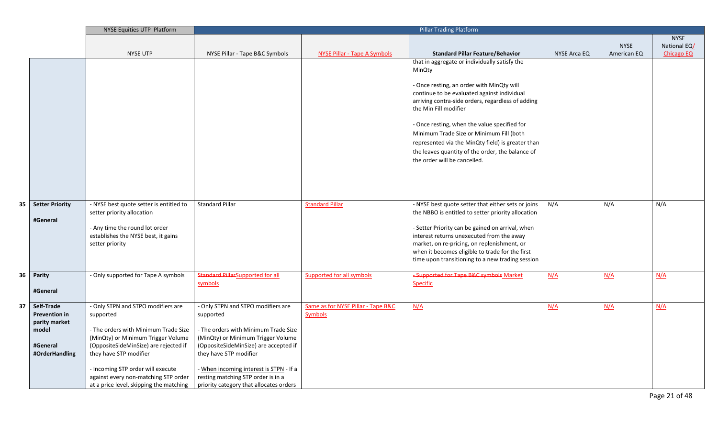|      |                        | NYSE Equities UTP Platform                                            |                                         | <b>Pillar Trading Platform</b>     |                                                                                          |                     |             |                   |
|------|------------------------|-----------------------------------------------------------------------|-----------------------------------------|------------------------------------|------------------------------------------------------------------------------------------|---------------------|-------------|-------------------|
|      |                        |                                                                       |                                         |                                    |                                                                                          |                     |             | <b>NYSE</b>       |
|      |                        |                                                                       |                                         |                                    |                                                                                          |                     | <b>NYSE</b> | National EQ/      |
|      |                        | <b>NYSE UTP</b>                                                       | NYSE Pillar - Tape B&C Symbols          | NYSE Pillar - Tape A Symbols       | <b>Standard Pillar Feature/Behavior</b>                                                  | <b>NYSE Arca EQ</b> | American EQ | <b>Chicago EQ</b> |
|      |                        |                                                                       |                                         |                                    | that in aggregate or individually satisfy the                                            |                     |             |                   |
|      |                        |                                                                       |                                         |                                    | MinQty                                                                                   |                     |             |                   |
|      |                        |                                                                       |                                         |                                    | - Once resting, an order with MinQty will                                                |                     |             |                   |
|      |                        |                                                                       |                                         |                                    | continue to be evaluated against individual                                              |                     |             |                   |
|      |                        |                                                                       |                                         |                                    | arriving contra-side orders, regardless of adding                                        |                     |             |                   |
|      |                        |                                                                       |                                         |                                    | the Min Fill modifier                                                                    |                     |             |                   |
|      |                        |                                                                       |                                         |                                    |                                                                                          |                     |             |                   |
|      |                        |                                                                       |                                         |                                    | - Once resting, when the value specified for                                             |                     |             |                   |
|      |                        |                                                                       |                                         |                                    | Minimum Trade Size or Minimum Fill (both                                                 |                     |             |                   |
|      |                        |                                                                       |                                         |                                    | represented via the MinQty field) is greater than                                        |                     |             |                   |
|      |                        |                                                                       |                                         |                                    | the leaves quantity of the order, the balance of                                         |                     |             |                   |
|      |                        |                                                                       |                                         |                                    | the order will be cancelled.                                                             |                     |             |                   |
|      |                        |                                                                       |                                         |                                    |                                                                                          |                     |             |                   |
|      |                        |                                                                       |                                         |                                    |                                                                                          |                     |             |                   |
|      |                        |                                                                       |                                         |                                    |                                                                                          |                     |             |                   |
|      |                        |                                                                       |                                         |                                    |                                                                                          |                     |             |                   |
| 35 I | <b>Setter Priority</b> | - NYSE best quote setter is entitled to                               | Standard Pillar                         | <b>Standard Pillar</b>             | - NYSE best quote setter that either sets or joins                                       | N/A                 | N/A         | N/A               |
|      |                        | setter priority allocation                                            |                                         |                                    | the NBBO is entitled to setter priority allocation                                       |                     |             |                   |
|      | #General               |                                                                       |                                         |                                    |                                                                                          |                     |             |                   |
|      |                        | - Any time the round lot order<br>establishes the NYSE best, it gains |                                         |                                    | - Setter Priority can be gained on arrival, when                                         |                     |             |                   |
|      |                        | setter priority                                                       |                                         |                                    | interest returns unexecuted from the away<br>market, on re-pricing, on replenishment, or |                     |             |                   |
|      |                        |                                                                       |                                         |                                    | when it becomes eligible to trade for the first                                          |                     |             |                   |
|      |                        |                                                                       |                                         |                                    | time upon transitioning to a new trading session                                         |                     |             |                   |
|      |                        |                                                                       |                                         |                                    |                                                                                          |                     |             |                   |
|      | 36 Parity              | - Only supported for Tape A symbols                                   | <b>Standard PillarSupported for all</b> | <b>Supported for all symbols</b>   | -Supported for Tape B&C symbols Market                                                   | N/A                 | N/A         | N/A               |
|      |                        |                                                                       | symbols                                 |                                    | Specific                                                                                 |                     |             |                   |
|      | #General               |                                                                       |                                         |                                    |                                                                                          |                     |             |                   |
| 37   | Self-Trade             | - Only STPN and STPO modifiers are                                    | - Only STPN and STPO modifiers are      | Same as for NYSE Pillar - Tape B&C | N/A                                                                                      | N/A                 | N/A         | N/A               |
|      | <b>Prevention in</b>   | supported                                                             | supported                               | <b>Symbols</b>                     |                                                                                          |                     |             |                   |
|      | parity market          |                                                                       |                                         |                                    |                                                                                          |                     |             |                   |
|      | model                  | - The orders with Minimum Trade Size                                  | - The orders with Minimum Trade Size    |                                    |                                                                                          |                     |             |                   |
|      |                        | (MinQty) or Minimum Trigger Volume                                    | (MinQty) or Minimum Trigger Volume      |                                    |                                                                                          |                     |             |                   |
|      | #General               | (OppositeSideMinSize) are rejected if                                 | (OppositeSideMinSize) are accepted if   |                                    |                                                                                          |                     |             |                   |
|      | #OrderHandling         | they have STP modifier                                                | they have STP modifier                  |                                    |                                                                                          |                     |             |                   |
|      |                        | - Incoming STP order will execute                                     | - When incoming interest is STPN - If a |                                    |                                                                                          |                     |             |                   |
|      |                        | against every non-matching STP order                                  | resting matching STP order is in a      |                                    |                                                                                          |                     |             |                   |
|      |                        | at a price level, skipping the matching                               | priority category that allocates orders |                                    |                                                                                          |                     |             |                   |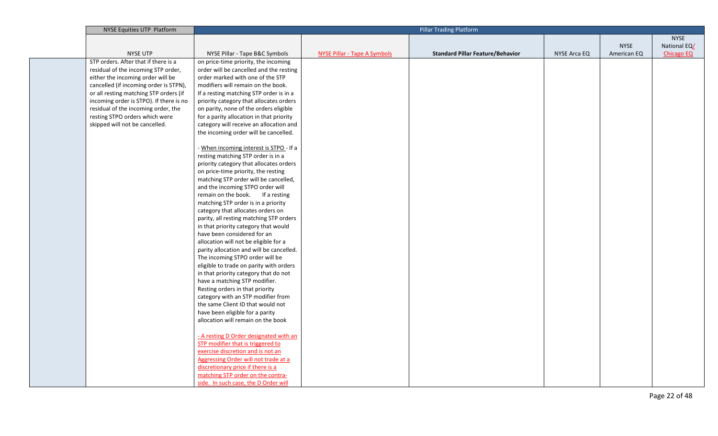| NYSE Equities UTP Platform              |                                          |                                     | <b>Pillar Trading Platform</b>          |              |             |                   |
|-----------------------------------------|------------------------------------------|-------------------------------------|-----------------------------------------|--------------|-------------|-------------------|
|                                         |                                          |                                     |                                         |              |             | <b>NYSE</b>       |
|                                         |                                          |                                     |                                         |              | <b>NYSE</b> | National EQ/      |
| <b>NYSE UTP</b>                         | NYSE Pillar - Tape B&C Symbols           | <b>NYSE Pillar - Tape A Symbols</b> | <b>Standard Pillar Feature/Behavior</b> | NYSE Arca EQ | American EQ | <b>Chicago EQ</b> |
| STP orders. After that if there is a    | on price-time priority, the incoming     |                                     |                                         |              |             |                   |
| residual of the incoming STP order,     | order will be cancelled and the resting  |                                     |                                         |              |             |                   |
| either the incoming order will be       | order marked with one of the STP         |                                     |                                         |              |             |                   |
| cancelled (if incoming order is STPN),  | modifiers will remain on the book.       |                                     |                                         |              |             |                   |
| or all resting matching STP orders (if  | If a resting matching STP order is in a  |                                     |                                         |              |             |                   |
| incoming order is STPO). If there is no | priority category that allocates orders  |                                     |                                         |              |             |                   |
| residual of the incoming order, the     | on parity, none of the orders eligible   |                                     |                                         |              |             |                   |
| resting STPO orders which were          | for a parity allocation in that priority |                                     |                                         |              |             |                   |
| skipped will not be cancelled.          | category will receive an allocation and  |                                     |                                         |              |             |                   |
|                                         | the incoming order will be cancelled.    |                                     |                                         |              |             |                   |
|                                         |                                          |                                     |                                         |              |             |                   |
|                                         | - When incoming interest is STPO - If a  |                                     |                                         |              |             |                   |
|                                         | resting matching STP order is in a       |                                     |                                         |              |             |                   |
|                                         | priority category that allocates orders  |                                     |                                         |              |             |                   |
|                                         | on price-time priority, the resting      |                                     |                                         |              |             |                   |
|                                         | matching STP order will be cancelled,    |                                     |                                         |              |             |                   |
|                                         | and the incoming STPO order will         |                                     |                                         |              |             |                   |
|                                         | remain on the book. If a resting         |                                     |                                         |              |             |                   |
|                                         | matching STP order is in a priority      |                                     |                                         |              |             |                   |
|                                         | category that allocates orders on        |                                     |                                         |              |             |                   |
|                                         | parity, all resting matching STP orders  |                                     |                                         |              |             |                   |
|                                         | in that priority category that would     |                                     |                                         |              |             |                   |
|                                         | have been considered for an              |                                     |                                         |              |             |                   |
|                                         | allocation will not be eligible for a    |                                     |                                         |              |             |                   |
|                                         | parity allocation and will be cancelled. |                                     |                                         |              |             |                   |
|                                         | The incoming STPO order will be          |                                     |                                         |              |             |                   |
|                                         | eligible to trade on parity with orders  |                                     |                                         |              |             |                   |
|                                         | in that priority category that do not    |                                     |                                         |              |             |                   |
|                                         | have a matching STP modifier.            |                                     |                                         |              |             |                   |
|                                         | Resting orders in that priority          |                                     |                                         |              |             |                   |
|                                         | category with an STP modifier from       |                                     |                                         |              |             |                   |
|                                         | the same Client ID that would not        |                                     |                                         |              |             |                   |
|                                         | have been eligible for a parity          |                                     |                                         |              |             |                   |
|                                         | allocation will remain on the book       |                                     |                                         |              |             |                   |
|                                         |                                          |                                     |                                         |              |             |                   |
|                                         | - A resting D Order designated with an   |                                     |                                         |              |             |                   |
|                                         | STP modifier that is triggered to        |                                     |                                         |              |             |                   |
|                                         | exercise discretion and is not an        |                                     |                                         |              |             |                   |
|                                         | Aggressing Order will not trade at a     |                                     |                                         |              |             |                   |
|                                         | discretionary price if there is a        |                                     |                                         |              |             |                   |
|                                         | matching STP order on the contra-        |                                     |                                         |              |             |                   |
|                                         | side. In such case, the D Order will     |                                     |                                         |              |             |                   |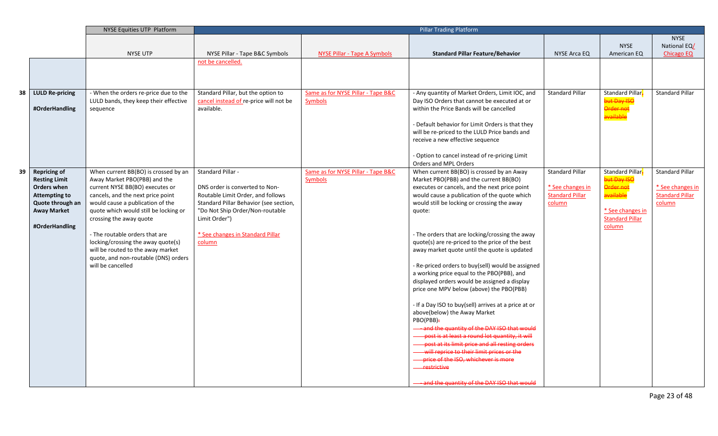|    |                        | NYSE Equities UTP Platform            |                                        |                                     | <b>Pillar Trading Platform</b>                                                                  |                        |                        |                        |
|----|------------------------|---------------------------------------|----------------------------------------|-------------------------------------|-------------------------------------------------------------------------------------------------|------------------------|------------------------|------------------------|
|    |                        |                                       |                                        |                                     |                                                                                                 |                        |                        | <b>NYSE</b>            |
|    |                        |                                       |                                        |                                     |                                                                                                 |                        | <b>NYSE</b>            | National EQ/           |
|    |                        | <b>NYSE UTP</b>                       | NYSE Pillar - Tape B&C Symbols         | <b>NYSE Pillar - Tape A Symbols</b> | <b>Standard Pillar Feature/Behavior</b>                                                         | NYSE Arca EQ           | American EQ            | <b>Chicago EQ</b>      |
|    |                        |                                       | not be cancelled.                      |                                     |                                                                                                 |                        |                        |                        |
|    |                        |                                       |                                        |                                     |                                                                                                 |                        |                        |                        |
|    |                        |                                       |                                        |                                     |                                                                                                 |                        |                        |                        |
|    |                        |                                       |                                        |                                     |                                                                                                 |                        |                        |                        |
| 38 | <b>LULD Re-pricing</b> | - When the orders re-price due to the | Standard Pillar, but the option to     | Same as for NYSE Pillar - Tape B&C  | - Any quantity of Market Orders, Limit IOC, and                                                 | <b>Standard Pillar</b> | Standard Pillar-       | <b>Standard Pillar</b> |
|    |                        | LULD bands, they keep their effective | cancel instead of re-price will not be | <b>Symbols</b>                      | Day ISO Orders that cannot be executed at or                                                    |                        | but Day ISC            |                        |
|    | #OrderHandling         | sequence                              | available.                             |                                     | within the Price Bands will be cancelled                                                        |                        | Order not<br>available |                        |
|    |                        |                                       |                                        |                                     |                                                                                                 |                        |                        |                        |
|    |                        |                                       |                                        |                                     | - Default behavior for Limit Orders is that they                                                |                        |                        |                        |
|    |                        |                                       |                                        |                                     | will be re-priced to the LULD Price bands and                                                   |                        |                        |                        |
|    |                        |                                       |                                        |                                     | receive a new effective sequence                                                                |                        |                        |                        |
|    |                        |                                       |                                        |                                     | - Option to cancel instead of re-pricing Limit                                                  |                        |                        |                        |
|    |                        |                                       |                                        |                                     | Orders and MPL Orders                                                                           |                        |                        |                        |
| 39 | <b>Repricing of</b>    | When current BB(BO) is crossed by an  | <b>Standard Pillar -</b>               | Same as for NYSE Pillar - Tape B&C  | When current BB(BO) is crossed by an Away                                                       | <b>Standard Pillar</b> | Standard Pillar-       | <b>Standard Pillar</b> |
|    | <b>Resting Limit</b>   | Away Market PBO(PBB) and the          |                                        | Symbols                             | Market PBO(PBB) and the current BB(BO)                                                          |                        | but Day ISO            |                        |
|    | Orders when            | current NYSE BB(BO) executes or       | DNS order is converted to Non-         |                                     | executes or cancels, and the next price point                                                   | * See changes in       | Order not              | * See changes in       |
|    | <b>Attempting to</b>   | cancels, and the next price point     | Routable Limit Order, and follows      |                                     | would cause a publication of the quote which                                                    | <b>Standard Pillar</b> | available              | <b>Standard Pillar</b> |
|    | Quote through an       | would cause a publication of the      | Standard Pillar Behavior (see section, |                                     | would still be locking or crossing the away                                                     | column                 |                        | column                 |
|    | <b>Away Market</b>     | quote which would still be locking or | "Do Not Ship Order/Non-routable        |                                     | quote:                                                                                          |                        | * See changes in       |                        |
|    |                        | crossing the away quote               | Limit Order")                          |                                     |                                                                                                 |                        | <b>Standard Pillar</b> |                        |
|    | #OrderHandling         |                                       |                                        |                                     |                                                                                                 |                        | column                 |                        |
|    |                        | - The routable orders that are        | * See changes in Standard Pillar       |                                     | - The orders that are locking/crossing the away                                                 |                        |                        |                        |
|    |                        | locking/crossing the away quote(s)    | column                                 |                                     | quote(s) are re-priced to the price of the best                                                 |                        |                        |                        |
|    |                        | will be routed to the away market     |                                        |                                     | away market quote until the quote is updated                                                    |                        |                        |                        |
|    |                        | quote, and non-routable (DNS) orders  |                                        |                                     |                                                                                                 |                        |                        |                        |
|    |                        | will be cancelled                     |                                        |                                     | - Re-priced orders to buy(sell) would be assigned<br>a working price equal to the PBO(PBB), and |                        |                        |                        |
|    |                        |                                       |                                        |                                     |                                                                                                 |                        |                        |                        |
|    |                        |                                       |                                        |                                     | displayed orders would be assigned a display<br>price one MPV below (above) the PBO(PBB)        |                        |                        |                        |
|    |                        |                                       |                                        |                                     |                                                                                                 |                        |                        |                        |
|    |                        |                                       |                                        |                                     | - If a Day ISO to buy(sell) arrives at a price at or                                            |                        |                        |                        |
|    |                        |                                       |                                        |                                     | above(below) the Away Market                                                                    |                        |                        |                        |
|    |                        |                                       |                                        |                                     | PBO(PBB)÷                                                                                       |                        |                        |                        |
|    |                        |                                       |                                        |                                     | and the quantity of the DAY ISO that would                                                      |                        |                        |                        |
|    |                        |                                       |                                        |                                     | post is at least a round lot quantity, it will                                                  |                        |                        |                        |
|    |                        |                                       |                                        |                                     | post at its limit price and all resting orders                                                  |                        |                        |                        |
|    |                        |                                       |                                        |                                     | will reprice to their limit prices or the                                                       |                        |                        |                        |
|    |                        |                                       |                                        |                                     | - price of the ISO, whichever is more                                                           |                        |                        |                        |
|    |                        |                                       |                                        |                                     | <del>restrictive</del>                                                                          |                        |                        |                        |
|    |                        |                                       |                                        |                                     |                                                                                                 |                        |                        |                        |
|    |                        |                                       |                                        |                                     | and the quantity of the DAY ISO that would                                                      |                        |                        |                        |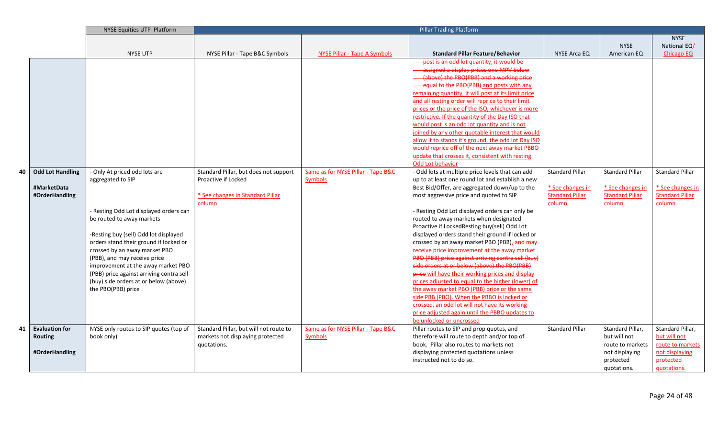|    |                         | <b>NYSE Equities UTP Platform</b>                                               |                                        |                                    | <b>Pillar Trading Platform</b>                                                                   |                        |                        |                        |
|----|-------------------------|---------------------------------------------------------------------------------|----------------------------------------|------------------------------------|--------------------------------------------------------------------------------------------------|------------------------|------------------------|------------------------|
|    |                         |                                                                                 |                                        |                                    |                                                                                                  |                        |                        | <b>NYSE</b>            |
|    |                         |                                                                                 |                                        |                                    |                                                                                                  |                        | <b>NYSE</b>            | National EQ/           |
|    |                         | <b>NYSE UTP</b>                                                                 | NYSE Pillar - Tape B&C Symbols         | NYSE Pillar - Tape A Symbols       | <b>Standard Pillar Feature/Behavior</b>                                                          | <b>NYSE Arca EQ</b>    | American EQ            | <b>Chicago EQ</b>      |
|    |                         |                                                                                 |                                        |                                    | post is an odd lot quantity, it would be                                                         |                        |                        |                        |
|    |                         |                                                                                 |                                        |                                    | assigned a display prices one MPV below                                                          |                        |                        |                        |
|    |                         |                                                                                 |                                        |                                    | (above) the PBO(PBB) and a working price                                                         |                        |                        |                        |
|    |                         |                                                                                 |                                        |                                    | equal to the PBO(PBB) and posts with any                                                         |                        |                        |                        |
|    |                         |                                                                                 |                                        |                                    | remaining quantity, it will post at its limit price                                              |                        |                        |                        |
|    |                         |                                                                                 |                                        |                                    | and all resting order will reprice to their limit                                                |                        |                        |                        |
|    |                         |                                                                                 |                                        |                                    | prices or the price of the ISO, whichever is more                                                |                        |                        |                        |
|    |                         |                                                                                 |                                        |                                    | restrictive. If the quantity of the Day ISO that                                                 |                        |                        |                        |
|    |                         |                                                                                 |                                        |                                    | would post is an odd lot quantity and is not                                                     |                        |                        |                        |
|    |                         |                                                                                 |                                        |                                    | joined by any other quotable interest that would                                                 |                        |                        |                        |
|    |                         |                                                                                 |                                        |                                    | allow it to stands it's ground, the odd lot Day ISO                                              |                        |                        |                        |
|    |                         |                                                                                 |                                        |                                    | would reprice off of the next away market PBBO                                                   |                        |                        |                        |
|    |                         |                                                                                 |                                        |                                    | update that crosses it, consistent with resting                                                  |                        |                        |                        |
|    |                         |                                                                                 |                                        |                                    | Odd Lot behavior                                                                                 |                        |                        |                        |
| 40 | <b>Odd Lot Handling</b> | - Only At priced odd lots are                                                   | Standard Pillar, but does not support  | Same as for NYSE Pillar - Tape B&C | - Odd lots at multiple price levels that can add                                                 | <b>Standard Pillar</b> | <b>Standard Pillar</b> | <b>Standard Pillar</b> |
|    |                         | aggregated to SIP                                                               | Proactive if Locked                    | Symbols                            | up to at least one round lot and establish a new                                                 |                        |                        |                        |
|    | #MarketData             |                                                                                 |                                        |                                    | Best Bid/Offer, are aggregated down/up to the                                                    | * See changes in       | * See changes in       | * See changes in       |
|    | #OrderHandling          |                                                                                 | * See changes in Standard Pillar       |                                    | most aggressive price and quoted to SIP                                                          | <b>Standard Pillar</b> | <b>Standard Pillar</b> | <b>Standard Pillar</b> |
|    |                         |                                                                                 | column                                 |                                    |                                                                                                  | column                 | column                 | column                 |
|    |                         | - Resting Odd Lot displayed orders can                                          |                                        |                                    | - Resting Odd Lot displayed orders can only be                                                   |                        |                        |                        |
|    |                         | be routed to away markets                                                       |                                        |                                    | routed to away markets when designated                                                           |                        |                        |                        |
|    |                         |                                                                                 |                                        |                                    | Proactive if LockedResting buy(sell) Odd Lot<br>displayed orders stand their ground if locked or |                        |                        |                        |
|    |                         | -Resting buy (sell) Odd lot displayed<br>orders stand their ground if locked or |                                        |                                    | crossed by an away market PBO (PBB), and may                                                     |                        |                        |                        |
|    |                         | crossed by an away market PBO                                                   |                                        |                                    | receive price improvement at the away market                                                     |                        |                        |                        |
|    |                         | (PBB), and may receive price                                                    |                                        |                                    | PBO (PBB) price against arriving contra sell (buy)                                               |                        |                        |                        |
|    |                         | improvement at the away market PBO                                              |                                        |                                    | side orders at or below (above) the PBO(PBB)                                                     |                        |                        |                        |
|    |                         | (PBB) price against arriving contra sell                                        |                                        |                                    | <b>price</b> will have their working prices and display                                          |                        |                        |                        |
|    |                         | (buy) side orders at or below (above)                                           |                                        |                                    | prices adjusted to equal to the higher (lower) of                                                |                        |                        |                        |
|    |                         | the PBO(PBB) price                                                              |                                        |                                    | the away market PBO (PBB) price or the same                                                      |                        |                        |                        |
|    |                         |                                                                                 |                                        |                                    | side PBB (PBO). When the PBBO is locked or                                                       |                        |                        |                        |
|    |                         |                                                                                 |                                        |                                    | crossed, an odd lot will not have its working                                                    |                        |                        |                        |
|    |                         |                                                                                 |                                        |                                    | price adjusted again until the PBBO updates to                                                   |                        |                        |                        |
|    |                         |                                                                                 |                                        |                                    | be unlocked or uncrossed                                                                         |                        |                        |                        |
| 41 | <b>Evaluation for</b>   | NYSE only routes to SIP quotes (top of                                          | Standard Pillar, but will not route to | Same as for NYSE Pillar - Tape B&C | Pillar routes to SIP and prop quotes, and                                                        | <b>Standard Pillar</b> | Standard Pillar,       | Standard Pillar,       |
|    | <b>Routing</b>          | book only)                                                                      | markets not displaying protected       | Symbols                            | therefore will route to depth and/or top of                                                      |                        | but will not           | but will not           |
|    |                         |                                                                                 | quotations.                            |                                    | book. Pillar also routes to markets not                                                          |                        | route to markets       | route to markets       |
|    | #OrderHandling          |                                                                                 |                                        |                                    | displaying protected quotations unless                                                           |                        | not displaying         | not displaying         |
|    |                         |                                                                                 |                                        |                                    | instructed not to do so.                                                                         |                        | protected              | protected              |
|    |                         |                                                                                 |                                        |                                    |                                                                                                  |                        | quotations.            | guotations.            |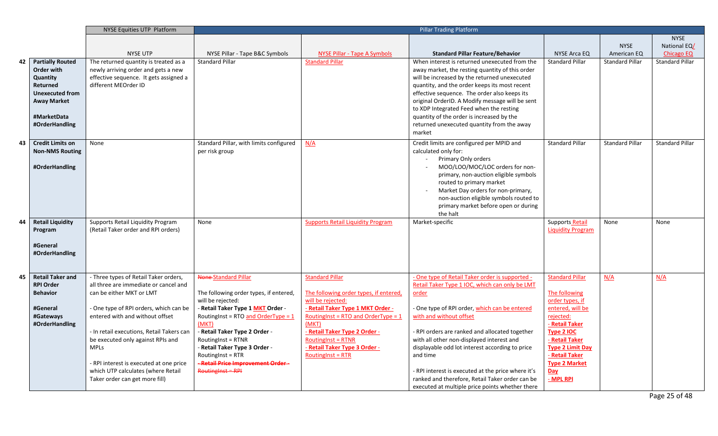|    |                         | NYSE Equities UTP Platform                |                                         | <b>Pillar Trading Platform</b>           |                                                    |                          |                        |                        |
|----|-------------------------|-------------------------------------------|-----------------------------------------|------------------------------------------|----------------------------------------------------|--------------------------|------------------------|------------------------|
|    |                         |                                           |                                         |                                          |                                                    |                          |                        | <b>NYSE</b>            |
|    |                         |                                           |                                         |                                          |                                                    |                          | <b>NYSE</b>            | National EQ/           |
|    |                         | <b>NYSE UTP</b>                           | NYSE Pillar - Tape B&C Symbols          | NYSE Pillar - Tape A Symbols             | <b>Standard Pillar Feature/Behavior</b>            | NYSE Arca EQ             | American EQ            | Chicago EQ             |
| 42 | <b>Partially Routed</b> | The returned quantity is treated as a     | <b>Standard Pillar</b>                  | <b>Standard Pillar</b>                   | When interest is returned unexecuted from the      | <b>Standard Pillar</b>   | <b>Standard Pillar</b> | Standard Pillar        |
|    | Order with              | newly arriving order and gets a new       |                                         |                                          | away market, the resting quantity of this order    |                          |                        |                        |
|    | Quantity                | effective sequence. It gets assigned a    |                                         |                                          | will be increased by the returned unexecuted       |                          |                        |                        |
|    | Returned                | different MEOrder ID                      |                                         |                                          | quantity, and the order keeps its most recent      |                          |                        |                        |
|    | <b>Unexecuted from</b>  |                                           |                                         |                                          | effective sequence. The order also keeps its       |                          |                        |                        |
|    | <b>Away Market</b>      |                                           |                                         |                                          | original OrderID. A Modify message will be sent    |                          |                        |                        |
|    |                         |                                           |                                         |                                          | to XDP Integrated Feed when the resting            |                          |                        |                        |
|    | #MarketData             |                                           |                                         |                                          | quantity of the order is increased by the          |                          |                        |                        |
|    | #OrderHandling          |                                           |                                         |                                          | returned unexecuted quantity from the away         |                          |                        |                        |
|    |                         |                                           |                                         |                                          | market                                             |                          |                        |                        |
| 43 | <b>Credit Limits on</b> | None                                      | Standard Pillar, with limits configured | N/A                                      | Credit limits are configured per MPID and          | <b>Standard Pillar</b>   | <b>Standard Pillar</b> | <b>Standard Pillar</b> |
|    | <b>Non-NMS Routing</b>  |                                           | per risk group                          |                                          | calculated only for:                               |                          |                        |                        |
|    |                         |                                           |                                         |                                          | Primary Only orders                                |                          |                        |                        |
|    | #OrderHandling          |                                           |                                         |                                          | MOO/LOO/MOC/LOC orders for non-                    |                          |                        |                        |
|    |                         |                                           |                                         |                                          | primary, non-auction eligible symbols              |                          |                        |                        |
|    |                         |                                           |                                         |                                          | routed to primary market                           |                          |                        |                        |
|    |                         |                                           |                                         |                                          | Market Day orders for non-primary,                 |                          |                        |                        |
|    |                         |                                           |                                         |                                          | non-auction eligible symbols routed to             |                          |                        |                        |
|    |                         |                                           |                                         |                                          | primary market before open or during               |                          |                        |                        |
|    |                         |                                           |                                         |                                          | the halt                                           |                          |                        |                        |
| 44 | <b>Retail Liquidity</b> | Supports Retail Liquidity Program         | None                                    | <b>Supports Retail Liquidity Program</b> | Market-specific                                    | Supports Retail          | None                   | None                   |
|    | Program                 | (Retail Taker order and RPI orders)       |                                         |                                          |                                                    | <b>Liquidity Program</b> |                        |                        |
|    |                         |                                           |                                         |                                          |                                                    |                          |                        |                        |
|    | #General                |                                           |                                         |                                          |                                                    |                          |                        |                        |
|    | #OrderHandling          |                                           |                                         |                                          |                                                    |                          |                        |                        |
|    |                         |                                           |                                         |                                          |                                                    |                          |                        |                        |
|    |                         |                                           |                                         |                                          |                                                    |                          |                        |                        |
| 45 | <b>Retail Taker and</b> | - Three types of Retail Taker orders,     | None-Standard Pillar                    | <b>Standard Pillar</b>                   | - One type of Retail Taker order is supported -    | <b>Standard Pillar</b>   | N/A                    | N/A                    |
|    | <b>RPI Order</b>        | all three are immediate or cancel and     |                                         |                                          | Retail Taker Type 1 IOC, which can only be LMT     |                          |                        |                        |
|    | <b>Behavior</b>         | can be either MKT or LMT                  | The following order types, if entered,  | The following order types, if entered,   | order                                              | The following            |                        |                        |
|    |                         |                                           | will be rejected:                       | will be rejected:                        |                                                    | order types, if          |                        |                        |
|    | #General                | - One type of RPI orders, which can be    | - Retail Taker Type 1 MKT Order -       | - Retail Taker Type 1 MKT Order -        | - One type of RPI order, which can be entered      | entered, will be         |                        |                        |
|    | #Gateways               | entered with and without offset           | RoutingInst = RTO and OrderType = 1     | RoutingInst = RTO and OrderType = $1$    | with and without offset                            | rejected:                |                        |                        |
|    | #OrderHandling          |                                           | (MKT)                                   | (MKT)                                    |                                                    | - Retail Taker           |                        |                        |
|    |                         | - In retail executions, Retail Takers can | - Retail Taker Type 2 Order -           | - Retail Taker Type 2 Order -            | - RPI orders are ranked and allocated together     | Type 2 IOC               |                        |                        |
|    |                         | be executed only against RPIs and         | RoutingInst = RTNR                      | <b>RoutingInst = RTNR</b>                | with all other non-displayed interest and          | - Retail Taker           |                        |                        |
|    |                         | <b>MPLs</b>                               | - Retail Taker Type 3 Order -           | - Retail Taker Type 3 Order -            | displayable odd lot interest according to price    | <b>Type 2 Limit Day</b>  |                        |                        |
|    |                         |                                           | <b>RoutingInst = RTR</b>                | <b>RoutingInst = RTR</b>                 | and time                                           | - Retail Taker           |                        |                        |
|    |                         | - RPI interest is executed at one price   | <b>Retail Price Improvement Order -</b> |                                          |                                                    | <b>Type 2 Market</b>     |                        |                        |
|    |                         | which UTP calculates (where Retail        | $R$ outing $nst = RPI$                  |                                          | - RPI interest is executed at the price where it's | Day                      |                        |                        |
|    |                         | Taker order can get more fill)            |                                         |                                          | ranked and therefore, Retail Taker order can be    | - MPL RPI                |                        |                        |
|    |                         |                                           |                                         |                                          | executed at multiple price points whether there    |                          |                        |                        |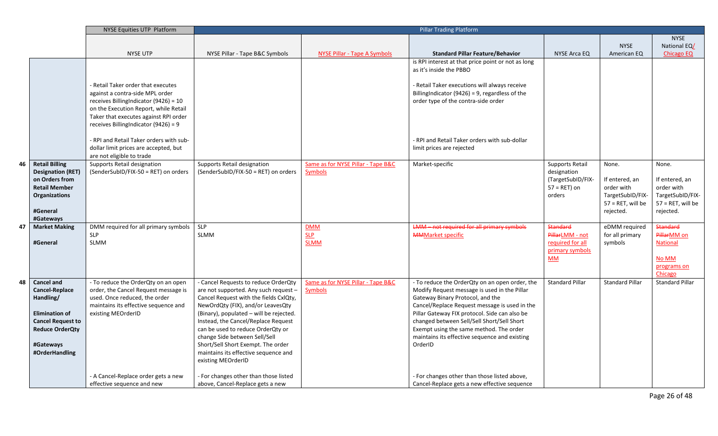|    |                                                                                                                                                                       | NYSE Equities UTP Platform                                                                                                                                                                         | <b>Pillar Trading Platform</b>                                                                                                                                                                                                                                                                                                                                                                                           |                                                      |                                                                                                                                                                                                                                                                                                                                                                                           |                                                                                         |                                                                                                |                                                                                                |
|----|-----------------------------------------------------------------------------------------------------------------------------------------------------------------------|----------------------------------------------------------------------------------------------------------------------------------------------------------------------------------------------------|--------------------------------------------------------------------------------------------------------------------------------------------------------------------------------------------------------------------------------------------------------------------------------------------------------------------------------------------------------------------------------------------------------------------------|------------------------------------------------------|-------------------------------------------------------------------------------------------------------------------------------------------------------------------------------------------------------------------------------------------------------------------------------------------------------------------------------------------------------------------------------------------|-----------------------------------------------------------------------------------------|------------------------------------------------------------------------------------------------|------------------------------------------------------------------------------------------------|
|    |                                                                                                                                                                       |                                                                                                                                                                                                    |                                                                                                                                                                                                                                                                                                                                                                                                                          |                                                      |                                                                                                                                                                                                                                                                                                                                                                                           |                                                                                         |                                                                                                | <b>NYSE</b>                                                                                    |
|    |                                                                                                                                                                       |                                                                                                                                                                                                    |                                                                                                                                                                                                                                                                                                                                                                                                                          |                                                      |                                                                                                                                                                                                                                                                                                                                                                                           |                                                                                         | <b>NYSE</b>                                                                                    | National EQ/                                                                                   |
|    |                                                                                                                                                                       | <b>NYSE UTP</b>                                                                                                                                                                                    | NYSE Pillar - Tape B&C Symbols                                                                                                                                                                                                                                                                                                                                                                                           | <b>NYSE Pillar - Tape A Symbols</b>                  | <b>Standard Pillar Feature/Behavior</b>                                                                                                                                                                                                                                                                                                                                                   | NYSE Arca EQ                                                                            | American EQ                                                                                    | <b>Chicago EQ</b>                                                                              |
|    |                                                                                                                                                                       | - Retail Taker order that executes                                                                                                                                                                 |                                                                                                                                                                                                                                                                                                                                                                                                                          |                                                      | is RPI interest at that price point or not as long<br>as it's inside the PBBO<br>- Retail Taker executions will always receive                                                                                                                                                                                                                                                            |                                                                                         |                                                                                                |                                                                                                |
|    |                                                                                                                                                                       | against a contra-side MPL order<br>receives BillingIndicator (9426) = 10<br>on the Execution Report, while Retail<br>Taker that executes against RPI order<br>receives BillingIndicator (9426) = 9 |                                                                                                                                                                                                                                                                                                                                                                                                                          |                                                      | BillingIndicator (9426) = 9, regardless of the<br>order type of the contra-side order                                                                                                                                                                                                                                                                                                     |                                                                                         |                                                                                                |                                                                                                |
|    |                                                                                                                                                                       | - RPI and Retail Taker orders with sub-<br>dollar limit prices are accepted, but<br>are not eligible to trade                                                                                      |                                                                                                                                                                                                                                                                                                                                                                                                                          |                                                      | - RPI and Retail Taker orders with sub-dollar<br>limit prices are rejected                                                                                                                                                                                                                                                                                                                |                                                                                         |                                                                                                |                                                                                                |
| 46 | <b>Retail Billing</b><br><b>Designation (RET)</b><br>on Orders from<br><b>Retail Member</b><br><b>Organizations</b><br>#General<br>#Gateways                          | Supports Retail designation<br>(SenderSubID/FIX-50 = RET) on orders                                                                                                                                | Supports Retail designation<br>(SenderSubID/FIX-50 = RET) on orders                                                                                                                                                                                                                                                                                                                                                      | Same as for NYSE Pillar - Tape B&C<br><b>Symbols</b> | Market-specific                                                                                                                                                                                                                                                                                                                                                                           | <b>Supports Retail</b><br>designation<br>(TargetSubID/FIX-<br>$57 = RET$ ) on<br>orders | None.<br>If entered, an<br>order with<br>TargetSubID/FIX-<br>$57 = RET$ , will be<br>rejected. | None.<br>If entered, an<br>order with<br>TargetSubID/FIX-<br>$57 = RET$ , will be<br>rejected. |
| 47 | <b>Market Making</b><br>#General                                                                                                                                      | DMM required for all primary symbols<br><b>SLP</b><br><b>SLMM</b>                                                                                                                                  | <b>SLP</b><br><b>SLMM</b>                                                                                                                                                                                                                                                                                                                                                                                                | DMM<br>SLP<br><b>SLMM</b>                            | <b>LMM</b> - not required for all primary symbols<br><b>MMMarket specific</b>                                                                                                                                                                                                                                                                                                             | <b>Standard</b><br>PillarLMM - not<br>required for all<br>primary symbols<br><b>MM</b>  | eDMM required<br>for all primary<br>symbols                                                    | <b>Standard</b><br>PillarMM on<br><b>National</b><br><b>No MM</b><br>programs on<br>Chicago    |
| 48 | <b>Cancel and</b><br><b>Cancel-Replace</b><br>Handling/<br><b>Elimination of</b><br><b>Cancel Request to</b><br><b>Reduce OrderQty</b><br>#Gateways<br>#OrderHandling | - To reduce the OrderQty on an open<br>order, the Cancel Request message is<br>used. Once reduced, the order<br>maintains its effective sequence and<br>existing MEOrderID                         | - Cancel Requests to reduce OrderQty<br>are not supported. Any such request -<br>Cancel Request with the fields CxlQty,<br>NewOrdQty (FIX), and/or LeavesQty<br>(Binary), populated - will be rejected.<br>Instead, the Cancel/Replace Request<br>can be used to reduce OrderQty or<br>change Side between Sell/Sell<br>Short/Sell Short Exempt. The order<br>maintains its effective sequence and<br>existing MEOrderID | Same as for NYSE Pillar - Tape B&C<br><b>Symbols</b> | - To reduce the OrderQty on an open order, the<br>Modify Request message is used in the Pillar<br>Gateway Binary Protocol, and the<br>Cancel/Replace Request message is used in the<br>Pillar Gateway FIX protocol. Side can also be<br>changed between Sell/Sell Short/Sell Short<br>Exempt using the same method. The order<br>maintains its effective sequence and existing<br>OrderID | <b>Standard Pillar</b>                                                                  | <b>Standard Pillar</b>                                                                         | <b>Standard Pillar</b>                                                                         |
|    |                                                                                                                                                                       | - A Cancel-Replace order gets a new<br>effective sequence and new                                                                                                                                  | - For changes other than those listed<br>above, Cancel-Replace gets a new                                                                                                                                                                                                                                                                                                                                                |                                                      | - For changes other than those listed above,<br>Cancel-Replace gets a new effective sequence                                                                                                                                                                                                                                                                                              |                                                                                         |                                                                                                |                                                                                                |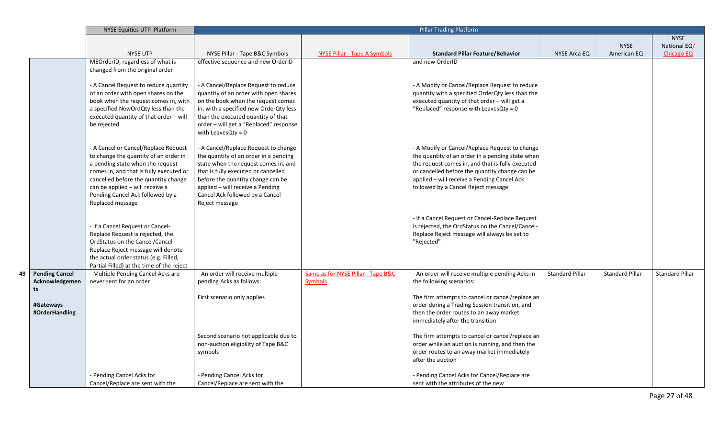|    |                                               | <b>NYSE Equities UTP Platform</b>                                                                                                                                                                                                                                                               |                                                                                                                                                                                                                                                                                            | <b>Pillar Trading Platform</b>                       |                                                                                                                                                                                                                                                                                                |                        |                        |                        |
|----|-----------------------------------------------|-------------------------------------------------------------------------------------------------------------------------------------------------------------------------------------------------------------------------------------------------------------------------------------------------|--------------------------------------------------------------------------------------------------------------------------------------------------------------------------------------------------------------------------------------------------------------------------------------------|------------------------------------------------------|------------------------------------------------------------------------------------------------------------------------------------------------------------------------------------------------------------------------------------------------------------------------------------------------|------------------------|------------------------|------------------------|
|    |                                               |                                                                                                                                                                                                                                                                                                 |                                                                                                                                                                                                                                                                                            |                                                      |                                                                                                                                                                                                                                                                                                |                        |                        | <b>NYSE</b>            |
|    |                                               |                                                                                                                                                                                                                                                                                                 |                                                                                                                                                                                                                                                                                            |                                                      |                                                                                                                                                                                                                                                                                                |                        | <b>NYSE</b>            | National EQ/           |
|    |                                               | <b>NYSE UTP</b>                                                                                                                                                                                                                                                                                 | NYSE Pillar - Tape B&C Symbols                                                                                                                                                                                                                                                             | NYSE Pillar - Tape A Symbols                         | <b>Standard Pillar Feature/Behavior</b>                                                                                                                                                                                                                                                        | <b>NYSE Arca EQ</b>    | American EQ            | <b>Chicago EQ</b>      |
|    |                                               | MEOrderID, regardless of what is<br>changed from the original order                                                                                                                                                                                                                             | effective sequence and new OrderID                                                                                                                                                                                                                                                         |                                                      | and new OrderID                                                                                                                                                                                                                                                                                |                        |                        |                        |
|    |                                               | - A Cancel Request to reduce quantity<br>of an order with open shares on the<br>book when the request comes in, with<br>a specified NewOrdQty less than the<br>executed quantity of that order - will<br>be rejected                                                                            | - A Cancel/Replace Request to reduce<br>quantity of an order with open shares<br>on the book when the request comes<br>in, with a specified new OrderQty less<br>than the executed quantity of that<br>order - will get a "Replaced" response<br>with LeavesQty = $0$                      |                                                      | - A Modify or Cancel/Replace Request to reduce<br>quantity with a specified OrderQty less than the<br>executed quantity of that order - will get a<br>"Replaced" response with LeavesQty = 0                                                                                                   |                        |                        |                        |
|    |                                               | - A Cancel or Cancel/Replace Request<br>to change the quantity of an order in<br>a pending state when the request<br>comes in, and that is fully executed or<br>cancelled before the quantity change<br>can be applied - will receive a<br>Pending Cancel Ack followed by a<br>Replaced message | - A Cancel/Replace Request to change<br>the quantity of an order in a pending<br>state when the request comes in, and<br>that is fully executed or cancelled<br>before the quantity change can be<br>applied - will receive a Pending<br>Cancel Ack followed by a Cancel<br>Reject message |                                                      | - A Modify or Cancel/Replace Request to change<br>the quantity of an order in a pending state when<br>the request comes in, and that is fully executed<br>or cancelled before the quantity change can be<br>applied - will receive a Pending Cancel Ack<br>followed by a Cancel Reject message |                        |                        |                        |
|    |                                               | - If a Cancel Request or Cancel-<br>Replace Request is rejected, the<br>OrdStatus on the Cancel/Cancel-<br>Replace Reject message will denote<br>the actual order status (e.g. Filled,<br>Partial Filled) at the time of the reject                                                             |                                                                                                                                                                                                                                                                                            |                                                      | - If a Cancel Request or Cancel-Replace Request<br>is rejected, the OrdStatus on the Cancel/Cancel-<br>Replace Reject message will always be set to<br>"Rejected"                                                                                                                              |                        |                        |                        |
| 49 | <b>Pending Cancel</b><br>Acknowledgemen<br>ts | - Multiple Pending Cancel Acks are<br>never sent for an order                                                                                                                                                                                                                                   | - An order will receive multiple<br>pending Acks as follows:                                                                                                                                                                                                                               | Same as for NYSE Pillar - Tape B&C<br><b>Symbols</b> | - An order will receive multiple pending Acks in<br>the following scenarios:                                                                                                                                                                                                                   | <b>Standard Pillar</b> | <b>Standard Pillar</b> | <b>Standard Pillar</b> |
|    | #Gateways<br>#OrderHandling                   |                                                                                                                                                                                                                                                                                                 | First scenario only applies                                                                                                                                                                                                                                                                |                                                      | The firm attempts to cancel or cancel/replace an<br>order during a Trading Session transition, and<br>then the order routes to an away market<br>immediately after the transition                                                                                                              |                        |                        |                        |
|    |                                               |                                                                                                                                                                                                                                                                                                 | Second scenario not applicable due to<br>non-auction eligibility of Tape B&C<br>symbols                                                                                                                                                                                                    |                                                      | The firm attempts to cancel or cancel/replace an<br>order while an auction is running, and then the<br>order routes to an away market immediately<br>after the auction                                                                                                                         |                        |                        |                        |
|    |                                               | - Pending Cancel Acks for<br>Cancel/Replace are sent with the                                                                                                                                                                                                                                   | - Pending Cancel Acks for<br>Cancel/Replace are sent with the                                                                                                                                                                                                                              |                                                      | - Pending Cancel Acks for Cancel/Replace are<br>sent with the attributes of the new                                                                                                                                                                                                            |                        |                        |                        |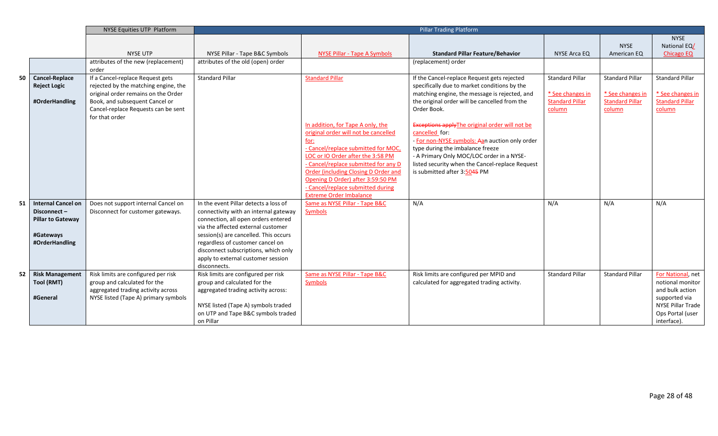|    |                                                                | NYSE Equities UTP Platform                                                                                                                                                               |                                       | <b>Pillar Trading Platform</b>                                                      |                                                                                                                                                                                                              |                                                                                |                                                                      |                                                                      |
|----|----------------------------------------------------------------|------------------------------------------------------------------------------------------------------------------------------------------------------------------------------------------|---------------------------------------|-------------------------------------------------------------------------------------|--------------------------------------------------------------------------------------------------------------------------------------------------------------------------------------------------------------|--------------------------------------------------------------------------------|----------------------------------------------------------------------|----------------------------------------------------------------------|
|    |                                                                |                                                                                                                                                                                          |                                       |                                                                                     |                                                                                                                                                                                                              |                                                                                |                                                                      | <b>NYSE</b>                                                          |
|    |                                                                |                                                                                                                                                                                          |                                       |                                                                                     |                                                                                                                                                                                                              |                                                                                | <b>NYSE</b>                                                          | National EQ/                                                         |
|    |                                                                | <b>NYSE UTP</b>                                                                                                                                                                          | NYSE Pillar - Tape B&C Symbols        | NYSE Pillar - Tape A Symbols                                                        | <b>Standard Pillar Feature/Behavior</b>                                                                                                                                                                      | <b>NYSE Arca EQ</b>                                                            | American EQ                                                          | <b>Chicago EQ</b>                                                    |
|    |                                                                | attributes of the new (replacement)<br>order                                                                                                                                             | attributes of the old (open) order    |                                                                                     | (replacement) order                                                                                                                                                                                          |                                                                                |                                                                      |                                                                      |
| 50 | <b>Cancel-Replace</b><br><b>Reject Logic</b><br>#OrderHandling | If a Cancel-replace Request gets<br>rejected by the matching engine, the<br>original order remains on the Order<br>Book, and subsequent Cancel or<br>Cancel-replace Requests can be sent | <b>Standard Pillar</b>                | <b>Standard Pillar</b>                                                              | If the Cancel-replace Request gets rejected<br>specifically due to market conditions by the<br>matching engine, the message is rejected, and<br>the original order will be cancelled from the<br>Order Book. | <b>Standard Pillar</b><br>* See changes in<br><b>Standard Pillar</b><br>column | <b>Standard Pillar</b><br>* See changes in<br><b>Standard Pillar</b> | <b>Standard Pillar</b><br>* See changes in<br><b>Standard Pillar</b> |
|    |                                                                | for that order                                                                                                                                                                           |                                       |                                                                                     |                                                                                                                                                                                                              |                                                                                | column                                                               | column                                                               |
|    |                                                                |                                                                                                                                                                                          |                                       | In addition, for Tape A only, the<br>original order will not be cancelled           | Exceptions apply The original order will not be<br>cancelled for:                                                                                                                                            |                                                                                |                                                                      |                                                                      |
|    |                                                                |                                                                                                                                                                                          |                                       | for:                                                                                | - For non-NYSE symbols: Aan auction only order                                                                                                                                                               |                                                                                |                                                                      |                                                                      |
|    |                                                                |                                                                                                                                                                                          |                                       | - Cancel/replace submitted for MOC,                                                 | type during the imbalance freeze                                                                                                                                                                             |                                                                                |                                                                      |                                                                      |
|    |                                                                |                                                                                                                                                                                          |                                       | LOC or IO Order after the 3:58 PM                                                   | - A Primary Only MOC/LOC order in a NYSE-                                                                                                                                                                    |                                                                                |                                                                      |                                                                      |
|    |                                                                |                                                                                                                                                                                          |                                       | - Cancel/replace submitted for any D<br><b>Order (including Closing D Order and</b> | listed security when the Cancel-replace Request                                                                                                                                                              |                                                                                |                                                                      |                                                                      |
|    |                                                                |                                                                                                                                                                                          |                                       | Opening D Order) after 3:59:50 PM                                                   | is submitted after 3:5045 PM                                                                                                                                                                                 |                                                                                |                                                                      |                                                                      |
|    |                                                                |                                                                                                                                                                                          |                                       | - Cancel/replace submitted during                                                   |                                                                                                                                                                                                              |                                                                                |                                                                      |                                                                      |
|    |                                                                |                                                                                                                                                                                          |                                       | <b>Extreme Order Imbalance</b>                                                      |                                                                                                                                                                                                              |                                                                                |                                                                      |                                                                      |
| 51 | <b>Internal Cancel on</b>                                      | Does not support internal Cancel on                                                                                                                                                      | In the event Pillar detects a loss of | Same as NYSE Pillar - Tape B&C                                                      | N/A                                                                                                                                                                                                          | N/A                                                                            | N/A                                                                  | N/A                                                                  |
|    | Disconnect-                                                    | Disconnect for customer gateways.                                                                                                                                                        | connectivity with an internal gateway | <b>Symbols</b>                                                                      |                                                                                                                                                                                                              |                                                                                |                                                                      |                                                                      |
|    | <b>Pillar to Gateway</b>                                       |                                                                                                                                                                                          | connection, all open orders entered   |                                                                                     |                                                                                                                                                                                                              |                                                                                |                                                                      |                                                                      |
|    |                                                                |                                                                                                                                                                                          | via the affected external customer    |                                                                                     |                                                                                                                                                                                                              |                                                                                |                                                                      |                                                                      |
|    | #Gateways                                                      |                                                                                                                                                                                          | session(s) are cancelled. This occurs |                                                                                     |                                                                                                                                                                                                              |                                                                                |                                                                      |                                                                      |
|    | #OrderHandling                                                 |                                                                                                                                                                                          | regardless of customer cancel on      |                                                                                     |                                                                                                                                                                                                              |                                                                                |                                                                      |                                                                      |
|    |                                                                |                                                                                                                                                                                          | disconnect subscriptions, which only  |                                                                                     |                                                                                                                                                                                                              |                                                                                |                                                                      |                                                                      |
|    |                                                                |                                                                                                                                                                                          | apply to external customer session    |                                                                                     |                                                                                                                                                                                                              |                                                                                |                                                                      |                                                                      |
|    |                                                                |                                                                                                                                                                                          | disconnects.                          |                                                                                     |                                                                                                                                                                                                              |                                                                                |                                                                      |                                                                      |
| 52 | <b>Risk Management</b>                                         | Risk limits are configured per risk                                                                                                                                                      | Risk limits are configured per risk   | Same as NYSE Pillar - Tape B&C                                                      | Risk limits are configured per MPID and                                                                                                                                                                      | <b>Standard Pillar</b>                                                         | <b>Standard Pillar</b>                                               | For National, net                                                    |
|    | Tool (RMT)                                                     | group and calculated for the                                                                                                                                                             | group and calculated for the          | <b>Symbols</b>                                                                      | calculated for aggregated trading activity.                                                                                                                                                                  |                                                                                |                                                                      | notional monitor                                                     |
|    | #General                                                       | aggregated trading activity across                                                                                                                                                       | aggregated trading activity across:   |                                                                                     |                                                                                                                                                                                                              |                                                                                |                                                                      | and bulk action                                                      |
|    |                                                                | NYSE listed (Tape A) primary symbols                                                                                                                                                     | NYSE listed (Tape A) symbols traded   |                                                                                     |                                                                                                                                                                                                              |                                                                                |                                                                      | supported via<br>NYSE Pillar Trade                                   |
|    |                                                                |                                                                                                                                                                                          | on UTP and Tape B&C symbols traded    |                                                                                     |                                                                                                                                                                                                              |                                                                                |                                                                      | Ops Portal (user                                                     |
|    |                                                                |                                                                                                                                                                                          | on Pillar                             |                                                                                     |                                                                                                                                                                                                              |                                                                                |                                                                      | interface).                                                          |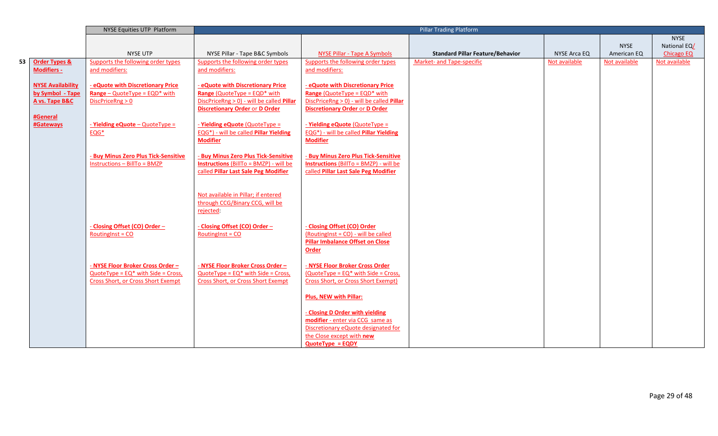|    |                          | NYSE Equities UTP Platform              |                                                      | <b>Pillar Trading Platform</b>                |                                         |               |               |                   |
|----|--------------------------|-----------------------------------------|------------------------------------------------------|-----------------------------------------------|-----------------------------------------|---------------|---------------|-------------------|
|    |                          |                                         |                                                      |                                               |                                         |               |               | <b>NYSE</b>       |
|    |                          |                                         |                                                      |                                               |                                         |               | <b>NYSE</b>   | National EQ/      |
|    |                          | <b>NYSE UTP</b>                         | NYSE Pillar - Tape B&C Symbols                       | <b>NYSE Pillar - Tape A Symbols</b>           | <b>Standard Pillar Feature/Behavior</b> | NYSE Arca EQ  | American EQ   | <b>Chicago EQ</b> |
| 53 | <b>Order Types &amp;</b> | Supports the following order types      | Supports the following order types                   | Supports the following order types            | Market- and Tape-specific               | Not available | Not available | Not available     |
|    | <b>Modifiers -</b>       | and modifiers:                          | and modifiers:                                       | and modifiers:                                |                                         |               |               |                   |
|    | <b>NYSE Availability</b> | - eQuote with Discretionary Price       | - eQuote with Discretionary Price                    | - eQuote with Discretionary Price             |                                         |               |               |                   |
|    | by Symbol - Tape         | <b>Range</b> – QuoteType = $EQD^*$ with | <b>Range (QuoteType = EQD* with</b>                  | <b>Range (QuoteType = EQD* with</b>           |                                         |               |               |                   |
|    | A vs. Tape B&C           | DiscPriceRng > 0                        | DiscPriceRng > 0) - will be called Pillar            | DiscPriceRng > 0) - will be called Pillar     |                                         |               |               |                   |
|    |                          |                                         | <b>Discretionary Order or D Order</b>                | <b>Discretionary Order or D Order</b>         |                                         |               |               |                   |
|    | #General                 |                                         |                                                      |                                               |                                         |               |               |                   |
|    | #Gateways                | $-$ Yielding eQuote - QuoteType =       | - Yielding eQuote (QuoteType =                       | - Yielding eQuote (QuoteType =                |                                         |               |               |                   |
|    |                          | $EQG*$                                  | <b>EQG*)</b> - will be called <b>Pillar Yielding</b> | EQG*) - will be called Pillar Yielding        |                                         |               |               |                   |
|    |                          |                                         | <b>Modifier</b>                                      | <b>Modifier</b>                               |                                         |               |               |                   |
|    |                          |                                         |                                                      |                                               |                                         |               |               |                   |
|    |                          | - Buy Minus Zero Plus Tick-Sensitive    | <b>Buy Minus Zero Plus Tick-Sensitive</b>            | <b>Buy Minus Zero Plus Tick-Sensitive</b>     |                                         |               |               |                   |
|    |                          | $Instructions - BillTo = BMZP$          | <b>Instructions (BillTo = BMZP) - will be</b>        | <b>Instructions (BillTo = BMZP) - will be</b> |                                         |               |               |                   |
|    |                          |                                         | called Pillar Last Sale Peg Modifier                 | called Pillar Last Sale Peg Modifier          |                                         |               |               |                   |
|    |                          |                                         |                                                      |                                               |                                         |               |               |                   |
|    |                          |                                         | Not available in Pillar; if entered                  |                                               |                                         |               |               |                   |
|    |                          |                                         | through CCG/Binary CCG, will be                      |                                               |                                         |               |               |                   |
|    |                          |                                         | rejected:                                            |                                               |                                         |               |               |                   |
|    |                          |                                         |                                                      |                                               |                                         |               |               |                   |
|    |                          | - Closing Offset (CO) Order -           | - Closing Offset (CO) Order -                        | - Closing Offset (CO) Order                   |                                         |               |               |                   |
|    |                          | Routing $nst = CO$                      | Routing $nst = CO$                                   | (RoutingInst = CO) - will be called           |                                         |               |               |                   |
|    |                          |                                         |                                                      | <b>Pillar Imbalance Offset on Close</b>       |                                         |               |               |                   |
|    |                          |                                         |                                                      | Order                                         |                                         |               |               |                   |
|    |                          |                                         |                                                      |                                               |                                         |               |               |                   |
|    |                          | - NYSE Floor Broker Cross Order -       | - NYSE Floor Broker Cross Order-                     | - NYSE Floor Broker Cross Order               |                                         |               |               |                   |
|    |                          | $QuoteType = EQ* with Side = Cross,$    | $QuoteType = EQ* with Side = Cross,$                 | $(QuoteType = EQ^* with Side = Cross,$        |                                         |               |               |                   |
|    |                          | Cross Short, or Cross Short Exempt      | <b>Cross Short, or Cross Short Exempt</b>            | Cross Short, or Cross Short Exempt)           |                                         |               |               |                   |
|    |                          |                                         |                                                      | <b>Plus, NEW with Pillar:</b>                 |                                         |               |               |                   |
|    |                          |                                         |                                                      |                                               |                                         |               |               |                   |
|    |                          |                                         |                                                      | - Closing D Order with yielding               |                                         |               |               |                   |
|    |                          |                                         |                                                      | modifier - enter via CCG same as              |                                         |               |               |                   |
|    |                          |                                         |                                                      | Discretionary eQuote designated for           |                                         |               |               |                   |
|    |                          |                                         |                                                      | the Close except with new                     |                                         |               |               |                   |
|    |                          |                                         |                                                      | $QuoteType = EQDY$                            |                                         |               |               |                   |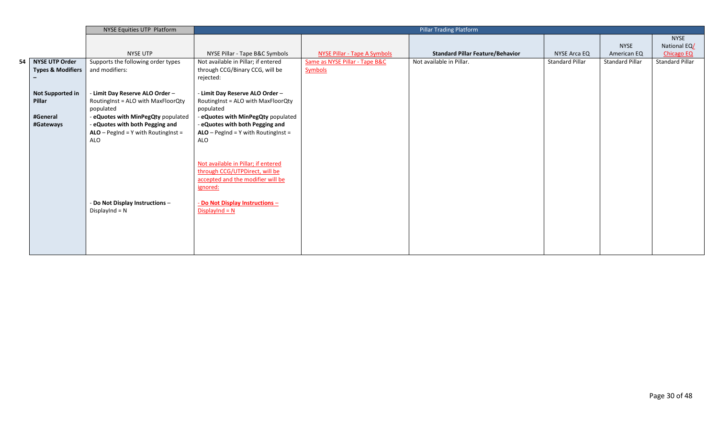|                              | NYSE Equities UTP Platform             |                                        |                                | <b>Pillar Trading Platform</b>          |                        |                        |                        |
|------------------------------|----------------------------------------|----------------------------------------|--------------------------------|-----------------------------------------|------------------------|------------------------|------------------------|
|                              |                                        |                                        |                                |                                         |                        |                        | <b>NYSE</b>            |
|                              |                                        |                                        |                                |                                         |                        | <b>NYSE</b>            | National EQ/           |
|                              | <b>NYSE UTP</b>                        | NYSE Pillar - Tape B&C Symbols         | NYSE Pillar - Tape A Symbols   | <b>Standard Pillar Feature/Behavior</b> | NYSE Arca EQ           | American EQ            | <b>Chicago EQ</b>      |
| 54 NYSE UTP Order            | Supports the following order types     | Not available in Pillar; if entered    | Same as NYSE Pillar - Tape B&C | Not available in Pillar.                | <b>Standard Pillar</b> | <b>Standard Pillar</b> | <b>Standard Pillar</b> |
| <b>Types &amp; Modifiers</b> | and modifiers:                         | through CCG/Binary CCG, will be        | <b>Symbols</b>                 |                                         |                        |                        |                        |
|                              |                                        | rejected:                              |                                |                                         |                        |                        |                        |
|                              |                                        |                                        |                                |                                         |                        |                        |                        |
| Not Supported in             | - Limit Day Reserve ALO Order -        | - Limit Day Reserve ALO Order -        |                                |                                         |                        |                        |                        |
| Pillar                       | RoutingInst = ALO with MaxFloorQty     | RoutingInst = ALO with MaxFloorQty     |                                |                                         |                        |                        |                        |
|                              | populated                              | populated                              |                                |                                         |                        |                        |                        |
| #General                     | - eQuotes with MinPegQty populated     | - eQuotes with MinPegQty populated     |                                |                                         |                        |                        |                        |
| #Gateways                    | - eQuotes with both Pegging and        | - eQuotes with both Pegging and        |                                |                                         |                        |                        |                        |
|                              | $ALO - PegInd = Y$ with Routing Inst = | $ALO - PegInd = Y$ with Routing Inst = |                                |                                         |                        |                        |                        |
|                              | ALO                                    | ALO                                    |                                |                                         |                        |                        |                        |
|                              |                                        |                                        |                                |                                         |                        |                        |                        |
|                              |                                        | Not available in Pillar; if entered    |                                |                                         |                        |                        |                        |
|                              |                                        | through CCG/UTPDirect, will be         |                                |                                         |                        |                        |                        |
|                              |                                        | accepted and the modifier will be      |                                |                                         |                        |                        |                        |
|                              |                                        | ignored:                               |                                |                                         |                        |                        |                        |
|                              |                                        |                                        |                                |                                         |                        |                        |                        |
|                              | - Do Not Display Instructions -        | - Do Not Display Instructions -        |                                |                                         |                        |                        |                        |
|                              | DisplayInd = $N$                       | $DisplayInd = N$                       |                                |                                         |                        |                        |                        |
|                              |                                        |                                        |                                |                                         |                        |                        |                        |
|                              |                                        |                                        |                                |                                         |                        |                        |                        |
|                              |                                        |                                        |                                |                                         |                        |                        |                        |
|                              |                                        |                                        |                                |                                         |                        |                        |                        |
|                              |                                        |                                        |                                |                                         |                        |                        |                        |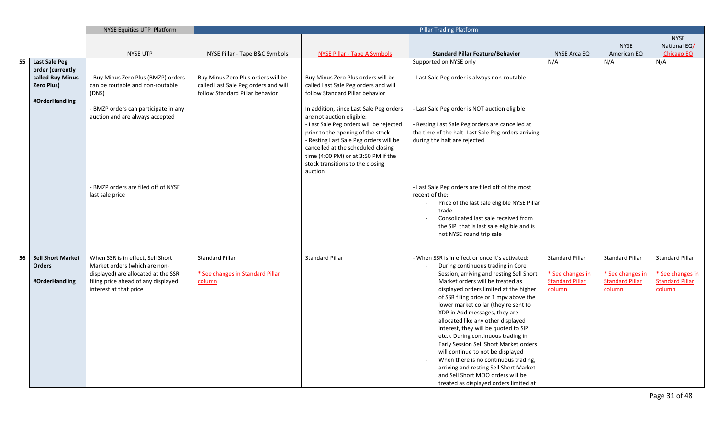|    |                                          | NYSE Equities UTP Platform                                    |                                      | <b>Pillar Trading Platform</b>                                               |                                                                              |                                            |                                            |                                            |
|----|------------------------------------------|---------------------------------------------------------------|--------------------------------------|------------------------------------------------------------------------------|------------------------------------------------------------------------------|--------------------------------------------|--------------------------------------------|--------------------------------------------|
|    |                                          |                                                               |                                      |                                                                              |                                                                              |                                            |                                            | <b>NYSE</b>                                |
|    |                                          |                                                               |                                      |                                                                              |                                                                              |                                            | <b>NYSE</b>                                | National EQ/                               |
|    |                                          | <b>NYSE UTP</b>                                               | NYSE Pillar - Tape B&C Symbols       | <b>NYSE Pillar - Tape A Symbols</b>                                          | <b>Standard Pillar Feature/Behavior</b>                                      | <b>NYSE Arca EQ</b>                        | American EQ                                | <b>Chicago EQ</b>                          |
| 55 | <b>Last Sale Peg</b><br>order (currently |                                                               |                                      |                                                                              | Supported on NYSE only                                                       | N/A                                        | N/A                                        | N/A                                        |
|    | called Buy Minus                         | - Buy Minus Zero Plus (BMZP) orders                           | Buy Minus Zero Plus orders will be   | Buy Minus Zero Plus orders will be                                           | - Last Sale Peg order is always non-routable                                 |                                            |                                            |                                            |
|    | <b>Zero Plus)</b>                        | can be routable and non-routable                              | called Last Sale Peg orders and will | called Last Sale Peg orders and will                                         |                                                                              |                                            |                                            |                                            |
|    |                                          | (DNS)                                                         | follow Standard Pillar behavior      | follow Standard Pillar behavior                                              |                                                                              |                                            |                                            |                                            |
|    | #OrderHandling                           |                                                               |                                      |                                                                              |                                                                              |                                            |                                            |                                            |
|    |                                          | - BMZP orders can participate in any                          |                                      | In addition, since Last Sale Peg orders                                      | - Last Sale Peg order is NOT auction eligible                                |                                            |                                            |                                            |
|    |                                          | auction and are always accepted                               |                                      | are not auction eligible:                                                    |                                                                              |                                            |                                            |                                            |
|    |                                          |                                                               |                                      | - Last Sale Peg orders will be rejected                                      | - Resting Last Sale Peg orders are cancelled at                              |                                            |                                            |                                            |
|    |                                          |                                                               |                                      | prior to the opening of the stock                                            | the time of the halt. Last Sale Peg orders arriving                          |                                            |                                            |                                            |
|    |                                          |                                                               |                                      | - Resting Last Sale Peg orders will be<br>cancelled at the scheduled closing | during the halt are rejected                                                 |                                            |                                            |                                            |
|    |                                          |                                                               |                                      | time (4:00 PM) or at 3:50 PM if the                                          |                                                                              |                                            |                                            |                                            |
|    |                                          |                                                               |                                      | stock transitions to the closing                                             |                                                                              |                                            |                                            |                                            |
|    |                                          |                                                               |                                      | auction                                                                      |                                                                              |                                            |                                            |                                            |
|    |                                          |                                                               |                                      |                                                                              |                                                                              |                                            |                                            |                                            |
|    |                                          | - BMZP orders are filed off of NYSE                           |                                      |                                                                              | - Last Sale Peg orders are filed off of the most                             |                                            |                                            |                                            |
|    |                                          | last sale price                                               |                                      |                                                                              | recent of the:                                                               |                                            |                                            |                                            |
|    |                                          |                                                               |                                      |                                                                              | Price of the last sale eligible NYSE Pillar                                  |                                            |                                            |                                            |
|    |                                          |                                                               |                                      |                                                                              | trade<br>Consolidated last sale received from                                |                                            |                                            |                                            |
|    |                                          |                                                               |                                      |                                                                              | the SIP that is last sale eligible and is                                    |                                            |                                            |                                            |
|    |                                          |                                                               |                                      |                                                                              | not NYSE round trip sale                                                     |                                            |                                            |                                            |
|    |                                          |                                                               |                                      |                                                                              |                                                                              |                                            |                                            |                                            |
|    |                                          |                                                               |                                      |                                                                              |                                                                              |                                            |                                            |                                            |
| 56 | <b>Sell Short Market</b>                 | When SSR is in effect, Sell Short                             | <b>Standard Pillar</b>               | <b>Standard Pillar</b>                                                       | - When SSR is in effect or once it's activated:                              | <b>Standard Pillar</b>                     | <b>Standard Pillar</b>                     | <b>Standard Pillar</b>                     |
|    | <b>Orders</b>                            | Market orders (which are non-                                 |                                      |                                                                              | During continuous trading in Core                                            |                                            |                                            |                                            |
|    |                                          | displayed) are allocated at the SSR                           | * See changes in Standard Pillar     |                                                                              | Session, arriving and resting Sell Short<br>Market orders will be treated as | * See changes in<br><b>Standard Pillar</b> | * See changes in<br><b>Standard Pillar</b> | * See changes in<br><b>Standard Pillar</b> |
|    | #OrderHandling                           | filing price ahead of any displayed<br>interest at that price | column                               |                                                                              | displayed orders limited at the higher                                       | column                                     | column                                     | column                                     |
|    |                                          |                                                               |                                      |                                                                              | of SSR filing price or 1 mpv above the                                       |                                            |                                            |                                            |
|    |                                          |                                                               |                                      |                                                                              | lower market collar (they're sent to                                         |                                            |                                            |                                            |
|    |                                          |                                                               |                                      |                                                                              | XDP in Add messages, they are                                                |                                            |                                            |                                            |
|    |                                          |                                                               |                                      |                                                                              | allocated like any other displayed                                           |                                            |                                            |                                            |
|    |                                          |                                                               |                                      |                                                                              | interest, they will be quoted to SIP                                         |                                            |                                            |                                            |
|    |                                          |                                                               |                                      |                                                                              | etc.). During continuous trading in                                          |                                            |                                            |                                            |
|    |                                          |                                                               |                                      |                                                                              | Early Session Sell Short Market orders                                       |                                            |                                            |                                            |
|    |                                          |                                                               |                                      |                                                                              | will continue to not be displayed<br>When there is no continuous trading,    |                                            |                                            |                                            |
|    |                                          |                                                               |                                      |                                                                              | arriving and resting Sell Short Market                                       |                                            |                                            |                                            |
|    |                                          |                                                               |                                      |                                                                              | and Sell Short MOO orders will be                                            |                                            |                                            |                                            |
|    |                                          |                                                               |                                      |                                                                              | treated as displayed orders limited at                                       |                                            |                                            |                                            |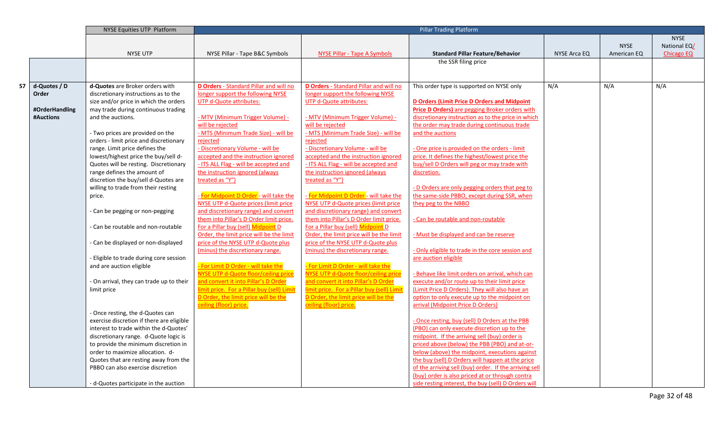|    |                | NYSE Equities UTP Platform                                                 | <b>Pillar Trading Platform</b>                |                                               |                                                                                                    |              |             |                   |
|----|----------------|----------------------------------------------------------------------------|-----------------------------------------------|-----------------------------------------------|----------------------------------------------------------------------------------------------------|--------------|-------------|-------------------|
|    |                |                                                                            |                                               |                                               |                                                                                                    |              |             | <b>NYSE</b>       |
|    |                |                                                                            |                                               |                                               |                                                                                                    |              | <b>NYSE</b> | National EQ/      |
|    |                | <b>NYSE UTP</b>                                                            | NYSE Pillar - Tape B&C Symbols                | <b>NYSE Pillar - Tape A Symbols</b>           | <b>Standard Pillar Feature/Behavior</b>                                                            | NYSE Arca EQ | American EQ | <b>Chicago EQ</b> |
|    |                |                                                                            |                                               |                                               | the SSR filing price                                                                               |              |             |                   |
|    |                |                                                                            |                                               |                                               |                                                                                                    |              |             |                   |
|    |                |                                                                            |                                               |                                               |                                                                                                    |              |             |                   |
| 57 | d-Quotes / D   | d-Quotes are Broker orders with                                            | <b>D Orders</b> - Standard Pillar and will no | <b>D Orders</b> - Standard Pillar and will no | This order type is supported on NYSE only                                                          | N/A          | N/A         | N/A               |
|    | Order          | discretionary instructions as to the                                       | longer support the following NYSE             | longer support the following NYSE             |                                                                                                    |              |             |                   |
|    |                | size and/or price in which the orders                                      | <b>UTP d-Quote attributes:</b>                | <b>UTP d-Quote attributes:</b>                | <b>D Orders (Limit Price D Orders and Midpoint</b>                                                 |              |             |                   |
|    | #OrderHandling | may trade during continuous trading                                        |                                               |                                               | <b>Price D Orders)</b> are pegging Broker orders with                                              |              |             |                   |
|    | #Auctions      | and the auctions.                                                          | <u>- MTV (Minimum Trigger Volume) -</u>       | <u>- MTV (Minimum Trigger Volume) -</u>       | discretionary instruction as to the price in which                                                 |              |             |                   |
|    |                |                                                                            | will be rejected                              | will be rejected                              | the order may trade during continuous trade                                                        |              |             |                   |
|    |                | - Two prices are provided on the                                           | - MTS (Minimum Trade Size) - will be          | - MTS (Minimum Trade Size) - will be          | and the auctions                                                                                   |              |             |                   |
|    |                | orders - limit price and discretionary                                     | rejected                                      | rejected                                      |                                                                                                    |              |             |                   |
|    |                | range. Limit price defines the                                             | - Discretionary Volume - will be              | - Discretionary Volume - will be              | - One price is provided on the orders - limit                                                      |              |             |                   |
|    |                | lowest/highest price the buy/sell d-                                       | accepted and the instruction ignored          | accepted and the instruction ignored          | price. It defines the highest/lowest price the                                                     |              |             |                   |
|    |                | Quotes will be resting. Discretionary                                      | - ITS ALL Flag - will be accepted and         | - ITS ALL Flag - will be accepted and         | buy/sell D Orders will peg or may trade with                                                       |              |             |                   |
|    |                | range defines the amount of                                                | the instruction ignored (always               | the instruction ignored (always               | discretion.                                                                                        |              |             |                   |
|    |                | discretion the buy/sell d-Quotes are                                       | treated as "Y")                               | treated as "Y")                               |                                                                                                    |              |             |                   |
|    |                | willing to trade from their resting                                        |                                               |                                               | - D Orders are only pegging orders that peg to                                                     |              |             |                   |
|    |                | price.                                                                     | - For Midpoint D Order - will take the        | - For Midpoint D Order - will take the        | the same-side PBBO, except during SSR, when                                                        |              |             |                   |
|    |                |                                                                            | NYSE UTP d-Quote prices (limit price          | NYSE UTP d-Quote prices (limit price          | they peg to the NBBO                                                                               |              |             |                   |
|    |                | - Can be pegging or non-pegging                                            | and discretionary range) and convert          | and discretionary range) and convert          |                                                                                                    |              |             |                   |
|    |                |                                                                            | them into Pillar's D Order limit price.       | them into Pillar's D Order limit price.       | - Can be routable and non-routable                                                                 |              |             |                   |
|    |                | - Can be routable and non-routable                                         | For a Pillar buy (sell) Midpoint D            | For a Pillar buy (sell) Midpoint D            |                                                                                                    |              |             |                   |
|    |                |                                                                            | Order, the limit price will be the limit      | Order, the limit price will be the limit      | - Must be displayed and can be reserve                                                             |              |             |                   |
|    |                | - Can be displayed or non-displayed                                        | price of the NYSE UTP d-Quote plus            | price of the NYSE UTP d-Quote plus            |                                                                                                    |              |             |                   |
|    |                |                                                                            | (minus) the discretionary range.              | (minus) the discretionary range.              | - Only eligible to trade in the core session and                                                   |              |             |                   |
|    |                | - Eligible to trade during core session                                    |                                               |                                               | are auction eligible                                                                               |              |             |                   |
|    |                | and are auction eligible                                                   | - For Limit D Order - will take the           | - For Limit D Order - will take the           |                                                                                                    |              |             |                   |
|    |                |                                                                            | NYSE UTP d-Quote floor/ceiling price          | NYSE UTP d-Quote floor/ceiling price          | Behave like limit orders on arrival, which can                                                     |              |             |                   |
|    |                | - On arrival, they can trade up to their                                   | and convert it into Pillar's D Order          | and convert it into Pillar's D Order          | execute and/or route up to their limit price                                                       |              |             |                   |
|    |                | limit price                                                                | limit price. For a Pillar buy (sell) Limi     | limit price. For a Pillar buy (sell) Limit    | (Limit Price D Orders). They will also have an                                                     |              |             |                   |
|    |                |                                                                            | D Order, the limit price will be the          | D Order, the limit price will be the          | option to only execute up to the midpoint on                                                       |              |             |                   |
|    |                |                                                                            | ceiling (floor) price.                        | ceiling (floor) price.                        | arrival (Midpoint Price D Orders)                                                                  |              |             |                   |
|    |                | - Once resting, the d-Quotes can                                           |                                               |                                               |                                                                                                    |              |             |                   |
|    |                | exercise discretion if there are eligible                                  |                                               |                                               | - Once resting, buy (sell) D Orders at the PBB                                                     |              |             |                   |
|    |                | interest to trade within the d-Quotes'                                     |                                               |                                               | (PBO) can only execute discretion up to the                                                        |              |             |                   |
|    |                | discretionary range. d-Quote logic is                                      |                                               |                                               | midpoint. If the arriving sell (buy) order is                                                      |              |             |                   |
|    |                | to provide the minimum discretion in                                       |                                               |                                               | priced above (below) the PBB (PBO) and at-or-                                                      |              |             |                   |
|    |                | order to maximize allocation. d-                                           |                                               |                                               | below (above) the midpoint, executions against<br>the buy (sell) D Orders will happen at the price |              |             |                   |
|    |                | Quotes that are resting away from the<br>PBBO can also exercise discretion |                                               |                                               | of the arriving sell (buy) order. If the arriving sell                                             |              |             |                   |
|    |                |                                                                            |                                               |                                               | (buy) order is also priced at or through contra                                                    |              |             |                   |
|    |                |                                                                            |                                               |                                               | side resting interest, the buy (sell) D Orders will                                                |              |             |                   |
|    |                | - d-Quotes participate in the auction                                      |                                               |                                               |                                                                                                    |              |             |                   |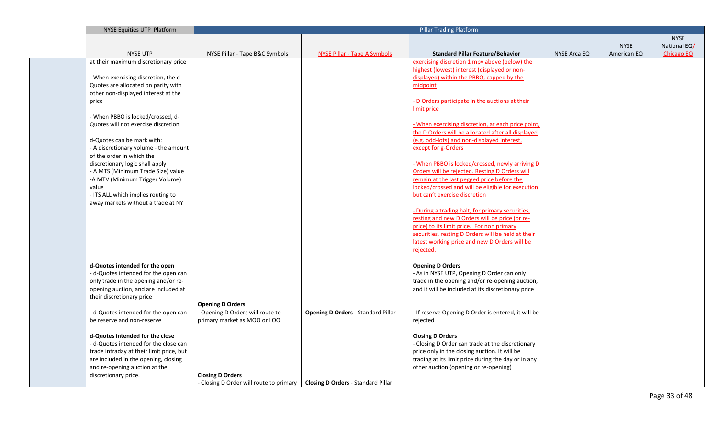| NYSE Equities UTP Platform                                            |                                                                                                         | <b>Pillar Trading Platform</b>            |                                                                                                   |              |             |                   |
|-----------------------------------------------------------------------|---------------------------------------------------------------------------------------------------------|-------------------------------------------|---------------------------------------------------------------------------------------------------|--------------|-------------|-------------------|
|                                                                       |                                                                                                         |                                           |                                                                                                   |              |             | <b>NYSE</b>       |
|                                                                       |                                                                                                         |                                           |                                                                                                   |              | <b>NYSE</b> | National EQ/      |
| <b>NYSE UTP</b>                                                       | NYSE Pillar - Tape B&C Symbols                                                                          | NYSE Pillar - Tape A Symbols              | <b>Standard Pillar Feature/Behavior</b>                                                           | NYSE Arca EQ | American EQ | <b>Chicago EQ</b> |
| at their maximum discretionary price                                  |                                                                                                         |                                           | exercising discretion 1 mpv above (below) the                                                     |              |             |                   |
|                                                                       |                                                                                                         |                                           | highest (lowest) interest (displayed or non-                                                      |              |             |                   |
| - When exercising discretion, the d-                                  |                                                                                                         |                                           | displayed) within the PBBO, capped by the                                                         |              |             |                   |
| Quotes are allocated on parity with                                   |                                                                                                         |                                           | midpoint                                                                                          |              |             |                   |
| other non-displayed interest at the                                   |                                                                                                         |                                           |                                                                                                   |              |             |                   |
| price                                                                 |                                                                                                         |                                           | - D Orders participate in the auctions at their                                                   |              |             |                   |
|                                                                       |                                                                                                         |                                           | limit price                                                                                       |              |             |                   |
| - When PBBO is locked/crossed, d-                                     |                                                                                                         |                                           |                                                                                                   |              |             |                   |
| Quotes will not exercise discretion                                   |                                                                                                         |                                           | - When exercising discretion, at each price point,                                                |              |             |                   |
|                                                                       |                                                                                                         |                                           | the D Orders will be allocated after all displayed                                                |              |             |                   |
| d-Quotes can be mark with:                                            |                                                                                                         |                                           | (e.g. odd-lots) and non-displayed interest,                                                       |              |             |                   |
| - A discretionary volume - the amount                                 |                                                                                                         |                                           | except for g-Orders                                                                               |              |             |                   |
| of the order in which the                                             |                                                                                                         |                                           |                                                                                                   |              |             |                   |
| discretionary logic shall apply                                       |                                                                                                         |                                           | - When PBBO is locked/crossed, newly arriving D<br>Orders will be rejected. Resting D Orders will |              |             |                   |
| - A MTS (Minimum Trade Size) value<br>-A MTV (Minimum Trigger Volume) |                                                                                                         |                                           | remain at the last pegged price before the                                                        |              |             |                   |
| value                                                                 |                                                                                                         |                                           | locked/crossed and will be eligible for execution                                                 |              |             |                   |
| - ITS ALL which implies routing to                                    |                                                                                                         |                                           | but can't exercise discretion                                                                     |              |             |                   |
| away markets without a trade at NY                                    |                                                                                                         |                                           |                                                                                                   |              |             |                   |
|                                                                       |                                                                                                         |                                           | - During a trading halt, for primary securities,                                                  |              |             |                   |
|                                                                       |                                                                                                         |                                           | resting and new D Orders will be price (or re-                                                    |              |             |                   |
|                                                                       |                                                                                                         |                                           | price) to its limit price. For non primary                                                        |              |             |                   |
|                                                                       |                                                                                                         |                                           | securities, resting D Orders will be held at their                                                |              |             |                   |
|                                                                       |                                                                                                         |                                           | latest working price and new D Orders will be                                                     |              |             |                   |
|                                                                       |                                                                                                         |                                           | rejected.                                                                                         |              |             |                   |
|                                                                       |                                                                                                         |                                           |                                                                                                   |              |             |                   |
| d-Quotes intended for the open                                        |                                                                                                         |                                           | <b>Opening D Orders</b>                                                                           |              |             |                   |
| - d-Quotes intended for the open can                                  |                                                                                                         |                                           | - As in NYSE UTP, Opening D Order can only                                                        |              |             |                   |
| only trade in the opening and/or re-                                  |                                                                                                         |                                           | trade in the opening and/or re-opening auction,                                                   |              |             |                   |
| opening auction, and are included at                                  |                                                                                                         |                                           | and it will be included at its discretionary price                                                |              |             |                   |
| their discretionary price                                             |                                                                                                         |                                           |                                                                                                   |              |             |                   |
|                                                                       | <b>Opening D Orders</b>                                                                                 |                                           |                                                                                                   |              |             |                   |
| - d-Quotes intended for the open can                                  | - Opening D Orders will route to                                                                        | <b>Opening D Orders - Standard Pillar</b> | - If reserve Opening D Order is entered, it will be                                               |              |             |                   |
| be reserve and non-reserve                                            | primary market as MOO or LOO                                                                            |                                           | rejected                                                                                          |              |             |                   |
|                                                                       |                                                                                                         |                                           |                                                                                                   |              |             |                   |
| d-Quotes intended for the close                                       |                                                                                                         |                                           | <b>Closing D Orders</b>                                                                           |              |             |                   |
| - d-Quotes intended for the close can                                 |                                                                                                         |                                           | - Closing D Order can trade at the discretionary                                                  |              |             |                   |
| trade intraday at their limit price, but                              |                                                                                                         |                                           | price only in the closing auction. It will be                                                     |              |             |                   |
| are included in the opening, closing                                  |                                                                                                         |                                           | trading at its limit price during the day or in any                                               |              |             |                   |
| and re-opening auction at the                                         |                                                                                                         |                                           | other auction (opening or re-opening)                                                             |              |             |                   |
| discretionary price.                                                  | <b>Closing D Orders</b><br>- Closing D Order will route to primary   Closing D Orders - Standard Pillar |                                           |                                                                                                   |              |             |                   |
|                                                                       |                                                                                                         |                                           |                                                                                                   |              |             |                   |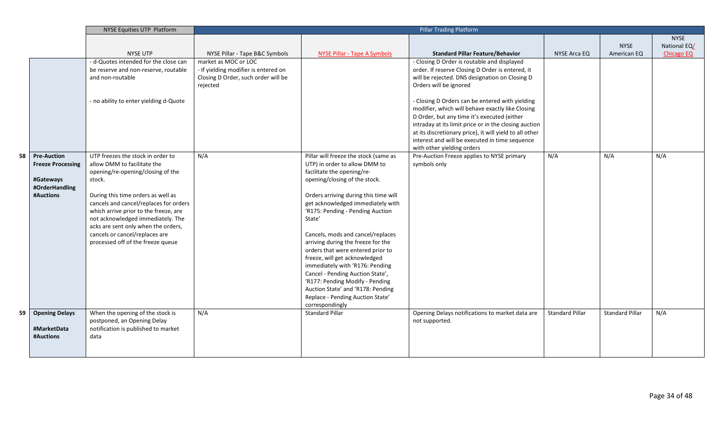|    |                          | NYSE Equities UTP Platform             |                                      | <b>Pillar Trading Platform</b>                                   |                                                                                                      |                        |                        |              |
|----|--------------------------|----------------------------------------|--------------------------------------|------------------------------------------------------------------|------------------------------------------------------------------------------------------------------|------------------------|------------------------|--------------|
|    |                          |                                        |                                      |                                                                  |                                                                                                      |                        |                        | <b>NYSE</b>  |
|    |                          |                                        |                                      |                                                                  |                                                                                                      |                        | <b>NYSE</b>            | National EQ/ |
|    |                          | <b>NYSE UTP</b>                        | NYSE Pillar - Tape B&C Symbols       | <b>NYSE Pillar - Tape A Symbols</b>                              | <b>Standard Pillar Feature/Behavior</b>                                                              | NYSE Arca EQ           | American EQ            | Chicago EQ   |
|    |                          | - d-Quotes intended for the close can  | market as MOC or LOC                 |                                                                  | - Closing D Order is routable and displayed                                                          |                        |                        |              |
|    |                          | be reserve and non-reserve, routable   | - If yielding modifier is entered on |                                                                  | order. If reserve Closing D Order is entered, it                                                     |                        |                        |              |
|    |                          | and non-routable                       | Closing D Order, such order will be  |                                                                  | will be rejected. DNS designation on Closing D                                                       |                        |                        |              |
|    |                          |                                        | rejected                             |                                                                  | Orders will be ignored                                                                               |                        |                        |              |
|    |                          |                                        |                                      |                                                                  |                                                                                                      |                        |                        |              |
|    |                          | - no ability to enter yielding d-Quote |                                      |                                                                  | - Closing D Orders can be entered with yielding                                                      |                        |                        |              |
|    |                          |                                        |                                      |                                                                  | modifier, which will behave exactly like Closing                                                     |                        |                        |              |
|    |                          |                                        |                                      |                                                                  | D Order, but any time it's executed (either<br>intraday at its limit price or in the closing auction |                        |                        |              |
|    |                          |                                        |                                      |                                                                  | at its discretionary price), it will yield to all other                                              |                        |                        |              |
|    |                          |                                        |                                      |                                                                  | interest and will be executed in time sequence                                                       |                        |                        |              |
|    |                          |                                        |                                      |                                                                  | with other yielding orders                                                                           |                        |                        |              |
| 58 | <b>Pre-Auction</b>       | UTP freezes the stock in order to      | N/A                                  | Pillar will freeze the stock (same as                            | Pre-Auction Freeze applies to NYSE primary                                                           | N/A                    | N/A                    | N/A          |
|    | <b>Freeze Processing</b> | allow DMM to facilitate the            |                                      | UTP) in order to allow DMM to                                    | symbols only                                                                                         |                        |                        |              |
|    |                          | opening/re-opening/closing of the      |                                      | facilitate the opening/re-                                       |                                                                                                      |                        |                        |              |
|    | #Gateways                | stock.                                 |                                      | opening/closing of the stock.                                    |                                                                                                      |                        |                        |              |
|    | #OrderHandling           |                                        |                                      |                                                                  |                                                                                                      |                        |                        |              |
|    | #Auctions                | During this time orders as well as     |                                      | Orders arriving during this time will                            |                                                                                                      |                        |                        |              |
|    |                          | cancels and cancel/replaces for orders |                                      | get acknowledged immediately with                                |                                                                                                      |                        |                        |              |
|    |                          | which arrive prior to the freeze, are  |                                      | 'R175: Pending - Pending Auction                                 |                                                                                                      |                        |                        |              |
|    |                          | not acknowledged immediately. The      |                                      | State'                                                           |                                                                                                      |                        |                        |              |
|    |                          | acks are sent only when the orders,    |                                      |                                                                  |                                                                                                      |                        |                        |              |
|    |                          | cancels or cancel/replaces are         |                                      | Cancels, mods and cancel/replaces                                |                                                                                                      |                        |                        |              |
|    |                          | processed off of the freeze queue      |                                      | arriving during the freeze for the                               |                                                                                                      |                        |                        |              |
|    |                          |                                        |                                      | orders that were entered prior to                                |                                                                                                      |                        |                        |              |
|    |                          |                                        |                                      | freeze, will get acknowledged<br>immediately with 'R176: Pending |                                                                                                      |                        |                        |              |
|    |                          |                                        |                                      | Cancel - Pending Auction State',                                 |                                                                                                      |                        |                        |              |
|    |                          |                                        |                                      | 'R177: Pending Modify - Pending                                  |                                                                                                      |                        |                        |              |
|    |                          |                                        |                                      | Auction State' and 'R178: Pending                                |                                                                                                      |                        |                        |              |
|    |                          |                                        |                                      | Replace - Pending Auction State'                                 |                                                                                                      |                        |                        |              |
|    |                          |                                        |                                      | correspondingly                                                  |                                                                                                      |                        |                        |              |
| 59 | <b>Opening Delays</b>    | When the opening of the stock is       | N/A                                  | <b>Standard Pillar</b>                                           | Opening Delays notifications to market data are                                                      | <b>Standard Pillar</b> | <b>Standard Pillar</b> | N/A          |
|    |                          | postponed, an Opening Delay            |                                      |                                                                  | not supported.                                                                                       |                        |                        |              |
|    | #MarketData              | notification is published to market    |                                      |                                                                  |                                                                                                      |                        |                        |              |
|    | #Auctions                | data                                   |                                      |                                                                  |                                                                                                      |                        |                        |              |
|    |                          |                                        |                                      |                                                                  |                                                                                                      |                        |                        |              |
|    |                          |                                        |                                      |                                                                  |                                                                                                      |                        |                        |              |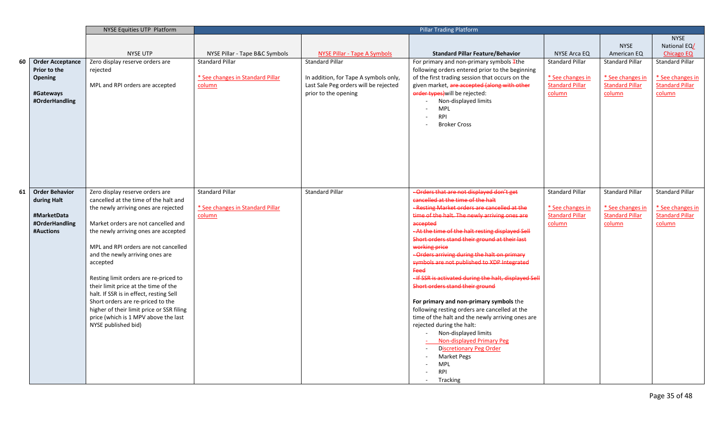|    |                             | NYSE Equities UTP Platform                |                                  | Pillar Trading Platform               |                                                              |                        |                        |                        |
|----|-----------------------------|-------------------------------------------|----------------------------------|---------------------------------------|--------------------------------------------------------------|------------------------|------------------------|------------------------|
|    |                             |                                           |                                  |                                       |                                                              |                        |                        | <b>NYSE</b>            |
|    |                             |                                           |                                  |                                       |                                                              |                        | <b>NYSE</b>            | National EQ/           |
|    |                             | <b>NYSE UTP</b>                           | NYSE Pillar - Tape B&C Symbols   | <b>NYSE Pillar - Tape A Symbols</b>   | <b>Standard Pillar Feature/Behavior</b>                      | NYSE Arca EQ           | American EQ            | <b>Chicago EQ</b>      |
| 60 | <b>Order Acceptance</b>     | Zero display reserve orders are           | <b>Standard Pillar</b>           | <b>Standard Pillar</b>                | For primary and non-primary symbols $#$ the                  | <b>Standard Pillar</b> | <b>Standard Pillar</b> | <b>Standard Pillar</b> |
|    | Prior to the                | rejected                                  |                                  |                                       | following orders entered prior to the beginning              |                        |                        |                        |
|    | Opening                     |                                           | * See changes in Standard Pillar | In addition, for Tape A symbols only, | of the first trading session that occurs on the              | * See changes in       | * See changes in       | * See changes in       |
|    |                             | MPL and RPI orders are accepted           | column                           | Last Sale Peg orders will be rejected | given market, are accepted (along with other                 | <b>Standard Pillar</b> | <b>Standard Pillar</b> | <b>Standard Pillar</b> |
|    | #Gateways                   |                                           |                                  | prior to the opening                  | order types) will be rejected:                               | column                 | column                 | column                 |
|    | #OrderHandling              |                                           |                                  |                                       | Non-displayed limits                                         |                        |                        |                        |
|    |                             |                                           |                                  |                                       | <b>MPL</b><br>$\sim$                                         |                        |                        |                        |
|    |                             |                                           |                                  |                                       | <b>RPI</b><br>$\sim$                                         |                        |                        |                        |
|    |                             |                                           |                                  |                                       | <b>Broker Cross</b>                                          |                        |                        |                        |
|    |                             |                                           |                                  |                                       |                                                              |                        |                        |                        |
|    |                             |                                           |                                  |                                       |                                                              |                        |                        |                        |
|    |                             |                                           |                                  |                                       |                                                              |                        |                        |                        |
|    |                             |                                           |                                  |                                       |                                                              |                        |                        |                        |
|    |                             |                                           |                                  |                                       |                                                              |                        |                        |                        |
|    |                             |                                           |                                  |                                       |                                                              |                        |                        |                        |
|    |                             |                                           |                                  |                                       |                                                              |                        |                        |                        |
| 61 | <b>Order Behavior</b>       | Zero display reserve orders are           | <b>Standard Pillar</b>           | <b>Standard Pillar</b>                | - Orders that are not displayed don't get                    | <b>Standard Pillar</b> | <b>Standard Pillar</b> | Standard Pillar        |
|    | during Halt                 | cancelled at the time of the halt and     |                                  |                                       | cancelled at the time of the halt                            |                        |                        |                        |
|    |                             | the newly arriving ones are rejected      | * See changes in Standard Pillar |                                       | -Resting Market orders are cancelled at the                  | * See changes in       | * See changes in       | * See changes in       |
|    | #MarketData                 |                                           | column                           |                                       | time of the halt. The newly arriving ones are                | <b>Standard Pillar</b> | <b>Standard Pillar</b> | <b>Standard Pillar</b> |
|    | #OrderHandling<br>#Auctions | Market orders are not cancelled and       |                                  |                                       | accepted<br>- At the time of the halt resting displayed Sell | column                 | column                 | column                 |
|    |                             | the newly arriving ones are accepted      |                                  |                                       | Short orders stand their ground at their last                |                        |                        |                        |
|    |                             | MPL and RPI orders are not cancelled      |                                  |                                       | working price                                                |                        |                        |                        |
|    |                             | and the newly arriving ones are           |                                  |                                       | -Orders arriving during the halt on primary                  |                        |                        |                        |
|    |                             | accepted                                  |                                  |                                       | symbols are not published to XDP integrated                  |                        |                        |                        |
|    |                             |                                           |                                  |                                       | Feed                                                         |                        |                        |                        |
|    |                             | Resting limit orders are re-priced to     |                                  |                                       | - If SSR is activated during the halt, displayed Sell        |                        |                        |                        |
|    |                             | their limit price at the time of the      |                                  |                                       | Short orders stand their ground                              |                        |                        |                        |
|    |                             | halt. If SSR is in effect, resting Sell   |                                  |                                       |                                                              |                        |                        |                        |
|    |                             | Short orders are re-priced to the         |                                  |                                       | For primary and non-primary symbols the                      |                        |                        |                        |
|    |                             | higher of their limit price or SSR filing |                                  |                                       | following resting orders are cancelled at the                |                        |                        |                        |
|    |                             | price (which is 1 MPV above the last      |                                  |                                       | time of the halt and the newly arriving ones are             |                        |                        |                        |
|    |                             | NYSE published bid)                       |                                  |                                       | rejected during the halt:                                    |                        |                        |                        |
|    |                             |                                           |                                  |                                       | Non-displayed limits                                         |                        |                        |                        |
|    |                             |                                           |                                  |                                       | Non-displayed Primary Peg                                    |                        |                        |                        |
|    |                             |                                           |                                  |                                       | <b>Discretionary Peg Order</b><br>$\sim$                     |                        |                        |                        |
|    |                             |                                           |                                  |                                       | <b>Market Pegs</b>                                           |                        |                        |                        |
|    |                             |                                           |                                  |                                       | <b>MPL</b><br><b>RPI</b>                                     |                        |                        |                        |
|    |                             |                                           |                                  |                                       |                                                              |                        |                        |                        |
|    |                             |                                           |                                  |                                       | Tracking                                                     |                        |                        |                        |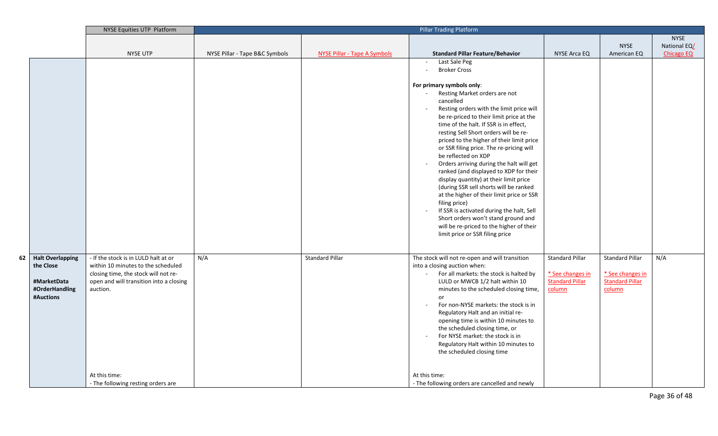|      |                                                                                    | NYSE Equities UTP Platform                                                                                                                                                                 | <b>Pillar Trading Platform</b> |                                     |                                                                                                                                                                                                                                                                                                                                                                                                                                                                                                                                                                                                                                                                                                                                                                                                                                                                                   |                                                                                |                                                                                |                   |
|------|------------------------------------------------------------------------------------|--------------------------------------------------------------------------------------------------------------------------------------------------------------------------------------------|--------------------------------|-------------------------------------|-----------------------------------------------------------------------------------------------------------------------------------------------------------------------------------------------------------------------------------------------------------------------------------------------------------------------------------------------------------------------------------------------------------------------------------------------------------------------------------------------------------------------------------------------------------------------------------------------------------------------------------------------------------------------------------------------------------------------------------------------------------------------------------------------------------------------------------------------------------------------------------|--------------------------------------------------------------------------------|--------------------------------------------------------------------------------|-------------------|
|      |                                                                                    |                                                                                                                                                                                            |                                |                                     |                                                                                                                                                                                                                                                                                                                                                                                                                                                                                                                                                                                                                                                                                                                                                                                                                                                                                   |                                                                                |                                                                                | <b>NYSE</b>       |
|      |                                                                                    |                                                                                                                                                                                            |                                |                                     |                                                                                                                                                                                                                                                                                                                                                                                                                                                                                                                                                                                                                                                                                                                                                                                                                                                                                   |                                                                                | <b>NYSE</b>                                                                    | National EQ/      |
|      |                                                                                    | <b>NYSE UTP</b>                                                                                                                                                                            | NYSE Pillar - Tape B&C Symbols | <b>NYSE Pillar - Tape A Symbols</b> | <b>Standard Pillar Feature/Behavior</b>                                                                                                                                                                                                                                                                                                                                                                                                                                                                                                                                                                                                                                                                                                                                                                                                                                           | <b>NYSE Arca EQ</b>                                                            | American EQ                                                                    | <b>Chicago EQ</b> |
|      |                                                                                    |                                                                                                                                                                                            |                                |                                     | Last Sale Peg<br>$\sim$<br><b>Broker Cross</b><br>$\sim$<br>For primary symbols only:<br>Resting Market orders are not<br>$\sim$<br>cancelled<br>Resting orders with the limit price will<br>$\sim$<br>be re-priced to their limit price at the<br>time of the halt. If SSR is in effect,<br>resting Sell Short orders will be re-<br>priced to the higher of their limit price<br>or SSR filing price. The re-pricing will<br>be reflected on XDP<br>Orders arriving during the halt will get<br>$\sim$<br>ranked (and displayed to XDP for their<br>display quantity) at their limit price<br>(during SSR sell shorts will be ranked<br>at the higher of their limit price or SSR<br>filing price)<br>If SSR is activated during the halt, Sell<br>$\sim$<br>Short orders won't stand ground and<br>will be re-priced to the higher of their<br>limit price or SSR filing price |                                                                                |                                                                                |                   |
| 62 I | <b>Halt Overlapping</b><br>the Close<br>#MarketData<br>#OrderHandling<br>#Auctions | - If the stock is in LULD halt at or<br>within 10 minutes to the scheduled<br>closing time, the stock will not re-<br>open and will transition into a closing<br>auction.<br>At this time: | N/A                            | <b>Standard Pillar</b>              | The stock will not re-open and will transition<br>into a closing auction when:<br>For all markets: the stock is halted by<br>$\sim$<br>LULD or MWCB 1/2 halt within 10<br>minutes to the scheduled closing time,<br>or<br>For non-NYSE markets: the stock is in<br>$\sim$<br>Regulatory Halt and an initial re-<br>opening time is within 10 minutes to<br>the scheduled closing time, or<br>For NYSE market: the stock is in<br>$\sim$<br>Regulatory Halt within 10 minutes to<br>the scheduled closing time<br>At this time:                                                                                                                                                                                                                                                                                                                                                    | <b>Standard Pillar</b><br>* See changes in<br><b>Standard Pillar</b><br>column | <b>Standard Pillar</b><br>* See changes in<br><b>Standard Pillar</b><br>column | N/A               |
|      |                                                                                    | - The following resting orders are                                                                                                                                                         |                                |                                     | - The following orders are cancelled and newly                                                                                                                                                                                                                                                                                                                                                                                                                                                                                                                                                                                                                                                                                                                                                                                                                                    |                                                                                |                                                                                |                   |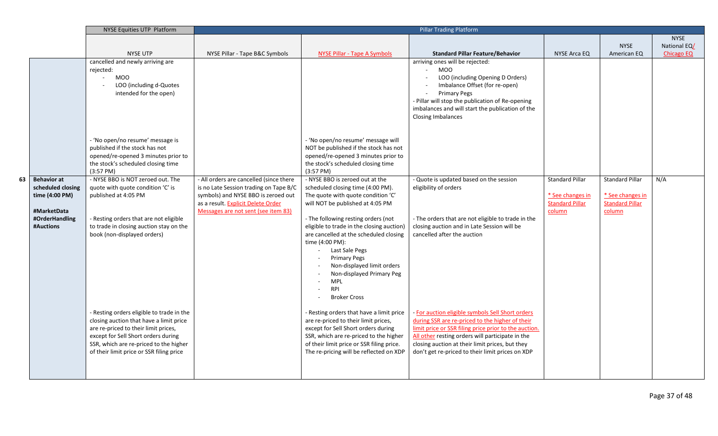|    |                    | NYSE Equities UTP Platform                                             |                                         |                                                                                     | <b>Pillar Trading Platform</b>                                             |                        |                        |                   |
|----|--------------------|------------------------------------------------------------------------|-----------------------------------------|-------------------------------------------------------------------------------------|----------------------------------------------------------------------------|------------------------|------------------------|-------------------|
|    |                    |                                                                        |                                         |                                                                                     |                                                                            |                        |                        | <b>NYSE</b>       |
|    |                    |                                                                        |                                         |                                                                                     |                                                                            |                        | <b>NYSE</b>            | National EQ/      |
|    |                    | <b>NYSE UTP</b>                                                        | NYSE Pillar - Tape B&C Symbols          | NYSE Pillar - Tape A Symbols                                                        | <b>Standard Pillar Feature/Behavior</b>                                    | NYSE Arca EQ           | American EQ            | <b>Chicago EQ</b> |
|    |                    | cancelled and newly arriving are                                       |                                         |                                                                                     | arriving ones will be rejected:<br>$\omega$                                |                        |                        |                   |
|    |                    | rejected:<br>$\Delta \phi$<br><b>MOO</b>                               |                                         |                                                                                     | MOO<br>LOO (including Opening D Orders)                                    |                        |                        |                   |
|    |                    | LOO (including d-Quotes                                                |                                         |                                                                                     | Imbalance Offset (for re-open)                                             |                        |                        |                   |
|    |                    | intended for the open)                                                 |                                         |                                                                                     | <b>Primary Pegs</b>                                                        |                        |                        |                   |
|    |                    |                                                                        |                                         |                                                                                     | - Pillar will stop the publication of Re-opening                           |                        |                        |                   |
|    |                    |                                                                        |                                         |                                                                                     | imbalances and will start the publication of the                           |                        |                        |                   |
|    |                    |                                                                        |                                         |                                                                                     | <b>Closing Imbalances</b>                                                  |                        |                        |                   |
|    |                    |                                                                        |                                         |                                                                                     |                                                                            |                        |                        |                   |
|    |                    |                                                                        |                                         |                                                                                     |                                                                            |                        |                        |                   |
|    |                    | - 'No open/no resume' message is                                       |                                         | - 'No open/no resume' message will                                                  |                                                                            |                        |                        |                   |
|    |                    | published if the stock has not<br>opened/re-opened 3 minutes prior to  |                                         | NOT be published if the stock has not<br>opened/re-opened 3 minutes prior to        |                                                                            |                        |                        |                   |
|    |                    | the stock's scheduled closing time                                     |                                         | the stock's scheduled closing time                                                  |                                                                            |                        |                        |                   |
|    |                    | $(3:57 \text{ PM})$                                                    |                                         | $(3:57 \text{ PM})$                                                                 |                                                                            |                        |                        |                   |
| 63 | <b>Behavior at</b> | - NYSE BBO is NOT zeroed out. The                                      | - All orders are cancelled (since there | - NYSE BBO is zeroed out at the                                                     | - Quote is updated based on the session                                    | <b>Standard Pillar</b> | <b>Standard Pillar</b> | N/A               |
|    | scheduled closing  | quote with quote condition 'C' is                                      | is no Late Session trading on Tape B/C  | scheduled closing time (4:00 PM).                                                   | eligibility of orders                                                      |                        |                        |                   |
|    | time (4:00 PM)     | published at 4:05 PM                                                   | symbols) and NYSE BBO is zeroed out     | The quote with quote condition 'C'                                                  |                                                                            | * See changes in       | * See changes in       |                   |
|    |                    |                                                                        | as a result. Explicit Delete Order      | will NOT be published at 4:05 PM                                                    |                                                                            | <b>Standard Pillar</b> | <b>Standard Pillar</b> |                   |
|    | #MarketData        |                                                                        | Messages are not sent (see item 83)     |                                                                                     |                                                                            | column                 | column                 |                   |
|    | #OrderHandling     | - Resting orders that are not eligible                                 |                                         | - The following resting orders (not                                                 | - The orders that are not eligible to trade in the                         |                        |                        |                   |
|    | #Auctions          | to trade in closing auction stay on the<br>book (non-displayed orders) |                                         | eligible to trade in the closing auction)<br>are cancelled at the scheduled closing | closing auction and in Late Session will be<br>cancelled after the auction |                        |                        |                   |
|    |                    |                                                                        |                                         | time (4:00 PM):                                                                     |                                                                            |                        |                        |                   |
|    |                    |                                                                        |                                         | Last Sale Pegs                                                                      |                                                                            |                        |                        |                   |
|    |                    |                                                                        |                                         | <b>Primary Pegs</b>                                                                 |                                                                            |                        |                        |                   |
|    |                    |                                                                        |                                         | Non-displayed limit orders                                                          |                                                                            |                        |                        |                   |
|    |                    |                                                                        |                                         | Non-displayed Primary Peg                                                           |                                                                            |                        |                        |                   |
|    |                    |                                                                        |                                         | <b>MPL</b>                                                                          |                                                                            |                        |                        |                   |
|    |                    |                                                                        |                                         | RPI                                                                                 |                                                                            |                        |                        |                   |
|    |                    |                                                                        |                                         | <b>Broker Cross</b>                                                                 |                                                                            |                        |                        |                   |
|    |                    | - Resting orders eligible to trade in the                              |                                         | - Resting orders that have a limit price                                            | - For auction eligible symbols Sell Short orders                           |                        |                        |                   |
|    |                    | closing auction that have a limit price                                |                                         | are re-priced to their limit prices,                                                | during SSR are re-priced to the higher of their                            |                        |                        |                   |
|    |                    | are re-priced to their limit prices,                                   |                                         | except for Sell Short orders during                                                 | limit price or SSR filing price prior to the auction.                      |                        |                        |                   |
|    |                    | except for Sell Short orders during                                    |                                         | SSR, which are re-priced to the higher                                              | All other resting orders will participate in the                           |                        |                        |                   |
|    |                    | SSR, which are re-priced to the higher                                 |                                         | of their limit price or SSR filing price.                                           | closing auction at their limit prices, but they                            |                        |                        |                   |
|    |                    | of their limit price or SSR filing price                               |                                         | The re-pricing will be reflected on XDP                                             | don't get re-priced to their limit prices on XDP                           |                        |                        |                   |
|    |                    |                                                                        |                                         |                                                                                     |                                                                            |                        |                        |                   |
|    |                    |                                                                        |                                         |                                                                                     |                                                                            |                        |                        |                   |
|    |                    |                                                                        |                                         |                                                                                     |                                                                            |                        |                        |                   |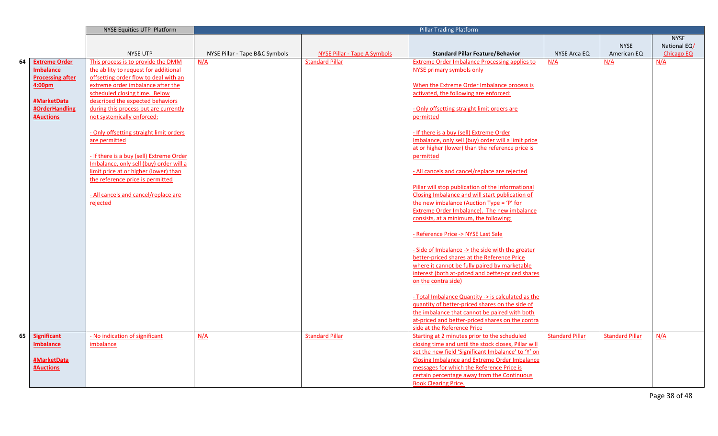|    |                         | <b>NYSE Equities UTP Platform</b>        |                                |                                     | <b>Pillar Trading Platform</b>                       |                        |                        |                   |
|----|-------------------------|------------------------------------------|--------------------------------|-------------------------------------|------------------------------------------------------|------------------------|------------------------|-------------------|
|    |                         |                                          |                                |                                     |                                                      |                        |                        | <b>NYSE</b>       |
|    |                         |                                          |                                |                                     |                                                      |                        | <b>NYSE</b>            | National EQ/      |
|    |                         | <b>NYSE UTP</b>                          | NYSE Pillar - Tape B&C Symbols | <b>NYSE Pillar - Tape A Symbols</b> | <b>Standard Pillar Feature/Behavior</b>              | NYSE Arca EQ           | American EQ            | <b>Chicago EQ</b> |
| 64 | <b>Extreme Order</b>    | This process is to provide the DMM       | N/A                            | <b>Standard Pillar</b>              | <b>Extreme Order Imbalance Processing applies to</b> | N/A                    | N/A                    | N/A               |
|    | <b>Imbalance</b>        | the ability to request for additional    |                                |                                     | NYSE primary symbols only                            |                        |                        |                   |
|    | <b>Processing after</b> | offsetting order flow to deal with an    |                                |                                     |                                                      |                        |                        |                   |
|    | 4:00 <sub>pm</sub>      | extreme order imbalance after the        |                                |                                     | When the Extreme Order Imbalance process is          |                        |                        |                   |
|    |                         | scheduled closing time. Below            |                                |                                     | activated, the following are enforced:               |                        |                        |                   |
|    | #MarketData             | described the expected behaviors         |                                |                                     |                                                      |                        |                        |                   |
|    | #OrderHandling          | during this process but are currently    |                                |                                     | - Only offsetting straight limit orders are          |                        |                        |                   |
|    | <b>#Auctions</b>        | not systemically enforced:               |                                |                                     | permitted                                            |                        |                        |                   |
|    |                         |                                          |                                |                                     |                                                      |                        |                        |                   |
|    |                         | - Only offsetting straight limit orders  |                                |                                     | - If there is a buy (sell) Extreme Order             |                        |                        |                   |
|    |                         | are permitted                            |                                |                                     | Imbalance, only sell (buy) order will a limit price  |                        |                        |                   |
|    |                         |                                          |                                |                                     | at or higher (lower) than the reference price is     |                        |                        |                   |
|    |                         | - If there is a buy (sell) Extreme Order |                                |                                     | permitted                                            |                        |                        |                   |
|    |                         | Imbalance, only sell (buy) order will a  |                                |                                     |                                                      |                        |                        |                   |
|    |                         | limit price at or higher (lower) than    |                                |                                     | - All cancels and cancel/replace are rejected        |                        |                        |                   |
|    |                         | the reference price is permitted         |                                |                                     |                                                      |                        |                        |                   |
|    |                         |                                          |                                |                                     | Pillar will stop publication of the Informational    |                        |                        |                   |
|    |                         | - All cancels and cancel/replace are     |                                |                                     | Closing Imbalance and will start publication of      |                        |                        |                   |
|    |                         | rejected                                 |                                |                                     | the new imbalance (Auction Type = 'P' for            |                        |                        |                   |
|    |                         |                                          |                                |                                     | Extreme Order Imbalance). The new imbalance          |                        |                        |                   |
|    |                         |                                          |                                |                                     | consists, at a minimum, the following:               |                        |                        |                   |
|    |                         |                                          |                                |                                     |                                                      |                        |                        |                   |
|    |                         |                                          |                                |                                     | - Reference Price -> NYSE Last Sale                  |                        |                        |                   |
|    |                         |                                          |                                |                                     |                                                      |                        |                        |                   |
|    |                         |                                          |                                |                                     | - Side of Imbalance -> the side with the greater     |                        |                        |                   |
|    |                         |                                          |                                |                                     | better-priced shares at the Reference Price          |                        |                        |                   |
|    |                         |                                          |                                |                                     | where it cannot be fully paired by marketable        |                        |                        |                   |
|    |                         |                                          |                                |                                     | interest (both at-priced and better-priced shares    |                        |                        |                   |
|    |                         |                                          |                                |                                     | on the contra side)                                  |                        |                        |                   |
|    |                         |                                          |                                |                                     |                                                      |                        |                        |                   |
|    |                         |                                          |                                |                                     | - Total Imbalance Quantity -> is calculated as the   |                        |                        |                   |
|    |                         |                                          |                                |                                     | quantity of better-priced shares on the side of      |                        |                        |                   |
|    |                         |                                          |                                |                                     | the imbalance that cannot be paired with both        |                        |                        |                   |
|    |                         |                                          |                                |                                     | at-priced and better-priced shares on the contra     |                        |                        |                   |
|    |                         |                                          |                                |                                     | side at the Reference Price                          |                        |                        |                   |
| 65 | <b>Significant</b>      | - No indication of significant           | N/A                            | <b>Standard Pillar</b>              | Starting at 2 minutes prior to the scheduled         | <b>Standard Pillar</b> | <b>Standard Pillar</b> | N/A               |
|    | <b>Imbalance</b>        | imbalance                                |                                |                                     | closing time and until the stock closes, Pillar will |                        |                        |                   |
|    |                         |                                          |                                |                                     | set the new field 'Significant Imbalance' to 'Y' on  |                        |                        |                   |
|    | #MarketData             |                                          |                                |                                     | <b>Closing Imbalance and Extreme Order Imbalance</b> |                        |                        |                   |
|    | <b>#Auctions</b>        |                                          |                                |                                     | messages for which the Reference Price is            |                        |                        |                   |
|    |                         |                                          |                                |                                     | certain percentage away from the Continuous          |                        |                        |                   |
|    |                         |                                          |                                |                                     | <b>Book Clearing Price.</b>                          |                        |                        |                   |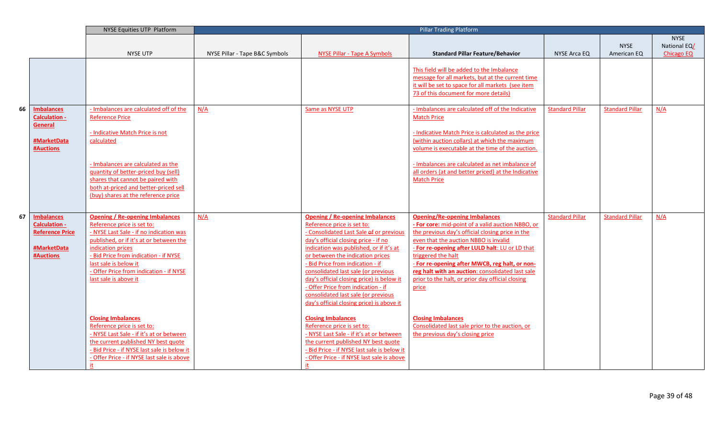|    |                                           | <b>NYSE Equities UTP Platform</b>                                          |                                |                                                                           | <b>Pillar Trading Platform</b>                                                                                                                                                              |                        |                        |                   |
|----|-------------------------------------------|----------------------------------------------------------------------------|--------------------------------|---------------------------------------------------------------------------|---------------------------------------------------------------------------------------------------------------------------------------------------------------------------------------------|------------------------|------------------------|-------------------|
|    |                                           |                                                                            |                                |                                                                           |                                                                                                                                                                                             |                        |                        | <b>NYSE</b>       |
|    |                                           |                                                                            |                                |                                                                           |                                                                                                                                                                                             |                        | <b>NYSE</b>            | National EQ/      |
|    |                                           | <b>NYSE UTP</b>                                                            | NYSE Pillar - Tape B&C Symbols | <b>NYSE Pillar - Tape A Symbols</b>                                       | <b>Standard Pillar Feature/Behavior</b>                                                                                                                                                     | NYSE Arca EQ           | American EQ            | <b>Chicago EQ</b> |
|    |                                           |                                                                            |                                |                                                                           | This field will be added to the Imbalance<br>message for all markets, but at the current time<br>it will be set to space for all markets (see item<br>73 of this document for more details) |                        |                        |                   |
| 66 | <b>Imbalances</b>                         | - Imbalances are calculated off of the                                     | N/A                            | Same as NYSE UTP                                                          | - Imbalances are calculated off of the Indicative                                                                                                                                           | <b>Standard Pillar</b> | <b>Standard Pillar</b> | N/A               |
|    | <b>Calculation -</b>                      | <b>Reference Price</b>                                                     |                                |                                                                           | <b>Match Price</b>                                                                                                                                                                          |                        |                        |                   |
|    | General                                   |                                                                            |                                |                                                                           |                                                                                                                                                                                             |                        |                        |                   |
|    |                                           | - Indicative Match Price is not                                            |                                |                                                                           | - Indicative Match Price is calculated as the price                                                                                                                                         |                        |                        |                   |
|    | #MarketData                               | calculated                                                                 |                                |                                                                           | (within auction collars) at which the maximum                                                                                                                                               |                        |                        |                   |
|    | <b>#Auctions</b>                          |                                                                            |                                |                                                                           | volume is executable at the time of the auction                                                                                                                                             |                        |                        |                   |
|    |                                           |                                                                            |                                |                                                                           |                                                                                                                                                                                             |                        |                        |                   |
|    |                                           | - Imbalances are calculated as the<br>quantity of better-priced buy (sell) |                                |                                                                           | - Imbalances are calculated as net imbalance of<br>all orders (at and better priced) at the Indicative                                                                                      |                        |                        |                   |
|    |                                           | shares that cannot be paired with                                          |                                |                                                                           | <b>Match Price</b>                                                                                                                                                                          |                        |                        |                   |
|    |                                           | both at-priced and better-priced sell                                      |                                |                                                                           |                                                                                                                                                                                             |                        |                        |                   |
|    |                                           | (buy) shares at the reference price                                        |                                |                                                                           |                                                                                                                                                                                             |                        |                        |                   |
|    |                                           |                                                                            |                                |                                                                           |                                                                                                                                                                                             |                        |                        |                   |
|    |                                           |                                                                            |                                |                                                                           |                                                                                                                                                                                             |                        |                        |                   |
| 67 | <b>Imbalances</b><br><b>Calculation -</b> | <b>Opening / Re-opening Imbalances</b><br>Reference price is set to:       | N/A                            | <b>Opening / Re-opening Imbalances</b><br>Reference price is set to:      | <b>Opening/Re-opening Imbalances</b><br>- For core: mid-point of a valid auction NBBO, or                                                                                                   | <b>Standard Pillar</b> | <b>Standard Pillar</b> | N/A               |
|    | <b>Reference Price</b>                    | - NYSE Last Sale - if no indication was                                    |                                | - Consolidated Last Sale of or previous                                   | the previous day's official closing price in the                                                                                                                                            |                        |                        |                   |
|    |                                           | published, or if it's at or between the                                    |                                | day's official closing price - if no                                      | even that the auction NBBO is invalid                                                                                                                                                       |                        |                        |                   |
|    | #MarketData                               | indication prices                                                          |                                | indication was published, or if it's at                                   | - For re-opening after LULD halt: LU or LD that                                                                                                                                             |                        |                        |                   |
|    | <b>#Auctions</b>                          | - Bid Price from indication - if NYSE                                      |                                | or between the indication prices                                          | triggered the halt                                                                                                                                                                          |                        |                        |                   |
|    |                                           | last sale is below it                                                      |                                | - Bid Price from indication - if                                          | - For re-opening after MWCB, reg halt, or non-                                                                                                                                              |                        |                        |                   |
|    |                                           | - Offer Price from indication - if NYSE                                    |                                | consolidated last sale (or previous                                       | reg halt with an auction: consolidated last sale                                                                                                                                            |                        |                        |                   |
|    |                                           | last sale is above it                                                      |                                | day's official closing price) is below it                                 | prior to the halt, or prior day official closing                                                                                                                                            |                        |                        |                   |
|    |                                           |                                                                            |                                | - Offer Price from indication - if<br>consolidated last sale (or previous | price                                                                                                                                                                                       |                        |                        |                   |
|    |                                           |                                                                            |                                | day's official closing price) is above it                                 |                                                                                                                                                                                             |                        |                        |                   |
|    |                                           |                                                                            |                                |                                                                           |                                                                                                                                                                                             |                        |                        |                   |
|    |                                           | <b>Closing Imbalances</b>                                                  |                                | <b>Closing Imbalances</b>                                                 | <b>Closing Imbalances</b>                                                                                                                                                                   |                        |                        |                   |
|    |                                           | Reference price is set to:                                                 |                                | Reference price is set to:                                                | Consolidated last sale prior to the auction, or                                                                                                                                             |                        |                        |                   |
|    |                                           | - NYSE Last Sale - if it's at or between                                   |                                | - NYSE Last Sale - if it's at or between                                  | the previous day's closing price                                                                                                                                                            |                        |                        |                   |
|    |                                           | the current published NY best quote                                        |                                | the current published NY best quote                                       |                                                                                                                                                                                             |                        |                        |                   |
|    |                                           | - Bid Price - if NYSE last sale is below it                                |                                | - Bid Price - if NYSE last sale is below it                               |                                                                                                                                                                                             |                        |                        |                   |
|    |                                           | - Offer Price - if NYSE last sale is above                                 |                                | - Offer Price - if NYSE last sale is above                                |                                                                                                                                                                                             |                        |                        |                   |
|    |                                           |                                                                            |                                |                                                                           |                                                                                                                                                                                             |                        |                        |                   |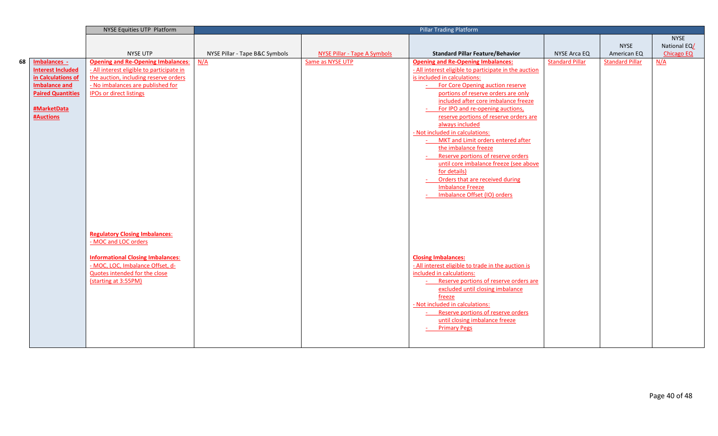|    |                          | NYSE Equities UTP Platform                |                                |                                     | <b>Pillar Trading Platform</b>                          |                        |                        |                   |
|----|--------------------------|-------------------------------------------|--------------------------------|-------------------------------------|---------------------------------------------------------|------------------------|------------------------|-------------------|
|    |                          |                                           |                                |                                     |                                                         |                        |                        | <b>NYSE</b>       |
|    |                          |                                           |                                |                                     |                                                         |                        | <b>NYSE</b>            | National EQ/      |
|    |                          | <b>NYSE UTP</b>                           | NYSE Pillar - Tape B&C Symbols | <b>NYSE Pillar - Tape A Symbols</b> | <b>Standard Pillar Feature/Behavior</b>                 | NYSE Arca EQ           | American EQ            | <b>Chicago EQ</b> |
| 68 | Imbalances -             | <b>Opening and Re-Opening Imbalances:</b> | N/A                            | Same as NYSE UTP                    | <b>Opening and Re-Opening Imbalances:</b>               | <b>Standard Pillar</b> | <b>Standard Pillar</b> | N/A               |
|    | <b>Interest Included</b> | - All interest eligible to participate in |                                |                                     | - All interest eligible to participate in the auction   |                        |                        |                   |
|    | in Calculations of       | the auction, including reserve orders     |                                |                                     | is included in calculations:                            |                        |                        |                   |
|    | <b>Imbalance and</b>     | - No imbalances are published for         |                                |                                     | For Core Opening auction reserve                        |                        |                        |                   |
|    | <b>Paired Quantities</b> | <b>IPOs or direct listings</b>            |                                |                                     | portions of reserve orders are only                     |                        |                        |                   |
|    |                          |                                           |                                |                                     | included after core imbalance freeze                    |                        |                        |                   |
|    | #MarketData              |                                           |                                |                                     | For IPO and re-opening auctions,                        |                        |                        |                   |
|    | <b>#Auctions</b>         |                                           |                                |                                     | reserve portions of reserve orders are                  |                        |                        |                   |
|    |                          |                                           |                                |                                     | always included                                         |                        |                        |                   |
|    |                          |                                           |                                |                                     | - Not included in calculations:                         |                        |                        |                   |
|    |                          |                                           |                                |                                     | MKT and Limit orders entered after                      |                        |                        |                   |
|    |                          |                                           |                                |                                     | the imbalance freeze                                    |                        |                        |                   |
|    |                          |                                           |                                |                                     | Reserve portions of reserve orders                      |                        |                        |                   |
|    |                          |                                           |                                |                                     | until core imbalance freeze (see above                  |                        |                        |                   |
|    |                          |                                           |                                |                                     | for details)                                            |                        |                        |                   |
|    |                          |                                           |                                |                                     | Orders that are received during                         |                        |                        |                   |
|    |                          |                                           |                                |                                     | <b>Imbalance Freeze</b><br>Imbalance Offset (IO) orders |                        |                        |                   |
|    |                          |                                           |                                |                                     |                                                         |                        |                        |                   |
|    |                          |                                           |                                |                                     |                                                         |                        |                        |                   |
|    |                          |                                           |                                |                                     |                                                         |                        |                        |                   |
|    |                          |                                           |                                |                                     |                                                         |                        |                        |                   |
|    |                          | <b>Regulatory Closing Imbalances:</b>     |                                |                                     |                                                         |                        |                        |                   |
|    |                          | - MOC and LOC orders                      |                                |                                     |                                                         |                        |                        |                   |
|    |                          |                                           |                                |                                     |                                                         |                        |                        |                   |
|    |                          | <b>Informational Closing Imbalances:</b>  |                                |                                     | <b>Closing Imbalances:</b>                              |                        |                        |                   |
|    |                          | - MOC, LOC, Imbalance Offset, d-          |                                |                                     | - All interest eligible to trade in the auction is      |                        |                        |                   |
|    |                          | Quotes intended for the close             |                                |                                     | included in calculations:                               |                        |                        |                   |
|    |                          | (starting at 3:55PM)                      |                                |                                     | Reserve portions of reserve orders are                  |                        |                        |                   |
|    |                          |                                           |                                |                                     | excluded until closing imbalance                        |                        |                        |                   |
|    |                          |                                           |                                |                                     | freeze                                                  |                        |                        |                   |
|    |                          |                                           |                                |                                     | - Not included in calculations:                         |                        |                        |                   |
|    |                          |                                           |                                |                                     | Reserve portions of reserve orders                      |                        |                        |                   |
|    |                          |                                           |                                |                                     | until closing imbalance freeze                          |                        |                        |                   |
|    |                          |                                           |                                |                                     | <b>Primary Pegs</b>                                     |                        |                        |                   |
|    |                          |                                           |                                |                                     |                                                         |                        |                        |                   |
|    |                          |                                           |                                |                                     |                                                         |                        |                        |                   |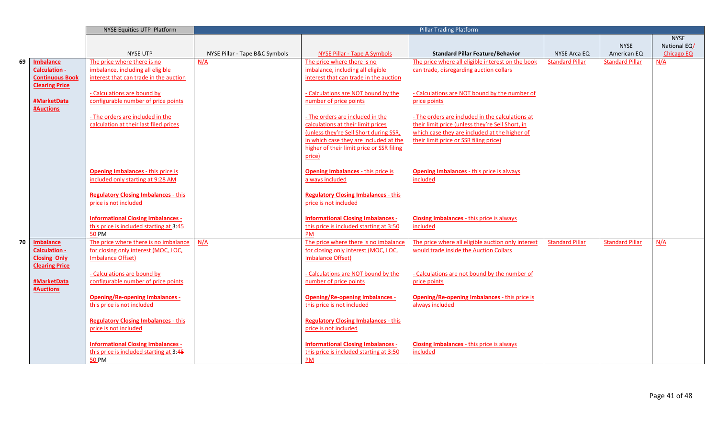|    |                        | NYSE Equities UTP Platform                  |                                |                                             | <b>Pillar Trading Platform</b>                       |                        |                        |                   |
|----|------------------------|---------------------------------------------|--------------------------------|---------------------------------------------|------------------------------------------------------|------------------------|------------------------|-------------------|
|    |                        |                                             |                                |                                             |                                                      |                        |                        | <b>NYSE</b>       |
|    |                        |                                             |                                |                                             |                                                      |                        | <b>NYSE</b>            | National EQ/      |
|    |                        | <b>NYSE UTP</b>                             | NYSE Pillar - Tape B&C Symbols | NYSE Pillar - Tape A Symbols                | <b>Standard Pillar Feature/Behavior</b>              | NYSE Arca EQ           | American EQ            | <b>Chicago EQ</b> |
| 69 | <b>Imbalance</b>       | The price where there is no                 | N/A                            | The price where there is no                 | The price where all eligible interest on the book    | <b>Standard Pillar</b> | <b>Standard Pillar</b> | N/A               |
|    | <b>Calculation -</b>   | imbalance, including all eligible           |                                | imbalance, including all eligible           | can trade, disregarding auction collars              |                        |                        |                   |
|    | <b>Continuous Book</b> | interest that can trade in the auction      |                                | interest that can trade in the auction      |                                                      |                        |                        |                   |
|    | <b>Clearing Price</b>  |                                             |                                |                                             |                                                      |                        |                        |                   |
|    |                        | - Calculations are bound by                 |                                | - Calculations are NOT bound by the         | - Calculations are NOT bound by the number of        |                        |                        |                   |
|    | #MarketData            | configurable number of price points         |                                | number of price points                      | price points                                         |                        |                        |                   |
|    | <b>#Auctions</b>       |                                             |                                |                                             |                                                      |                        |                        |                   |
|    |                        | - The orders are included in the            |                                | - The orders are included in the            | - The orders are included in the calculations at     |                        |                        |                   |
|    |                        | calculation at their last filed prices      |                                | calculations at their limit prices          | their limit price (unless they're Sell Short, in     |                        |                        |                   |
|    |                        |                                             |                                | (unless they're Sell Short during SSR,      | which case they are included at the higher of        |                        |                        |                   |
|    |                        |                                             |                                | in which case they are included at the      | their limit price or SSR filing price)               |                        |                        |                   |
|    |                        |                                             |                                | higher of their limit price or SSR filing   |                                                      |                        |                        |                   |
|    |                        |                                             |                                | price)                                      |                                                      |                        |                        |                   |
|    |                        |                                             |                                |                                             |                                                      |                        |                        |                   |
|    |                        | <b>Opening Imbalances - this price is</b>   |                                | <b>Opening Imbalances - this price is</b>   | <b>Opening Imbalances - this price is always</b>     |                        |                        |                   |
|    |                        | included only starting at 9:28 AM           |                                | always included                             | included                                             |                        |                        |                   |
|    |                        |                                             |                                |                                             |                                                      |                        |                        |                   |
|    |                        | <b>Regulatory Closing Imbalances - this</b> |                                | <b>Regulatory Closing Imbalances - this</b> |                                                      |                        |                        |                   |
|    |                        | price is not included                       |                                | price is not included                       |                                                      |                        |                        |                   |
|    |                        |                                             |                                |                                             |                                                      |                        |                        |                   |
|    |                        | <b>Informational Closing Imbalances -</b>   |                                | <b>Informational Closing Imbalances -</b>   | <b>Closing Imbalances - this price is always</b>     |                        |                        |                   |
|    |                        | this price is included starting at 3:45     |                                | this price is included starting at 3:50     | included                                             |                        |                        |                   |
|    |                        | <b>50 PM</b>                                |                                | PM                                          |                                                      |                        |                        |                   |
| 70 | Imbalance              | The price where there is no imbalance       | N/A                            | The price where there is no imbalance       | The price where all eligible auction only interest   | <b>Standard Pillar</b> | <b>Standard Pillar</b> | N/A               |
|    | Calculation -          | for closing only interest (MOC, LOC,        |                                | for closing only interest (MOC, LOC,        | would trade inside the Auction Collars               |                        |                        |                   |
|    | <b>Closing Only</b>    | <b>Imbalance Offset)</b>                    |                                | <b>Imbalance Offset)</b>                    |                                                      |                        |                        |                   |
|    | <b>Clearing Price</b>  |                                             |                                |                                             |                                                      |                        |                        |                   |
|    |                        | - Calculations are bound by                 |                                | - Calculations are NOT bound by the         | - Calculations are not bound by the number of        |                        |                        |                   |
|    | #MarketData            | configurable number of price points         |                                | number of price points                      | price points                                         |                        |                        |                   |
|    | <b>#Auctions</b>       |                                             |                                |                                             |                                                      |                        |                        |                   |
|    |                        | <b>Opening/Re-opening Imbalances -</b>      |                                | <b>Opening/Re-opening Imbalances -</b>      | <b>Opening/Re-opening Imbalances - this price is</b> |                        |                        |                   |
|    |                        | this price is not included                  |                                | this price is not included                  | always included                                      |                        |                        |                   |
|    |                        |                                             |                                |                                             |                                                      |                        |                        |                   |
|    |                        | <b>Regulatory Closing Imbalances - this</b> |                                | <b>Regulatory Closing Imbalances - this</b> |                                                      |                        |                        |                   |
|    |                        | price is not included                       |                                | price is not included                       |                                                      |                        |                        |                   |
|    |                        | <b>Informational Closing Imbalances -</b>   |                                | <b>Informational Closing Imbalances -</b>   | <b>Closing Imbalances</b> - this price is always     |                        |                        |                   |
|    |                        | this price is included starting at 3:45     |                                | this price is included starting at 3:50     | included                                             |                        |                        |                   |
|    |                        | <b>50 PM</b>                                |                                | PM                                          |                                                      |                        |                        |                   |
|    |                        |                                             |                                |                                             |                                                      |                        |                        |                   |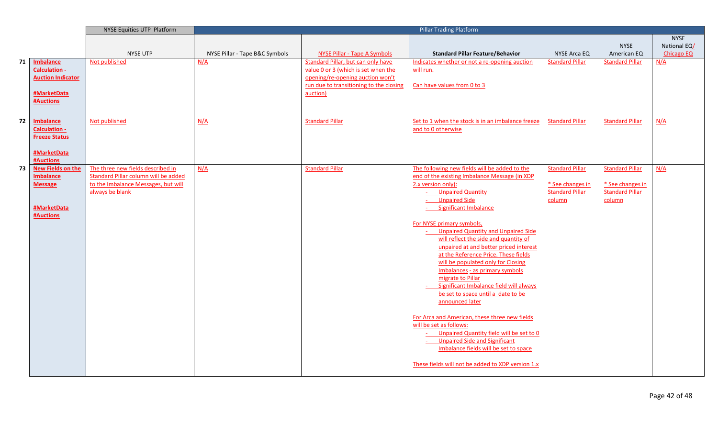|    |                                       | NYSE Equities UTP Platform           |                                |                                                     | <b>Pillar Trading Platform</b>                       |                        |                        |              |
|----|---------------------------------------|--------------------------------------|--------------------------------|-----------------------------------------------------|------------------------------------------------------|------------------------|------------------------|--------------|
|    |                                       |                                      |                                |                                                     |                                                      |                        |                        | <b>NYSE</b>  |
|    |                                       |                                      |                                |                                                     |                                                      |                        | <b>NYSE</b>            | National EQ/ |
|    |                                       | NYSE UTP                             | NYSE Pillar - Tape B&C Symbols | <b>NYSE Pillar - Tape A Symbols</b>                 | <b>Standard Pillar Feature/Behavior</b>              | <b>NYSE Arca EQ</b>    | American EQ            | Chicago EQ   |
| 71 | Imbalance                             | Not published                        | N/A                            | Standard Pillar, but can only have                  | Indicates whether or not a re-opening auction        | <b>Standard Pillar</b> | <b>Standard Pillar</b> | N/A          |
|    | <b>Calculation -</b>                  |                                      |                                | value 0 or 3 (which is set when the                 | will run.                                            |                        |                        |              |
|    | <b>Auction Indicator</b>              |                                      |                                | opening/re-opening auction won't                    |                                                      |                        |                        |              |
|    | #MarketData                           |                                      |                                | run due to transitioning to the closing<br>auction) | Can have values from 0 to 3                          |                        |                        |              |
|    | #Auctions                             |                                      |                                |                                                     |                                                      |                        |                        |              |
|    |                                       |                                      |                                |                                                     |                                                      |                        |                        |              |
|    |                                       |                                      |                                |                                                     |                                                      |                        |                        |              |
| 72 | <b>Imbalance</b>                      | Not published                        | N/A                            | <b>Standard Pillar</b>                              | Set to 1 when the stock is in an imbalance freeze    | <b>Standard Pillar</b> | <b>Standard Pillar</b> | N/A          |
|    | <b>Calculation -</b>                  |                                      |                                |                                                     | and to 0 otherwise                                   |                        |                        |              |
|    | <b>Freeze Status</b>                  |                                      |                                |                                                     |                                                      |                        |                        |              |
|    |                                       |                                      |                                |                                                     |                                                      |                        |                        |              |
|    | #MarketData                           |                                      |                                |                                                     |                                                      |                        |                        |              |
| 73 | #Auctions<br><b>New Fields on the</b> | The three new fields described in    | N/A                            | <b>Standard Pillar</b>                              | The following new fields will be added to the        | <b>Standard Pillar</b> | <b>Standard Pillar</b> | N/A          |
|    | <b>Imbalance</b>                      | Standard Pillar column will be added |                                |                                                     | end of the existing Imbalance Message (in XDP        |                        |                        |              |
|    | <b>Message</b>                        | to the Imbalance Messages, but will  |                                |                                                     | 2.x version only):                                   | * See changes in       | * See changes in       |              |
|    |                                       | always be blank                      |                                |                                                     | - Unpaired Quantity                                  | <b>Standard Pillar</b> | <b>Standard Pillar</b> |              |
|    |                                       |                                      |                                |                                                     | <b>Unpaired Side</b>                                 | column                 | column                 |              |
|    | #MarketData                           |                                      |                                |                                                     | Significant Imbalance                                |                        |                        |              |
|    | <b>#Auctions</b>                      |                                      |                                |                                                     |                                                      |                        |                        |              |
|    |                                       |                                      |                                |                                                     | For NYSE primary symbols,                            |                        |                        |              |
|    |                                       |                                      |                                |                                                     | <b>Unpaired Quantity and Unpaired Side</b>           |                        |                        |              |
|    |                                       |                                      |                                |                                                     | will reflect the side and quantity of                |                        |                        |              |
|    |                                       |                                      |                                |                                                     | unpaired at and better priced interest               |                        |                        |              |
|    |                                       |                                      |                                |                                                     | at the Reference Price. These fields                 |                        |                        |              |
|    |                                       |                                      |                                |                                                     | will be populated only for Closing                   |                        |                        |              |
|    |                                       |                                      |                                |                                                     | Imbalances - as primary symbols<br>migrate to Pillar |                        |                        |              |
|    |                                       |                                      |                                |                                                     | Significant Imbalance field will always              |                        |                        |              |
|    |                                       |                                      |                                |                                                     | be set to space until a date to be                   |                        |                        |              |
|    |                                       |                                      |                                |                                                     | announced later                                      |                        |                        |              |
|    |                                       |                                      |                                |                                                     |                                                      |                        |                        |              |
|    |                                       |                                      |                                |                                                     | For Arca and American, these three new fields        |                        |                        |              |
|    |                                       |                                      |                                |                                                     | will be set as follows:                              |                        |                        |              |
|    |                                       |                                      |                                |                                                     | - Unpaired Quantity field will be set to 0           |                        |                        |              |
|    |                                       |                                      |                                |                                                     | <b>Unpaired Side and Significant</b>                 |                        |                        |              |
|    |                                       |                                      |                                |                                                     | Imbalance fields will be set to space                |                        |                        |              |
|    |                                       |                                      |                                |                                                     |                                                      |                        |                        |              |
|    |                                       |                                      |                                |                                                     | These fields will not be added to XDP version 1.x    |                        |                        |              |
|    |                                       |                                      |                                |                                                     |                                                      |                        |                        |              |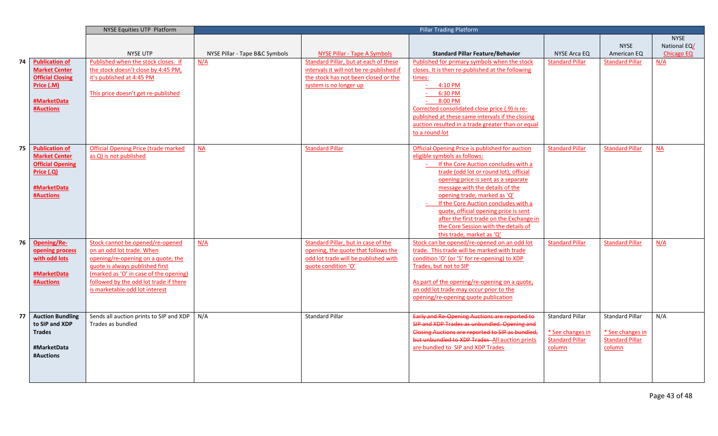|    |                                                 | <b>NYSE Equities UTP Platform</b>           |                                |                                          | Pillar Trading Platform                                              |                        |                        |                          |
|----|-------------------------------------------------|---------------------------------------------|--------------------------------|------------------------------------------|----------------------------------------------------------------------|------------------------|------------------------|--------------------------|
|    |                                                 |                                             |                                |                                          |                                                                      |                        |                        | <b>NYSE</b>              |
|    |                                                 |                                             |                                |                                          |                                                                      |                        | <b>NYSE</b>            | National EQ/             |
|    |                                                 | <b>NYSE UTP</b>                             | NYSE Pillar - Tape B&C Symbols | <b>NYSE Pillar - Tape A Symbols</b>      | <b>Standard Pillar Feature/Behavior</b>                              | NYSE Arca EQ           | American EQ            | <b>Chicago EQ</b>        |
| 74 | <b>Publication of</b>                           | Published when the stock closes. If         | N/A                            | Standard Pillar, but at each of these    | Published for primary symbols when the stock                         | <b>Standard Pillar</b> | <b>Standard Pillar</b> | N/A                      |
|    | <b>Market Center</b>                            | the stock doesn't close by 4:45 PM,         |                                | intervals it will not be re-published if | closes. It is then re-published at the following                     |                        |                        |                          |
|    | <b>Official Closing</b>                         | it's published at 4:45 PM                   |                                | the stock has not been closed or the     | times:                                                               |                        |                        |                          |
|    | Price (.M)                                      |                                             |                                | system is no longer up                   | $-4:10$ PM                                                           |                        |                        |                          |
|    |                                                 | This price doesn't get re-published         |                                |                                          | 6:30 PM                                                              |                        |                        |                          |
|    | #MarketData                                     |                                             |                                |                                          | 8:00 PM                                                              |                        |                        |                          |
|    | <b>#Auctions</b>                                |                                             |                                |                                          | Corrected consolidated close price (.9) is re-                       |                        |                        |                          |
|    |                                                 |                                             |                                |                                          | published at these same intervals if the closing                     |                        |                        |                          |
|    |                                                 |                                             |                                |                                          | auction resulted in a trade greater than or equal                    |                        |                        |                          |
|    |                                                 |                                             |                                |                                          | to a round lot                                                       |                        |                        |                          |
|    |                                                 |                                             |                                |                                          |                                                                      |                        |                        |                          |
| 75 | <b>Publication of</b>                           | <b>Official Opening Price (trade marked</b> | $\overline{\mathsf{NA}}$       | <b>Standard Pillar</b>                   | Official Opening Price is published for auction                      | <b>Standard Pillar</b> | <b>Standard Pillar</b> | $\overline{\mathsf{NA}}$ |
|    | <b>Market Center</b><br><b>Official Opening</b> | as Q) is not published                      |                                |                                          | eligible symbols as follows:<br>If the Core Auction concludes with a |                        |                        |                          |
|    | Price (.Q)                                      |                                             |                                |                                          | trade (odd lot or round lot), official                               |                        |                        |                          |
|    |                                                 |                                             |                                |                                          | opening price is sent as a separate                                  |                        |                        |                          |
|    | #MarketData                                     |                                             |                                |                                          | message with the details of the                                      |                        |                        |                          |
|    | <b>#Auctions</b>                                |                                             |                                |                                          | opening trade, marked as 'Q'                                         |                        |                        |                          |
|    |                                                 |                                             |                                |                                          | If the Core Auction concludes with a                                 |                        |                        |                          |
|    |                                                 |                                             |                                |                                          | quote, official opening price is sent                                |                        |                        |                          |
|    |                                                 |                                             |                                |                                          | after the first trade on the Exchange in                             |                        |                        |                          |
|    |                                                 |                                             |                                |                                          | the Core Session with the details of                                 |                        |                        |                          |
|    |                                                 |                                             |                                |                                          | this trade, market as 'Q'                                            |                        |                        |                          |
| 76 | Opening/Re-                                     | Stock cannot be opened/re-opened            | N/A                            | Standard Pillar, but in case of the      | Stock can be opened/re-opened on an odd lot                          | <b>Standard Pillar</b> | <b>Standard Pillar</b> | N/A                      |
|    | opening process                                 | on an odd lot trade. When                   |                                | opening, the quote that follows the      | trade. This trade will be marked with trade                          |                        |                        |                          |
|    | with odd lots                                   | opening/re-opening on a quote, the          |                                | odd lot trade will be published with     | condition 'O' (or '5' for re-opening) to XDP                         |                        |                        |                          |
|    |                                                 | quote is always published first             |                                | quote condition 'O'                      | Trades, but not to SIP                                               |                        |                        |                          |
|    | #MarketData                                     | (marked as 'O' in case of the opening)      |                                |                                          |                                                                      |                        |                        |                          |
|    | <b>#Auctions</b>                                | followed by the odd lot trade if there      |                                |                                          | As part of the opening/re-opening on a quote,                        |                        |                        |                          |
|    |                                                 | is marketable odd lot interest              |                                |                                          | an odd lot trade may occur prior to the                              |                        |                        |                          |
|    |                                                 |                                             |                                |                                          | opening/re-opening quote publication                                 |                        |                        |                          |
|    |                                                 |                                             |                                |                                          |                                                                      |                        |                        |                          |
| 77 | <b>Auction Bundling</b>                         | Sends all auction prints to SIP and XDP     | N/A                            | <b>Standard Pillar</b>                   | Early and Re-Opening Auctions are reported to                        | <b>Standard Pillar</b> | <b>Standard Pillar</b> | N/A                      |
|    | to SIP and XDP                                  | Trades as bundled                           |                                |                                          | SIP and XDP Trades as unbundled. Opening and                         |                        |                        |                          |
|    | <b>Trades</b>                                   |                                             |                                |                                          | Closing Auctions are reported to SIP as bundled,                     | * See changes in       | * See changes in       |                          |
|    |                                                 |                                             |                                |                                          | but unbundled to XDP Trades-All auction prints                       | <b>Standard Pillar</b> | <b>Standard Pillar</b> |                          |
|    | #MarketData                                     |                                             |                                |                                          | are bundled to SIP and XDP Trades                                    | column                 | column                 |                          |
|    | #Auctions                                       |                                             |                                |                                          |                                                                      |                        |                        |                          |
|    |                                                 |                                             |                                |                                          |                                                                      |                        |                        |                          |
|    |                                                 |                                             |                                |                                          |                                                                      |                        |                        |                          |
|    |                                                 |                                             |                                |                                          |                                                                      |                        |                        |                          |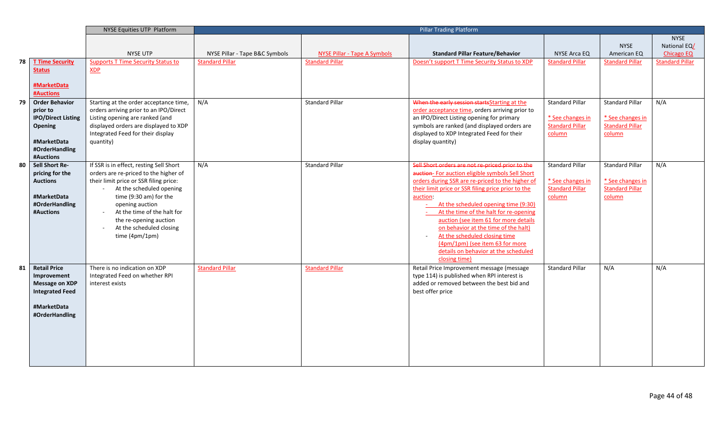|    |                                 | NYSE Equities UTP Platform                |                                |                              | <b>Pillar Trading Platform</b>                     |                        |                        |                        |
|----|---------------------------------|-------------------------------------------|--------------------------------|------------------------------|----------------------------------------------------|------------------------|------------------------|------------------------|
|    |                                 |                                           |                                |                              |                                                    |                        |                        | <b>NYSE</b>            |
|    |                                 |                                           |                                |                              |                                                    |                        | <b>NYSE</b>            | National EQ/           |
|    |                                 | <b>NYSE UTP</b>                           | NYSE Pillar - Tape B&C Symbols | NYSE Pillar - Tape A Symbols | <b>Standard Pillar Feature/Behavior</b>            | NYSE Arca EQ           | American EQ            | <b>Chicago EQ</b>      |
| 78 | <b>T Time Security</b>          | <b>Supports T Time Security Status to</b> | <b>Standard Pillar</b>         | <b>Standard Pillar</b>       | Doesn't support T Time Security Status to XDP      | <b>Standard Pillar</b> | <b>Standard Pillar</b> | <b>Standard Pillar</b> |
|    | <b>Status</b>                   | XDP                                       |                                |                              |                                                    |                        |                        |                        |
|    | #MarketData<br><b>#Auctions</b> |                                           |                                |                              |                                                    |                        |                        |                        |
| 79 | <b>Order Behavior</b>           | Starting at the order acceptance time,    | N/A                            | <b>Standard Pillar</b>       | When the early session startsStarting at the       | <b>Standard Pillar</b> | <b>Standard Pillar</b> | N/A                    |
|    | prior to                        | orders arriving prior to an IPO/Direct    |                                |                              | order acceptance time, orders arriving prior to    |                        |                        |                        |
|    | <b>IPO/Direct Listing</b>       | Listing opening are ranked (and           |                                |                              | an IPO/Direct Listing opening for primary          | * See changes in       | * See changes in       |                        |
|    | Opening                         | displayed orders are displayed to XDP     |                                |                              | symbols are ranked (and displayed orders are       | <b>Standard Pillar</b> | <b>Standard Pillar</b> |                        |
|    |                                 | Integrated Feed for their display         |                                |                              | displayed to XDP Integrated Feed for their         | column                 | column                 |                        |
|    | #MarketData                     | quantity)                                 |                                |                              | display quantity)                                  |                        |                        |                        |
|    | #OrderHandling                  |                                           |                                |                              |                                                    |                        |                        |                        |
|    | #Auctions                       |                                           |                                |                              |                                                    |                        |                        |                        |
| 80 | Sell Short Re-                  | If SSR is in effect, resting Sell Short   | N/A                            | <b>Standard Pillar</b>       | Sell Short orders are not re-priced prior to the   | <b>Standard Pillar</b> | <b>Standard Pillar</b> | N/A                    |
|    | pricing for the                 | orders are re-priced to the higher of     |                                |                              | auction- For auction eligible symbols Sell Short   |                        |                        |                        |
|    | <b>Auctions</b>                 | their limit price or SSR filing price:    |                                |                              | orders during SSR are re-priced to the higher of   | * See changes in       | * See changes in       |                        |
|    |                                 | At the scheduled opening                  |                                |                              | their limit price or SSR filing price prior to the | <b>Standard Pillar</b> | <b>Standard Pillar</b> |                        |
|    | #MarketData                     | time (9:30 am) for the                    |                                |                              | auction:                                           | column                 | column                 |                        |
|    | #OrderHandling                  | opening auction                           |                                |                              | - At the scheduled opening time (9:30)             |                        |                        |                        |
|    | #Auctions                       | At the time of the halt for               |                                |                              | At the time of the halt for re-opening             |                        |                        |                        |
|    |                                 | the re-opening auction                    |                                |                              | auction (see item 61 for more details              |                        |                        |                        |
|    |                                 | At the scheduled closing                  |                                |                              | on behavior at the time of the halt)               |                        |                        |                        |
|    |                                 | time $(4pm/1pm)$                          |                                |                              | At the scheduled closing time                      |                        |                        |                        |
|    |                                 |                                           |                                |                              | (4pm/1pm) (see item 63 for more                    |                        |                        |                        |
|    |                                 |                                           |                                |                              | details on behavior at the scheduled               |                        |                        |                        |
|    |                                 |                                           |                                |                              | closing time)                                      |                        |                        |                        |
| 81 | <b>Retail Price</b>             | There is no indication on XDP             | <b>Standard Pillar</b>         | <b>Standard Pillar</b>       | Retail Price Improvement message (message          | <b>Standard Pillar</b> | N/A                    | N/A                    |
|    | Improvement                     | Integrated Feed on whether RPI            |                                |                              | type 114) is published when RPI interest is        |                        |                        |                        |
|    | <b>Message on XDP</b>           | interest exists                           |                                |                              | added or removed between the best bid and          |                        |                        |                        |
|    | <b>Integrated Feed</b>          |                                           |                                |                              | best offer price                                   |                        |                        |                        |
|    |                                 |                                           |                                |                              |                                                    |                        |                        |                        |
|    | #MarketData                     |                                           |                                |                              |                                                    |                        |                        |                        |
|    | #OrderHandling                  |                                           |                                |                              |                                                    |                        |                        |                        |
|    |                                 |                                           |                                |                              |                                                    |                        |                        |                        |
|    |                                 |                                           |                                |                              |                                                    |                        |                        |                        |
|    |                                 |                                           |                                |                              |                                                    |                        |                        |                        |
|    |                                 |                                           |                                |                              |                                                    |                        |                        |                        |
|    |                                 |                                           |                                |                              |                                                    |                        |                        |                        |
|    |                                 |                                           |                                |                              |                                                    |                        |                        |                        |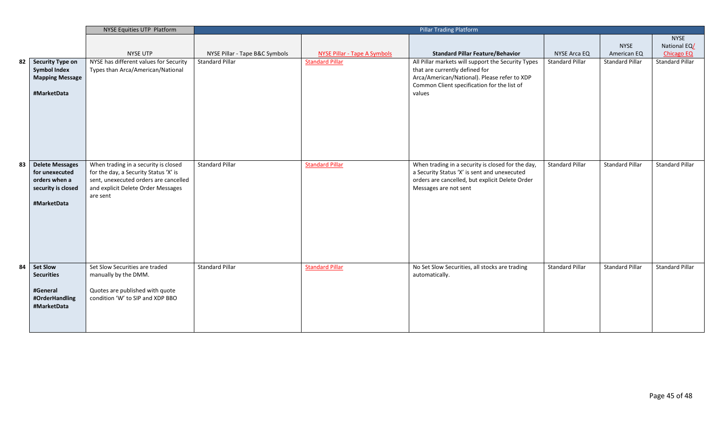| NYSE Equities UTP Platform |                        |                                        | <b>Pillar Trading Platform</b> |                                     |                                                    |                        |                        |                        |
|----------------------------|------------------------|----------------------------------------|--------------------------------|-------------------------------------|----------------------------------------------------|------------------------|------------------------|------------------------|
|                            |                        |                                        |                                |                                     |                                                    |                        |                        | <b>NYSE</b>            |
|                            |                        |                                        |                                |                                     |                                                    |                        | <b>NYSE</b>            | National EQ/           |
|                            |                        | <b>NYSE UTP</b>                        | NYSE Pillar - Tape B&C Symbols | <b>NYSE Pillar - Tape A Symbols</b> | <b>Standard Pillar Feature/Behavior</b>            | NYSE Arca EQ           | American EQ            | <b>Chicago EQ</b>      |
| 82                         | Security Type on       | NYSE has different values for Security | <b>Standard Pillar</b>         | <b>Standard Pillar</b>              | All Pillar markets will support the Security Types | <b>Standard Pillar</b> | <b>Standard Pillar</b> | Standard Pillar        |
|                            | <b>Symbol Index</b>    | Types than Arca/American/National      |                                |                                     | that are currently defined for                     |                        |                        |                        |
|                            | <b>Mapping Message</b> |                                        |                                |                                     | Arca/American/National). Please refer to XDP       |                        |                        |                        |
|                            |                        |                                        |                                |                                     | Common Client specification for the list of        |                        |                        |                        |
|                            | #MarketData            |                                        |                                |                                     | values                                             |                        |                        |                        |
|                            |                        |                                        |                                |                                     |                                                    |                        |                        |                        |
|                            |                        |                                        |                                |                                     |                                                    |                        |                        |                        |
|                            |                        |                                        |                                |                                     |                                                    |                        |                        |                        |
|                            |                        |                                        |                                |                                     |                                                    |                        |                        |                        |
|                            |                        |                                        |                                |                                     |                                                    |                        |                        |                        |
|                            |                        |                                        |                                |                                     |                                                    |                        |                        |                        |
|                            |                        |                                        |                                |                                     |                                                    |                        |                        |                        |
| 83                         | <b>Delete Messages</b> | When trading in a security is closed   | <b>Standard Pillar</b>         | <b>Standard Pillar</b>              | When trading in a security is closed for the day,  | Standard Pillar        | <b>Standard Pillar</b> | <b>Standard Pillar</b> |
|                            | for unexecuted         | for the day, a Security Status 'X' is  |                                |                                     | a Security Status 'X' is sent and unexecuted       |                        |                        |                        |
|                            | orders when a          | sent, unexecuted orders are cancelled  |                                |                                     | orders are cancelled, but explicit Delete Order    |                        |                        |                        |
|                            | security is closed     | and explicit Delete Order Messages     |                                |                                     | Messages are not sent                              |                        |                        |                        |
|                            |                        | are sent                               |                                |                                     |                                                    |                        |                        |                        |
|                            | #MarketData            |                                        |                                |                                     |                                                    |                        |                        |                        |
|                            |                        |                                        |                                |                                     |                                                    |                        |                        |                        |
|                            |                        |                                        |                                |                                     |                                                    |                        |                        |                        |
|                            |                        |                                        |                                |                                     |                                                    |                        |                        |                        |
|                            |                        |                                        |                                |                                     |                                                    |                        |                        |                        |
|                            |                        |                                        |                                |                                     |                                                    |                        |                        |                        |
|                            |                        |                                        |                                |                                     |                                                    |                        |                        |                        |
| 84                         | Set Slow               | Set Slow Securities are traded         | <b>Standard Pillar</b>         | <b>Standard Pillar</b>              | No Set Slow Securities, all stocks are trading     | <b>Standard Pillar</b> | <b>Standard Pillar</b> | Standard Pillar        |
|                            | <b>Securities</b>      | manually by the DMM.                   |                                |                                     | automatically.                                     |                        |                        |                        |
|                            |                        |                                        |                                |                                     |                                                    |                        |                        |                        |
|                            | #General               | Quotes are published with quote        |                                |                                     |                                                    |                        |                        |                        |
|                            | #OrderHandling         | condition 'W' to SIP and XDP BBO       |                                |                                     |                                                    |                        |                        |                        |
|                            | #MarketData            |                                        |                                |                                     |                                                    |                        |                        |                        |
|                            |                        |                                        |                                |                                     |                                                    |                        |                        |                        |
|                            |                        |                                        |                                |                                     |                                                    |                        |                        |                        |
|                            |                        |                                        |                                |                                     |                                                    |                        |                        |                        |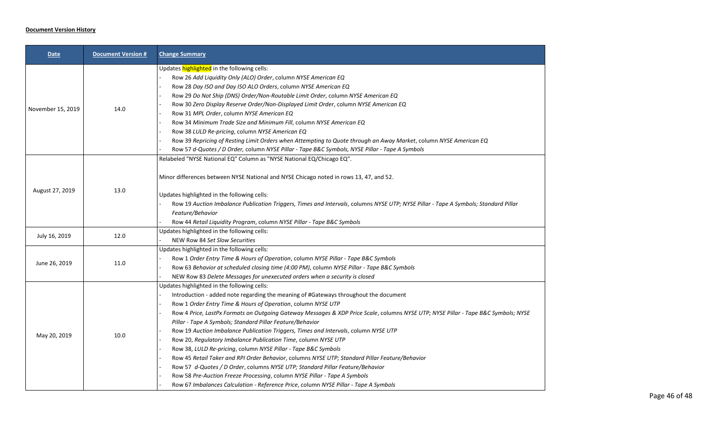## **Document Version History**

| Date              | <b>Document Version #</b> | <b>Change Summary</b>                                                                                                                                                                                                                                                                                                                                                                                                                                                                                                                                                                                                                                                                                                                                                                                                                                                                                                                                                                     |
|-------------------|---------------------------|-------------------------------------------------------------------------------------------------------------------------------------------------------------------------------------------------------------------------------------------------------------------------------------------------------------------------------------------------------------------------------------------------------------------------------------------------------------------------------------------------------------------------------------------------------------------------------------------------------------------------------------------------------------------------------------------------------------------------------------------------------------------------------------------------------------------------------------------------------------------------------------------------------------------------------------------------------------------------------------------|
| November 15, 2019 | 14.0                      | Updates highlighted in the following cells:<br>Row 26 Add Liquidity Only (ALO) Order, column NYSE American EQ<br>Row 28 Day ISO and Day ISO ALO Orders, column NYSE American EQ<br>Row 29 Do Not Ship (DNS) Order/Non-Routable Limit Order, column NYSE American EQ<br>Row 30 Zero Display Reserve Order/Non-Displayed Limit Order, column NYSE American EQ<br>Row 31 MPL Order, column NYSE American EQ<br>Row 34 Minimum Trade Size and Minimum Fill, column NYSE American EQ<br>Row 38 LULD Re-pricing, column NYSE American EQ<br>Row 39 Repricing of Resting Limit Orders when Attempting to Quote through an Away Market, column NYSE American EQ<br>Row 57 d-Quotes / D Order, column NYSE Pillar - Tape B&C Symbols, NYSE Pillar - Tape A Symbols                                                                                                                                                                                                                                 |
| August 27, 2019   | 13.0                      | Relabeled "NYSE National EQ" Column as "NYSE National EQ/Chicago EQ".<br>Minor differences between NYSE National and NYSE Chicago noted in rows 13, 47, and 52.<br>Updates highlighted in the following cells:<br>Row 19 Auction Imbalance Publication Triggers, Times and Intervals, columns NYSE UTP; NYSE Pillar - Tape A Symbols; Standard Pillar<br>Feature/Behavior<br>Row 44 Retail Liquidity Program, column NYSE Pillar - Tape B&C Symbols                                                                                                                                                                                                                                                                                                                                                                                                                                                                                                                                       |
| July 16, 2019     | 12.0                      | Updates highlighted in the following cells:<br>NEW Row 84 Set Slow Securities                                                                                                                                                                                                                                                                                                                                                                                                                                                                                                                                                                                                                                                                                                                                                                                                                                                                                                             |
| June 26, 2019     | 11.0                      | Updates highlighted in the following cells:<br>Row 1 Order Entry Time & Hours of Operation, column NYSE Pillar - Tape B&C Symbols<br>Row 63 Behavior at scheduled closing time (4:00 PM), column NYSE Pillar - Tape B&C Symbols<br>NEW Row 83 Delete Messages for unexecuted orders when a security is closed                                                                                                                                                                                                                                                                                                                                                                                                                                                                                                                                                                                                                                                                             |
| May 20, 2019      | 10.0                      | Updates highlighted in the following cells:<br>Introduction - added note regarding the meaning of #Gateways throughout the document<br>Row 1 Order Entry Time & Hours of Operation, column NYSE UTP<br>Row 4 Price, LastPx Formats on Outgoing Gateway Messages & XDP Price Scale, columns NYSE UTP; NYSE Pillar - Tape B&C Symbols; NYSE<br>Pillar - Tape A Symbols; Standard Pillar Feature/Behavior<br>Row 19 Auction Imbalance Publication Triggers, Times and Intervals, column NYSE UTP<br>Row 20, Regulatory Imbalance Publication Time, column NYSE UTP<br>Row 38, LULD Re-pricing, column NYSE Pillar - Tape B&C Symbols<br>Row 45 Retail Taker and RPI Order Behavior, columns NYSE UTP; Standard Pillar Feature/Behavior<br>Row 57 d-Quotes / D Order, columns NYSE UTP; Standard Pillar Feature/Behavior<br>Row 58 Pre-Auction Freeze Processing, column NYSE Pillar - Tape A Symbols<br>Row 67 Imbalances Calculation - Reference Price, column NYSE Pillar - Tape A Symbols |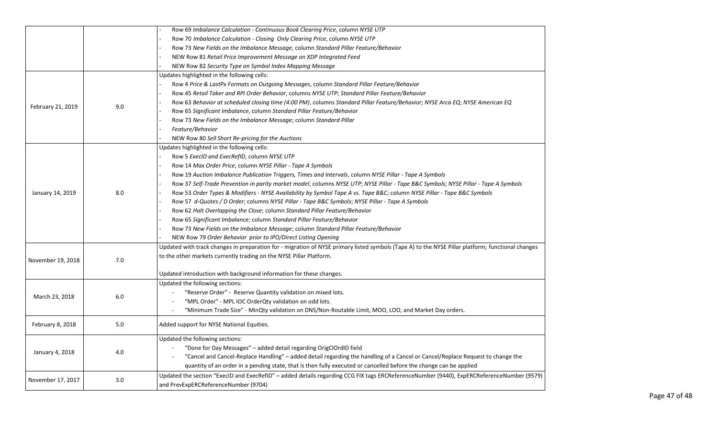|                   |     | Row 69 Imbalance Calculation - Continuous Book Clearing Price, column NYSE UTP                                                                    |
|-------------------|-----|---------------------------------------------------------------------------------------------------------------------------------------------------|
|                   |     | Row 70 Imbalance Calculation - Closing Only Clearing Price, column NYSE UTP                                                                       |
|                   |     | Row 73 New Fields on the Imbalance Message, column Standard Pillar Feature/Behavior                                                               |
|                   |     | NEW Row 81 Retail Price Improvement Message on XDP Integrated Feed                                                                                |
|                   |     | NEW Row 82 Security Type on Symbol Index Mapping Message                                                                                          |
|                   |     | Updates highlighted in the following cells:                                                                                                       |
|                   |     | Row 4 Price & LastPx Formats on Outgoing Messages, column Standard Pillar Feature/Behavior                                                        |
|                   |     | Row 45 Retail Taker and RPI Order Behavior, columns NYSE UTP; Standard Pillar Feature/Behavior                                                    |
|                   | 9.0 | Row 63 Behavior at scheduled closing time (4:00 PM), columns Standard Pillar Feature/Behavior; NYSE Arca EQ; NYSE American EQ                     |
| February 21, 2019 |     | Row 65 Significant Imbalance, column Standard Pillar Feature/Behavior                                                                             |
|                   |     | Row 73 New Fields on the Imbalance Message; column Standard Pillar                                                                                |
|                   |     | Feature/Behavior                                                                                                                                  |
|                   |     | NEW Row 80 Sell Short Re-pricing for the Auctions                                                                                                 |
|                   |     | Updates highlighted in the following cells:                                                                                                       |
|                   |     | Row 5 ExecID and ExecRefID, column NYSE UTP                                                                                                       |
|                   |     | Row 14 Max Order Price, column NYSE Pillar - Tape A Symbols                                                                                       |
|                   |     | Row 19 Auction Imbalance Publication Triggers, Times and Intervals, column NYSE Pillar - Tape A Symbols                                           |
|                   |     | Row 37 Self-Trade Prevention in parity market model, columns NYSE UTP; NYSE Pillar - Tape B&C Symbols; NYSE Pillar - Tape A Symbols               |
| January 14, 2019  | 8.0 | Row 53 Order Types & Modifiers - NYSE Availability by Symbol Tape A vs. Tape B&C column NYSE Pillar - Tape B&C Symbols                            |
|                   |     | Row 57 d-Quotes / D Order; columns NYSE Pillar - Tape B&C Symbols; NYSE Pillar - Tape A Symbols                                                   |
|                   |     | Row 62 Halt Overlapping the Close; column Standard Pillar Feature/Behavior                                                                        |
|                   |     | Row 65 Significant Imbalance; column Standard Pillar Feature/Behavior                                                                             |
|                   |     | Row 73 New Fields on the Imbalance Message; column Standard Pillar Feature/Behavior                                                               |
|                   |     | NEW Row 79 Order Behavior prior to IPO/Direct Listing Opening                                                                                     |
|                   |     | Updated with track changes in preparation for - migration of NYSE primary listed symbols (Tape A) to the NYSE Pillar platform; functional changes |
|                   |     | to the other markets currently trading on the NYSE Pillar Platform.                                                                               |
| November 19, 2018 | 7.0 |                                                                                                                                                   |
|                   |     | Updated introduction with background information for these changes.                                                                               |
|                   |     | Updated the following sections:                                                                                                                   |
| March 23, 2018    | 6.0 | "Reserve Order" - Reserve Quantity validation on mixed lots.                                                                                      |
|                   |     | "MPL Order" - MPL IOC OrderQty validation on odd lots.                                                                                            |
|                   |     | "Minimum Trade Size" - MinQty validation on DNS/Non-Routable Limit, MOO, LOO, and Market Day orders.<br>$\sim$                                    |
| February 8, 2018  | 5.0 | Added support for NYSE National Equities.                                                                                                         |
|                   |     | Updated the following sections:                                                                                                                   |
|                   |     | "Done for Day Messages" – added detail regarding OrigClOrdID field                                                                                |
| January 4, 2018   | 4.0 | "Cancel and Cancel-Replace Handling" - added detail regarding the handling of a Cancel or Cancel/Replace Request to change the                    |
|                   |     |                                                                                                                                                   |
|                   |     | quantity of an order in a pending state, that is then fully executed or cancelled before the change can be applied                                |
| November 17, 2017 | 3.0 | Updated the section "ExecID and ExecRefID" - added details regarding CCG FIX tags ERCReferenceNumber (9440), ExpERCReferenceNumber (9579)         |
|                   |     | and PrevExpERCReferenceNumber (9704)                                                                                                              |